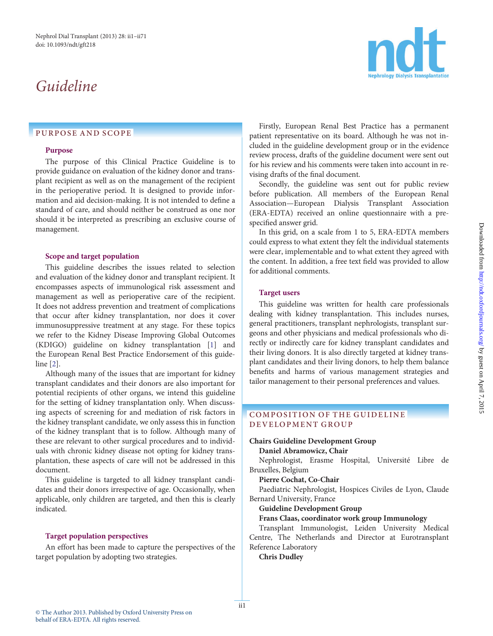# Guideline

### PURPOSE AND SCOPE

### Purpose

The purpose of this Clinical Practice Guideline is to provide guidance on evaluation of the kidney donor and transplant recipient as well as on the management of the recipient in the perioperative period. It is designed to provide information and aid decision-making. It is not intended to define a standard of care, and should neither be construed as one nor should it be interpreted as prescribing an exclusive course of management.

### Scope and target population

This guideline describes the issues related to selection and evaluation of the kidney donor and transplant recipient. It encompasses aspects of immunological risk assessment and management as well as perioperative care of the recipient. It does not address prevention and treatment of complications that occur after kidney transplantation, nor does it cover immunosuppressive treatment at any stage. For these topics we refer to the Kidney Disease Improving Global Outcomes (KDIGO) guideline on kidney transplantation [[1\]](#page-57-0) and the European Renal Best Practice Endorsement of this guideline [[2\]](#page-57-0).

Although many of the issues that are important for kidney transplant candidates and their donors are also important for potential recipients of other organs, we intend this guideline for the setting of kidney transplantation only. When discussing aspects of screening for and mediation of risk factors in the kidney transplant candidate, we only assess this in function of the kidney transplant that is to follow. Although many of these are relevant to other surgical procedures and to individuals with chronic kidney disease not opting for kidney transplantation, these aspects of care will not be addressed in this document.

This guideline is targeted to all kidney transplant candidates and their donors irrespective of age. Occasionally, when applicable, only children are targeted, and then this is clearly indicated.

### Target population perspectives

An effort has been made to capture the perspectives of the target population by adopting two strategies.

Firstly, European Renal Best Practice has a permanent patient representative on its board. Although he was not included in the guideline development group or in the evidence review process, drafts of the guideline document were sent out for his review and his comments were taken into account in revising drafts of the final document.

Secondly, the guideline was sent out for public review before publication. All members of the European Renal Association—European Dialysis Transplant Association (ERA-EDTA) received an online questionnaire with a prespecified answer grid.

In this grid, on a scale from 1 to 5, ERA-EDTA members could express to what extent they felt the individual statements were clear, implementable and to what extent they agreed with the content. In addition, a free text field was provided to allow for additional comments.

### Target users

This guideline was written for health care professionals dealing with kidney transplantation. This includes nurses, general practitioners, transplant nephrologists, transplant surgeons and other physicians and medical professionals who directly or indirectly care for kidney transplant candidates and their living donors. It is also directly targeted at kidney transplant candidates and their living donors, to help them balance benefits and harms of various management strategies and tailor management to their personal preferences and values.

#### COMPOSITION OF THE GUIDELINE DEVELOPMENT GROUP

# Chairs Guideline Development Group

Daniel Abramowicz, Chair

Nephrologist, Erasme Hospital, Université Libre de Bruxelles, Belgium

Pierre Cochat, Co-Chair

Paediatric Nephrologist, Hospices Civiles de Lyon, Claude Bernard University, France

Guideline Development Group

Frans Claas, coordinator work group Immunology

Transplant Immunologist, Leiden University Medical Centre, The Netherlands and Director at Eurotransplant Reference Laboratory

Chris Dudley

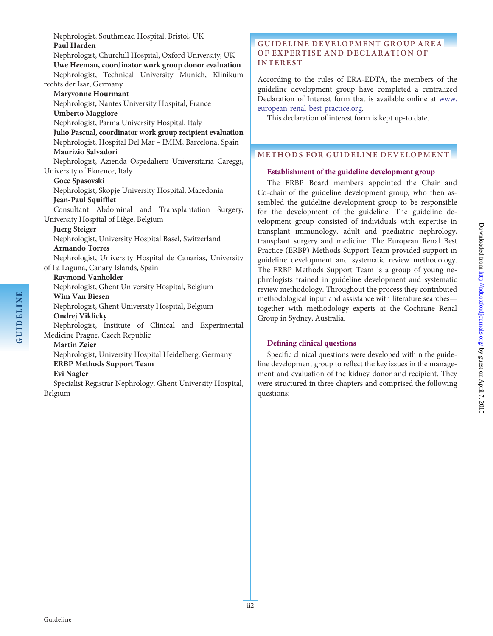

Evi Nagler Specialist Registrar Nephrology, Ghent University Hospital, Belgium

### GUIDELINE DEVELOPMENT GROUP AREA OF EXPERTISE AND DECLARATION OF INTEREST

According to the rules of ERA-EDTA, the members of the guideline development group have completed a centralized Declaration of Interest form that is available online at [www.](www.european-renal-best-practice.org) [european-renal-best-practice.org.](www.european-renal-best-practice.org)

This declaration of interest form is kept up-to date.

# METHODS FOR GUIDELINE DEVELOPMENT

# Establishment of the guideline development group

The ERBP Board members appointed the Chair and Co-chair of the guideline development group, who then assembled the guideline development group to be responsible for the development of the guideline. The guideline development group consisted of individuals with expertise in transplant immunology, adult and paediatric nephrology, transplant surgery and medicine. The European Renal Best Practice (ERBP) Methods Support Team provided support in guideline development and systematic review methodology. The ERBP Methods Support Team is a group of young nephrologists trained in guideline development and systematic review methodology. Throughout the process they contributed methodological input and assistance with literature searches together with methodology experts at the Cochrane Renal Group in Sydney, Australia.

# Defining clinical questions

Specific clinical questions were developed within the guideline development group to reflect the key issues in the management and evaluation of the kidney donor and recipient. They were structured in three chapters and comprised the following questions:

GUIDELINE

**GUIDELINE**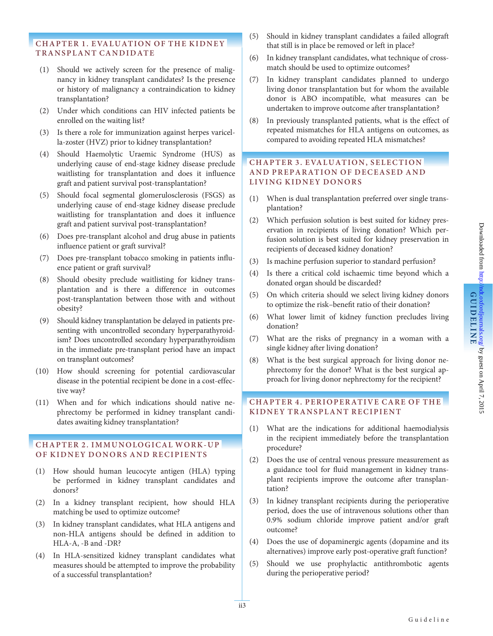### CHAPTER 1. EVALUATION OF THE KIDNEY TRANSPLANT CANDIDATE

- (1) Should we actively screen for the presence of malignancy in kidney transplant candidates? Is the presence or history of malignancy a contraindication to kidney transplantation?
- (2) Under which conditions can HIV infected patients be enrolled on the waiting list?
- (3) Is there a role for immunization against herpes varicella-zoster (HVZ) prior to kidney transplantation?
- (4) Should Haemolytic Uraemic Syndrome (HUS) as underlying cause of end-stage kidney disease preclude waitlisting for transplantation and does it influence graft and patient survival post-transplantation?
- (5) Should focal segmental glomerulosclerosis (FSGS) as underlying cause of end-stage kidney disease preclude waitlisting for transplantation and does it influence graft and patient survival post-transplantation?
- (6) Does pre-transplant alcohol and drug abuse in patients influence patient or graft survival?
- (7) Does pre-transplant tobacco smoking in patients influence patient or graft survival?
- (8) Should obesity preclude waitlisting for kidney transplantation and is there a difference in outcomes post-transplantation between those with and without obesity?
- (9) Should kidney transplantation be delayed in patients presenting with uncontrolled secondary hyperparathyroidism? Does uncontrolled secondary hyperparathyroidism in the immediate pre-transplant period have an impact on transplant outcomes?
- (10) How should screening for potential cardiovascular disease in the potential recipient be done in a cost-effective way?
- (11) When and for which indications should native nephrectomy be performed in kidney transplant candidates awaiting kidney transplantation?

### CHAPTER 2. IMMUNOLOGICAL WORK-UP OF KIDNEY DONORS AND RECIPIENTS

- (1) How should human leucocyte antigen (HLA) typing be performed in kidney transplant candidates and donors?
- (2) In a kidney transplant recipient, how should HLA matching be used to optimize outcome?
- (3) In kidney transplant candidates, what HLA antigens and non-HLA antigens should be defined in addition to HLA-A, -B and -DR?
- (4) In HLA-sensitized kidney transplant candidates what measures should be attempted to improve the probability of a successful transplantation?
- (5) Should in kidney transplant candidates a failed allograft that still is in place be removed or left in place?
- (6) In kidney transplant candidates, what technique of crossmatch should be used to optimize outcomes?
- (7) In kidney transplant candidates planned to undergo living donor transplantation but for whom the available donor is ABO incompatible, what measures can be undertaken to improve outcome after transplantation?
- (8) In previously transplanted patients, what is the effect of repeated mismatches for HLA antigens on outcomes, as compared to avoiding repeated HLA mismatches?

### CHAPTER 3. EVALUATION, SELECTION AND PREPARATION OF DECEASED AND LIVING KIDNEY DONORS

- (1) When is dual transplantation preferred over single transplantation?
- (2) Which perfusion solution is best suited for kidney preservation in recipients of living donation? Which perfusion solution is best suited for kidney preservation in recipients of deceased kidney donation?
- (3) Is machine perfusion superior to standard perfusion?
- (4) Is there a critical cold ischaemic time beyond which a donated organ should be discarded?
- (5) On which criteria should we select living kidney donors to optimize the risk–benefit ratio of their donation?
- (6) What lower limit of kidney function precludes living donation?
- (7) What are the risks of pregnancy in a woman with a single kidney after living donation?
- (8) What is the best surgical approach for living donor nephrectomy for the donor? What is the best surgical approach for living donor nephrectomy for the recipient?

### CHAPTER 4. PERIOPERATIVE CARE OF THE KIDNEY TRANSPLANT RECIPIENT

- (1) What are the indications for additional haemodialysis in the recipient immediately before the transplantation procedure?
- (2) Does the use of central venous pressure measurement as a guidance tool for fluid management in kidney transplant recipients improve the outcome after transplantation?
- (3) In kidney transplant recipients during the perioperative period, does the use of intravenous solutions other than 0.9% sodium chloride improve patient and/or graft outcome?
- (4) Does the use of dopaminergic agents (dopamine and its alternatives) improve early post-operative graft function?
- (5) Should we use prophylactic antithrombotic agents during the perioperative period?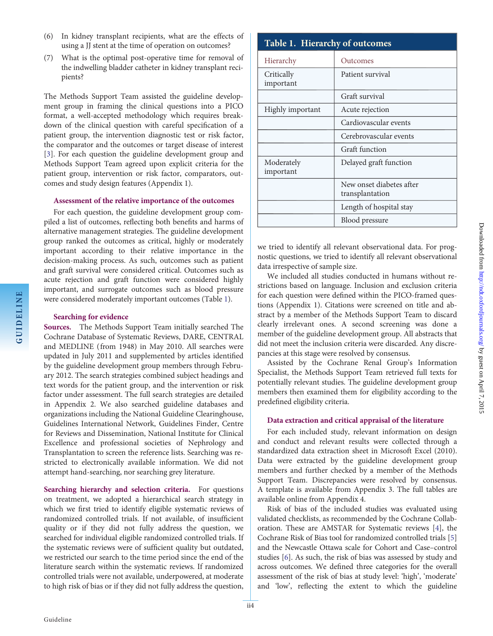- (6) In kidney transplant recipients, what are the effects of using a JJ stent at the time of operation on outcomes?
- (7) What is the optimal post-operative time for removal of the indwelling bladder catheter in kidney transplant recipients?

The Methods Support Team assisted the guideline development group in framing the clinical questions into a PICO format, a well-accepted methodology which requires breakdown of the clinical question with careful specification of a patient group, the intervention diagnostic test or risk factor, the comparator and the outcomes or target disease of interest [[3\]](#page-57-0). For each question the guideline development group and Methods Support Team agreed upon explicit criteria for the patient group, intervention or risk factor, comparators, outcomes and study design features (Appendix 1).

#### Assessment of the relative importance of the outcomes

For each question, the guideline development group compiled a list of outcomes, reflecting both benefits and harms of alternative management strategies. The guideline development group ranked the outcomes as critical, highly or moderately important according to their relative importance in the decision-making process. As such, outcomes such as patient and graft survival were considered critical. Outcomes such as acute rejection and graft function were considered highly important, and surrogate outcomes such as blood pressure were considered moderately important outcomes (Table 1).

#### Searching for evidence

GUIDELINE

**GUIDELINE** 

Sources. The Methods Support Team initially searched The Cochrane Database of Systematic Reviews, DARE, CENTRAL and MEDLINE (from 1948) in May 2010. All searches were updated in July 2011 and supplemented by articles identified by the guideline development group members through February 2012. The search strategies combined subject headings and text words for the patient group, and the intervention or risk factor under assessment. The full search strategies are detailed in Appendix 2. We also searched guideline databases and organizations including the National Guideline Clearinghouse, Guidelines International Network, Guidelines Finder, Centre for Reviews and Dissemination, National Institute for Clinical Excellence and professional societies of Nephrology and Transplantation to screen the reference lists. Searching was restricted to electronically available information. We did not attempt hand-searching, nor searching grey literature.

Searching hierarchy and selection criteria. For questions on treatment, we adopted a hierarchical search strategy in which we first tried to identify eligible systematic reviews of randomized controlled trials. If not available, of insufficient quality or if they did not fully address the question, we searched for individual eligible randomized controlled trials. If the systematic reviews were of sufficient quality but outdated, we restricted our search to the time period since the end of the literature search within the systematic reviews. If randomized controlled trials were not available, underpowered, at moderate to high risk of bias or if they did not fully address the question,

### Table 1. Hierarchy of outcomes

| Hierarchy               | Outcomes                                    |
|-------------------------|---------------------------------------------|
| Critically<br>important | Patient survival                            |
|                         | Graft survival                              |
| Highly important        | Acute rejection                             |
|                         | Cardiovascular events                       |
|                         | Cerebrovascular events                      |
|                         | Graft function                              |
| Moderately<br>important | Delayed graft function                      |
|                         | New onset diabetes after<br>transplantation |
|                         | Length of hospital stay                     |
|                         | Blood pressure                              |

we tried to identify all relevant observational data. For prognostic questions, we tried to identify all relevant observational data irrespective of sample size.

We included all studies conducted in humans without restrictions based on language. Inclusion and exclusion criteria for each question were defined within the PICO-framed questions (Appendix 1). Citations were screened on title and abstract by a member of the Methods Support Team to discard clearly irrelevant ones. A second screening was done a member of the guideline development group. All abstracts that did not meet the inclusion criteria were discarded. Any discrepancies at this stage were resolved by consensus.

Assisted by the Cochrane Renal Group's Information Specialist, the Methods Support Team retrieved full texts for potentially relevant studies. The guideline development group members then examined them for eligibility according to the predefined eligibility criteria.

#### Data extraction and critical appraisal of the literature

For each included study, relevant information on design and conduct and relevant results were collected through a standardized data extraction sheet in Microsoft Excel (2010). Data were extracted by the guideline development group members and further checked by a member of the Methods Support Team. Discrepancies were resolved by consensus. A template is available from Appendix 3. The full tables are available online from Appendix 4.

Risk of bias of the included studies was evaluated using validated checklists, as recommended by the Cochrane Collaboration. These are AMSTAR for Systematic reviews [[4\]](#page-57-0), the Cochrane Risk of Bias tool for randomized controlled trials [[5\]](#page-57-0) and the Newcastle Ottawa scale for Cohort and Case–control studies [\[6](#page-57-0)]. As such, the risk of bias was assessed by study and across outcomes. We defined three categories for the overall assessment of the risk of bias at study level: 'high', 'moderate' and 'low', reflecting the extent to which the guideline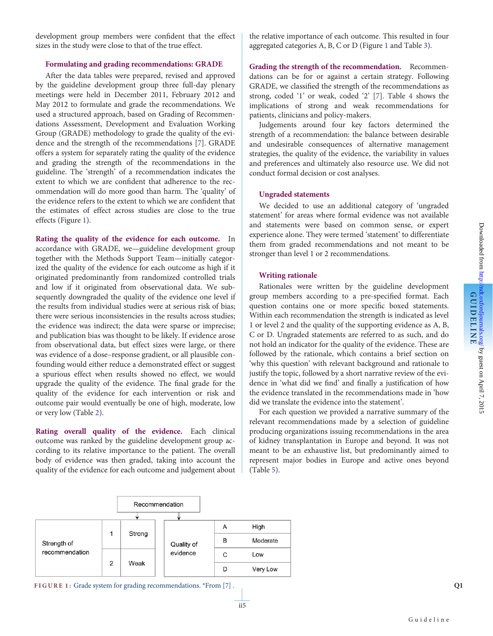development group members were confident that the effect sizes in the study were close to that of the true effect.

### Formulating and grading recommendations: GRADE

After the data tables were prepared, revised and approved by the guideline development group three full-day plenary meetings were held in December 2011, February 2012 and May 2012 to formulate and grade the recommendations. We used a structured approach, based on Grading of Recommendations Assessment, Development and Evaluation Working Group (GRADE) methodology to grade the quality of the evidence and the strength of the recommendations [[7](#page-58-0)]. GRADE offers a system for separately rating the quality of the evidence and grading the strength of the recommendations in the guideline. The 'strength' of a recommendation indicates the extent to which we are confident that adherence to the recommendation will do more good than harm. The 'quality' of the evidence refers to the extent to which we are confident that the estimates of effect across studies are close to the true effects (Figure 1).

Rating the quality of the evidence for each outcome. In accordance with GRADE, we—guideline development group together with the Methods Support Team—initially categorized the quality of the evidence for each outcome as high if it originated predominantly from randomized controlled trials and low if it originated from observational data. We subsequently downgraded the quality of the evidence one level if the results from individual studies were at serious risk of bias; there were serious inconsistencies in the results across studies; the evidence was indirect; the data were sparse or imprecise; and publication bias was thought to be likely. If evidence arose from observational data, but effect sizes were large, or there was evidence of a dose–response gradient, or all plausible confounding would either reduce a demonstrated effect or suggest a spurious effect when results showed no effect, we would upgrade the quality of the evidence. The final grade for the quality of the evidence for each intervention or risk and outcome pair would eventually be one of high, moderate, low or very low (Table [2](#page-5-0)).

Rating overall quality of the evidence. Each clinical outcome was ranked by the guideline development group according to its relative importance to the patient. The overall body of evidence was then graded, taking into account the quality of the evidence for each outcome and judgement about the relative importance of each outcome. This resulted in four aggregated categories A, B, C or D (Figure 1 and Table [3](#page-5-0)).

Grading the strength of the recommendation. Recommendations can be for or against a certain strategy. Following GRADE, we classified the strength of the recommendations as strong, coded '1' or weak, coded '2' [[7\]](#page-58-0). Table [4](#page-5-0) shows the implications of strong and weak recommendations for patients, clinicians and policy-makers.

Judgements around four key factors determined the strength of a recommendation: the balance between desirable and undesirable consequences of alternative management strategies, the quality of the evidence, the variability in values and preferences and ultimately also resource use. We did not conduct formal decision or cost analyses.

#### Ungraded statements

We decided to use an additional category of 'ungraded statement' for areas where formal evidence was not available and statements were based on common sense, or expert experience alone. They were termed 'statement' to differentiate them from graded recommendations and not meant to be stronger than level 1 or 2 recommendations.

#### Writing rationale

Rationales were written by the guideline development group members according to a pre-specified format. Each question contains one or more specific boxed statements. Within each recommendation the strength is indicated as level 1 or level 2 and the quality of the supporting evidence as A, B, C or D. Ungraded statements are referred to as such, and do not hold an indicator for the quality of the evidence. These are followed by the rationale, which contains a brief section on 'why this question' with relevant background and rationale to justify the topic, followed by a short narrative review of the evidence in 'what did we find' and finally a justification of how the evidence translated in the recommendations made in 'how did we translate the evidence into the statement'.

For each question we provided a narrative summary of the relevant recommendations made by a selection of guideline producing organizations issuing recommendations in the area of kidney transplantation in Europe and beyond. It was not meant to be an exhaustive list, but predominantly aimed to represent major bodies in Europe and active ones beyond (Table [5](#page-6-0)).



ii5

FIGURE 1: Grade system for grading recommendations. \*From [[7](#page-58-0)] . Q1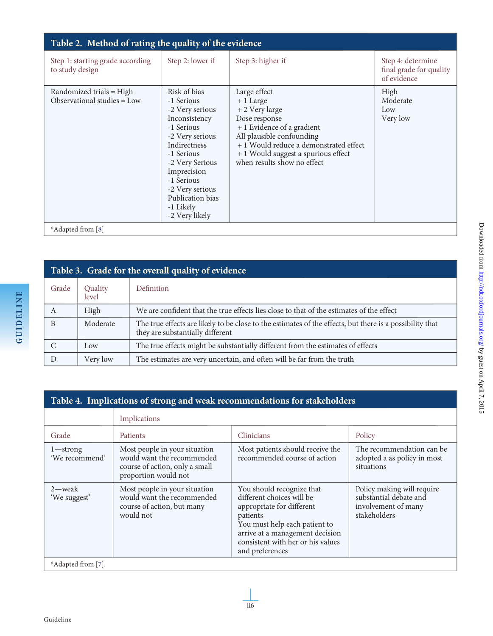<span id="page-5-0"></span>

| Table 2. Method of rating the quality of the evidence     |                                                                                                                                                                                                                                                            |                                                                                                                                                                                                                                          |                                                             |
|-----------------------------------------------------------|------------------------------------------------------------------------------------------------------------------------------------------------------------------------------------------------------------------------------------------------------------|------------------------------------------------------------------------------------------------------------------------------------------------------------------------------------------------------------------------------------------|-------------------------------------------------------------|
| Step 1: starting grade according<br>to study design       | Step 2: lower if                                                                                                                                                                                                                                           | Step 3: higher if                                                                                                                                                                                                                        | Step 4: determine<br>final grade for quality<br>of evidence |
| Randomized trials = High<br>Observational studies $=$ Low | Risk of bias<br>-1 Serious<br>-2 Very serious<br>Inconsistency<br>-1 Serious<br>-2 Very serious<br><b>Indirectness</b><br>-1 Serious<br>-2 Very Serious<br>Imprecision<br>-1 Serious<br>-2 Very serious<br>Publication bias<br>-1 Likely<br>-2 Very likely | Large effect<br>$+1$ Large<br>+ 2 Very large<br>Dose response<br>+ 1 Evidence of a gradient<br>All plausible confounding<br>+ 1 Would reduce a demonstrated effect<br>+ 1 Would suggest a spurious effect<br>when results show no effect | High<br>Moderate<br>Low<br>Very low                         |
| *Adapted from [8]                                         |                                                                                                                                                                                                                                                            |                                                                                                                                                                                                                                          |                                                             |

| Table 3. Grade for the overall quality of evidence |                  |                                                                                                                                              |  |
|----------------------------------------------------|------------------|----------------------------------------------------------------------------------------------------------------------------------------------|--|
| Grade                                              | Quality<br>level | <b>Definition</b>                                                                                                                            |  |
| A                                                  | High             | We are confident that the true effects lies close to that of the estimates of the effect                                                     |  |
| B                                                  | Moderate         | The true effects are likely to be close to the estimates of the effects, but there is a possibility that<br>they are substantially different |  |
| C                                                  | Low              | The true effects might be substantially different from the estimates of effects                                                              |  |
| D                                                  | Very low         | The estimates are very uncertain, and often will be far from the truth                                                                       |  |

Downloaded from http://ndt.oxfordjournals.org/ by guest on April 7, 2015 Downloaded from <http://ndt.oxfordjournals.org/> by guest on April 7, 2015

|  |  |  | Table 4. Implications of strong and weak recommendations for stakeholders |
|--|--|--|---------------------------------------------------------------------------|
|--|--|--|---------------------------------------------------------------------------|

|                               | Implications                                                                                                          |                                                                                                                                                                                                                             |                                                                                             |
|-------------------------------|-----------------------------------------------------------------------------------------------------------------------|-----------------------------------------------------------------------------------------------------------------------------------------------------------------------------------------------------------------------------|---------------------------------------------------------------------------------------------|
| Grade                         | Patients                                                                                                              | Clinicians                                                                                                                                                                                                                  | Policy                                                                                      |
| $1$ —strong<br>'We recommend' | Most people in your situation<br>would want the recommended<br>course of action, only a small<br>proportion would not | Most patients should receive the<br>recommended course of action                                                                                                                                                            | The recommendation can be<br>adopted a as policy in most<br>situations                      |
| $2$ — weak<br>'We suggest'    | Most people in your situation<br>would want the recommended<br>course of action, but many<br>would not                | You should recognize that<br>different choices will be<br>appropriate for different<br>patients<br>You must help each patient to<br>arrive at a management decision<br>consistent with her or his values<br>and preferences | Policy making will require<br>substantial debate and<br>involvement of many<br>stakeholders |
| *Adapted from [7].            |                                                                                                                       |                                                                                                                                                                                                                             |                                                                                             |

ii6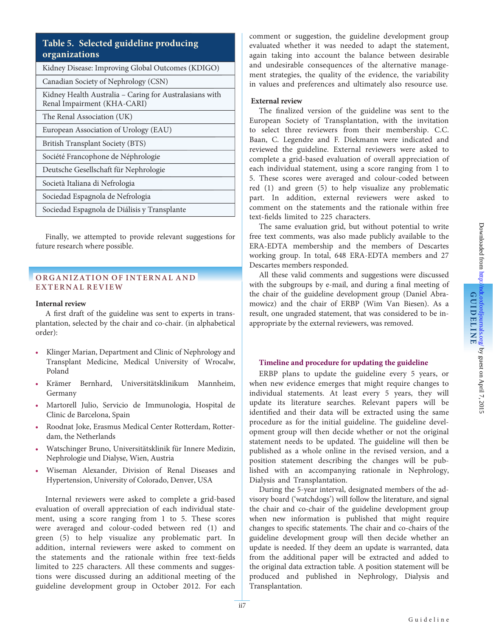## <span id="page-6-0"></span>Table 5. Selected guideline producing organizations

| Kidney Disease: Improving Global Outcomes (KDIGO)<br>Canadian Society of Nephrology (CSN)<br>Kidney Health Australia – Caring for Australasians with<br>Renal Impairment (KHA-CARI)<br>The Renal Association (UK)<br>European Association of Urology (EAU)<br>British Transplant Society (BTS)<br>Société Francophone de Néphrologie<br>Deutsche Gesellschaft für Nephrologie<br>Società Italiana di Nefrologia<br>Sociedad Espagnola de Nefrologia<br>Sociedad Espagnola de Diálisis y Transplante |  |
|-----------------------------------------------------------------------------------------------------------------------------------------------------------------------------------------------------------------------------------------------------------------------------------------------------------------------------------------------------------------------------------------------------------------------------------------------------------------------------------------------------|--|
|                                                                                                                                                                                                                                                                                                                                                                                                                                                                                                     |  |
|                                                                                                                                                                                                                                                                                                                                                                                                                                                                                                     |  |
|                                                                                                                                                                                                                                                                                                                                                                                                                                                                                                     |  |
|                                                                                                                                                                                                                                                                                                                                                                                                                                                                                                     |  |
|                                                                                                                                                                                                                                                                                                                                                                                                                                                                                                     |  |
|                                                                                                                                                                                                                                                                                                                                                                                                                                                                                                     |  |
|                                                                                                                                                                                                                                                                                                                                                                                                                                                                                                     |  |
|                                                                                                                                                                                                                                                                                                                                                                                                                                                                                                     |  |
|                                                                                                                                                                                                                                                                                                                                                                                                                                                                                                     |  |
|                                                                                                                                                                                                                                                                                                                                                                                                                                                                                                     |  |
|                                                                                                                                                                                                                                                                                                                                                                                                                                                                                                     |  |

Finally, we attempted to provide relevant suggestions for future research where possible.

### ORGANIZATION OF INTERNAL AND EXTERNAL REVIEW

#### Internal review

A first draft of the guideline was sent to experts in transplantation, selected by the chair and co-chair. (in alphabetical order):

- Klinger Marian, Department and Clinic of Nephrology and Transplant Medicine, Medical University of Wrocalw, Poland
- Krämer Bernhard, Universitätsklinikum Mannheim, Germany
- Martorell Julio, Servicio de Immunologia, Hospital de Clinic de Barcelona, Spain
- Roodnat Joke, Erasmus Medical Center Rotterdam, Rotterdam, the Netherlands
- Watschinger Bruno, Universitätsklinik für Innere Medizin, Nephrologie und Dialyse, Wien, Austria
- Wiseman Alexander, Division of Renal Diseases and Hypertension, University of Colorado, Denver, USA

Internal reviewers were asked to complete a grid-based evaluation of overall appreciation of each individual statement, using a score ranging from 1 to 5. These scores were averaged and colour-coded between red (1) and green (5) to help visualize any problematic part. In addition, internal reviewers were asked to comment on the statements and the rationale within free text-fields limited to 225 characters. All these comments and suggestions were discussed during an additional meeting of the guideline development group in October 2012. For each comment or suggestion, the guideline development group evaluated whether it was needed to adapt the statement, again taking into account the balance between desirable and undesirable consequences of the alternative management strategies, the quality of the evidence, the variability in values and preferences and ultimately also resource use.

### External review

The finalized version of the guideline was sent to the European Society of Transplantation, with the invitation to select three reviewers from their membership. C.C. Baan, C. Legendre and F. Diekmann were indicated and reviewed the guideline. External reviewers were asked to complete a grid-based evaluation of overall appreciation of each individual statement, using a score ranging from 1 to 5. These scores were averaged and colour-coded between red (1) and green (5) to help visualize any problematic part. In addition, external reviewers were asked to comment on the statements and the rationale within free text-fields limited to 225 characters.

The same evaluation grid, but without potential to write free text comments, was also made publicly available to the ERA-EDTA membership and the members of Descartes working group. In total, 648 ERA-EDTA members and 27 Descartes members responded.

All these valid comments and suggestions were discussed with the subgroups by e-mail, and during a final meeting of the chair of the guideline development group (Daniel Abramowicz) and the chair of ERBP (Wim Van Biesen). As a result, one ungraded statement, that was considered to be inappropriate by the external reviewers, was removed.

### Timeline and procedure for updating the guideline

ERBP plans to update the guideline every 5 years, or when new evidence emerges that might require changes to individual statements. At least every 5 years, they will update its literature searches. Relevant papers will be identified and their data will be extracted using the same procedure as for the initial guideline. The guideline development group will then decide whether or not the original statement needs to be updated. The guideline will then be published as a whole online in the revised version, and a position statement describing the changes will be published with an accompanying rationale in Nephrology, Dialysis and Transplantation.

During the 5-year interval, designated members of the advisory board ('watchdogs') will follow the literature, and signal the chair and co-chair of the guideline development group when new information is published that might require changes to specific statements. The chair and co-chairs of the guideline development group will then decide whether an update is needed. If they deem an update is warranted, data from the additional paper will be extracted and added to the original data extraction table. A position statement will be produced and published in Nephrology, Dialysis and Transplantation.

GUIDELINE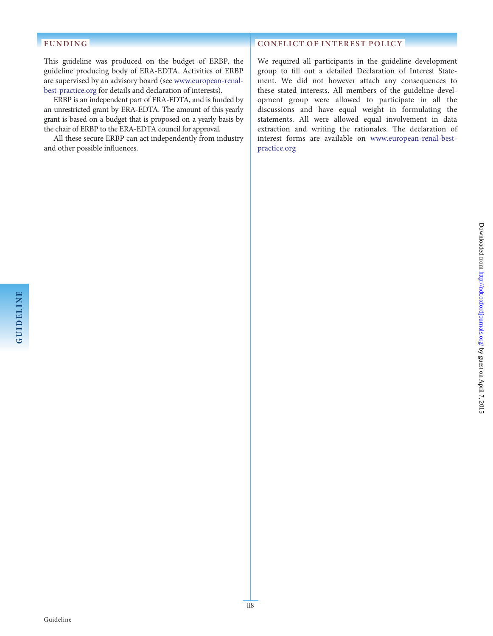### FUNDING

This guideline was produced on the budget of ERBP, the guideline producing body of ERA-EDTA. Activities of ERBP are supervised by an advisory board (see [www.european-renal](www.european-renal-best-practice.org)[best-practice.org](www.european-renal-best-practice.org) for details and declaration of interests).

ERBP is an independent part of ERA-EDTA, and is funded by an unrestricted grant by ERA-EDTA. The amount of this yearly grant is based on a budget that is proposed on a yearly basis by the chair of ERBP to the ERA-EDTA council for approval.

All these secure ERBP can act independently from industry and other possible influences.

### CONFLICT OF INTEREST POLICY

We required all participants in the guideline development group to fill out a detailed Declaration of Interest Statement. We did not however attach any consequences to these stated interests. All members of the guideline development group were allowed to participate in all the discussions and have equal weight in formulating the statements. All were allowed equal involvement in data extraction and writing the rationales. The declaration of interest forms are available on [www.european-renal-best](www.european-renal-best-practice.org)[practice.org](www.european-renal-best-practice.org)

> Downloaded from http://ndt.oxfordjournals.org/ by guest on April 7, 2015 Downloaded from <http://ndt.oxfordjournals.org/> by guest on April 7, 2015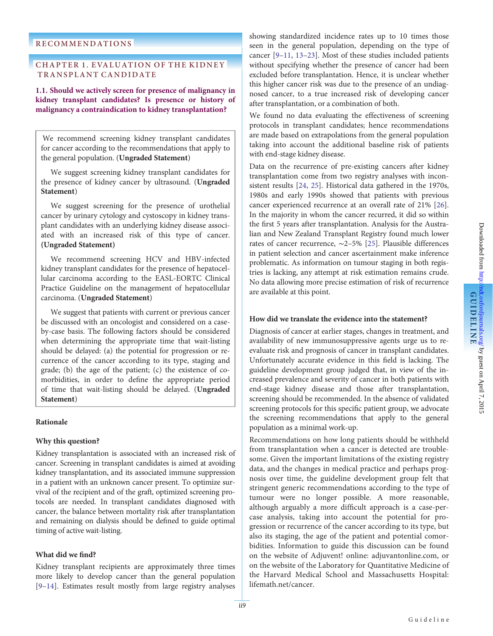### RECOMMENDATIONS

### CHAPTER 1. EVALUATION OF THE KIDNEY TRANSPLANT CANDIDATE

1.1. Should we actively screen for presence of malignancy in kidney transplant candidates? Is presence or history of malignancy a contraindication to kidney transplantation?

We recommend screening kidney transplant candidates for cancer according to the recommendations that apply to the general population. (Ungraded Statement)

We suggest screening kidney transplant candidates for the presence of kidney cancer by ultrasound. (Ungraded Statement)

We suggest screening for the presence of urothelial cancer by urinary cytology and cystoscopy in kidney transplant candidates with an underlying kidney disease associated with an increased risk of this type of cancer. (Ungraded Statement)

We recommend screening HCV and HBV-infected kidney transplant candidates for the presence of hepatocellular carcinoma according to the EASL-EORTC Clinical Practice Guideline on the management of hepatocellular carcinoma. (Ungraded Statement)

We suggest that patients with current or previous cancer be discussed with an oncologist and considered on a caseby-case basis. The following factors should be considered when determining the appropriate time that wait-listing should be delayed: (a) the potential for progression or recurrence of the cancer according to its type, staging and grade; (b) the age of the patient; (c) the existence of comorbidities, in order to define the appropriate period of time that wait-listing should be delayed. (Ungraded Statement)

#### Rationale

#### Why this question?

Kidney transplantation is associated with an increased risk of cancer. Screening in transplant candidates is aimed at avoiding kidney transplantation, and its associated immune suppression in a patient with an unknown cancer present. To optimize survival of the recipient and of the graft, optimized screening protocols are needed. In transplant candidates diagnosed with cancer, the balance between mortality risk after transplantation and remaining on dialysis should be defined to guide optimal timing of active wait-listing.

#### What did we find?

Kidney transplant recipients are approximately three times more likely to develop cancer than the general population [[9](#page-58-0)–[14](#page-58-0)]. Estimates result mostly from large registry analyses showing standardized incidence rates up to 10 times those seen in the general population, depending on the type of cancer [\[9](#page-58-0)–[11,](#page-58-0) [13](#page-58-0)–[23](#page-58-0)]. Most of these studies included patients without specifying whether the presence of cancer had been excluded before transplantation. Hence, it is unclear whether this higher cancer risk was due to the presence of an undiagnosed cancer, to a true increased risk of developing cancer after transplantation, or a combination of both.

We found no data evaluating the effectiveness of screening protocols in transplant candidates; hence recommendations are made based on extrapolations from the general population taking into account the additional baseline risk of patients with end-stage kidney disease.

Data on the recurrence of pre-existing cancers after kidney transplantation come from two registry analyses with inconsistent results [\[24,](#page-58-0) [25\]](#page-58-0). Historical data gathered in the 1970s, 1980s and early 1990s showed that patients with previous cancer experienced recurrence at an overall rate of 21% [[26](#page-58-0)]. In the majority in whom the cancer recurred, it did so within the first 5 years after transplantation. Analysis for the Australian and New Zealand Transplant Registry found much lower rates of cancer recurrence, ∼2–5% [[25](#page-58-0)]. Plausible differences in patient selection and cancer ascertainment make inference problematic. As information on tumour staging in both registries is lacking, any attempt at risk estimation remains crude. No data allowing more precise estimation of risk of recurrence are available at this point.

#### How did we translate the evidence into the statement?

Diagnosis of cancer at earlier stages, changes in treatment, and availability of new immunosuppressive agents urge us to reevaluate risk and prognosis of cancer in transplant candidates. Unfortunately accurate evidence in this field is lacking. The guideline development group judged that, in view of the increased prevalence and severity of cancer in both patients with end-stage kidney disease and those after transplantation, screening should be recommended. In the absence of validated screening protocols for this specific patient group, we advocate the screening recommendations that apply to the general population as a minimal work-up.

Recommendations on how long patients should be withheld from transplantation when a cancer is detected are troublesome. Given the important limitations of the existing registry data, and the changes in medical practice and perhaps prognosis over time, the guideline development group felt that stringent generic recommendations according to the type of tumour were no longer possible. A more reasonable, although arguably a more difficult approach is a case-percase analysis, taking into account the potential for progression or recurrence of the cancer according to its type, but also its staging, the age of the patient and potential comorbidities. Information to guide this discussion can be found on the website of Adjuvent! online: adjuvantonline.com, or on the website of the Laboratory for Quantitative Medicine of the Harvard Medical School and Massachusetts Hospital: lifemath.net/cancer.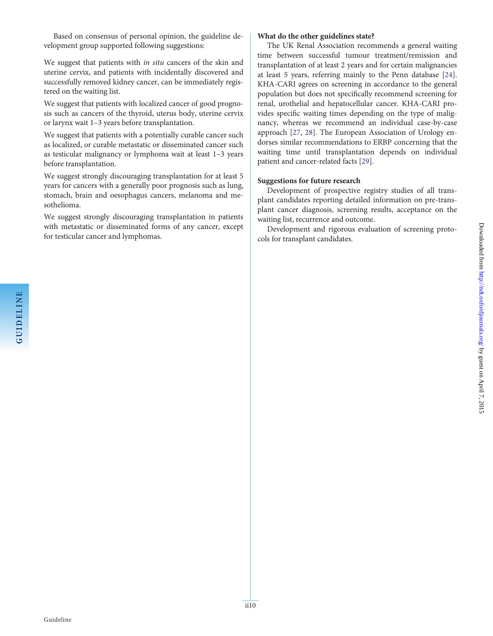Based on consensus of personal opinion, the guideline development group supported following suggestions:

We suggest that patients with in situ cancers of the skin and uterine cervix, and patients with incidentally discovered and successfully removed kidney cancer, can be immediately registered on the waiting list.

We suggest that patients with localized cancer of good prognosis such as cancers of the thyroid, uterus body, uterine cervix or larynx wait 1–3 years before transplantation.

We suggest that patients with a potentially curable cancer such as localized, or curable metastatic or disseminated cancer such as testicular malignancy or lymphoma wait at least 1–3 years before transplantation.

We suggest strongly discouraging transplantation for at least 5 years for cancers with a generally poor prognosis such as lung, stomach, brain and oesophagus cancers, melanoma and mesothelioma.

We suggest strongly discouraging transplantation in patients with metastatic or disseminated forms of any cancer, except for testicular cancer and lymphomas.

### What do the other guidelines state?

The UK Renal Association recommends a general waiting time between successful tumour treatment/remission and transplantation of at least 2 years and for certain malignancies at least 5 years, referring mainly to the Penn database [[24](#page-58-0)]. KHA-CARI agrees on screening in accordance to the general population but does not specifically recommend screening for renal, urothelial and hepatocellular cancer. KHA-CARI provides specific waiting times depending on the type of malignancy, whereas we recommend an individual case-by-case approach [[27](#page-58-0), [28\]](#page-58-0). The European Association of Urology endorses similar recommendations to ERBP concerning that the waiting time until transplantation depends on individual patient and cancer-related facts [\[29\]](#page-58-0).

### Suggestions for future research

Development of prospective registry studies of all transplant candidates reporting detailed information on pre-transplant cancer diagnosis, screening results, acceptance on the waiting list, recurrence and outcome.

Development and rigorous evaluation of screening protocols for transplant candidates.

Downloaded from http://ndt.oxfordjournals.org/ by guest on April 7, 2015 Downloaded from <http://ndt.oxfordjournals.org/> by guest on April 7, 2015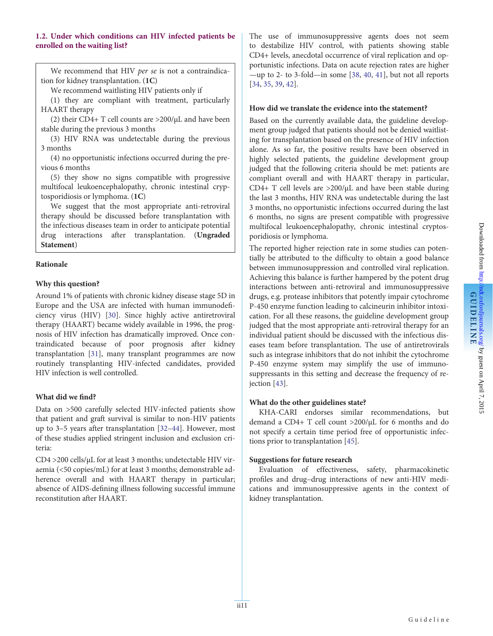### 1.2. Under which conditions can HIV infected patients be enrolled on the waiting list?

We recommend that HIV per se is not a contraindication for kidney transplantation. (1C)

We recommend waitlisting HIV patients only if

(1) they are compliant with treatment, particularly HAART therapy

(2) their CD4+ T cell counts are  $>$ 200/ $\mu$ L and have been stable during the previous 3 months

(3) HIV RNA was undetectable during the previous 3 months

(4) no opportunistic infections occurred during the previous 6 months

(5) they show no signs compatible with progressive multifocal leukoencephalopathy, chronic intestinal cryptosporidiosis or lymphoma. (1C)

We suggest that the most appropriate anti-retroviral therapy should be discussed before transplantation with the infectious diseases team in order to anticipate potential drug interactions after transplantation. (Ungraded Statement)

### Rationale

### Why this question?

Around 1% of patients with chronic kidney disease stage 5D in Europe and the USA are infected with human immunodeficiency virus (HIV) [\[30\]](#page-58-0). Since highly active antiretroviral therapy (HAART) became widely available in 1996, the prognosis of HIV infection has dramatically improved. Once contraindicated because of poor prognosis after kidney transplantation [[31](#page-58-0)], many transplant programmes are now routinely transplanting HIV-infected candidates, provided HIV infection is well controlled.

### What did we find?

Data on >500 carefully selected HIV-infected patients show that patient and graft survival is similar to non-HIV patients up to 3–5 years after transplantation [[32](#page-58-0)–[44](#page-58-0)]. However, most of these studies applied stringent inclusion and exclusion criteria:

CD4 >200 cells/µL for at least 3 months; undetectable HIV viraemia (<50 copies/mL) for at least 3 months; demonstrable adherence overall and with HAART therapy in particular; absence of AIDS-defining illness following successful immune reconstitution after HAART.

The use of immunosuppressive agents does not seem to destabilize HIV control, with patients showing stable CD4+ levels, anecdotal occurrence of viral replication and opportunistic infections. Data on acute rejection rates are higher —up to 2- to 3-fold—in some [\[38,](#page-58-0) [40](#page-58-0), [41](#page-58-0)], but not all reports [\[34,](#page-58-0) [35,](#page-58-0) [39,](#page-58-0) [42](#page-58-0)].

#### How did we translate the evidence into the statement?

Based on the currently available data, the guideline development group judged that patients should not be denied waitlisting for transplantation based on the presence of HIV infection alone. As so far, the positive results have been observed in highly selected patients, the guideline development group judged that the following criteria should be met: patients are compliant overall and with HAART therapy in particular, CD4+ T cell levels are  $>200/\mu L$  and have been stable during the last 3 months, HIV RNA was undetectable during the last 3 months, no opportunistic infections occurred during the last 6 months, no signs are present compatible with progressive multifocal leukoencephalopathy, chronic intestinal cryptosporidiosis or lymphoma.

The reported higher rejection rate in some studies can potentially be attributed to the difficulty to obtain a good balance between immunosuppression and controlled viral replication. Achieving this balance is further hampered by the potent drug interactions between anti-retroviral and immunosuppressive drugs, e.g. protease inhibitors that potently impair cytochrome P-450 enzyme function leading to calcineurin inhibitor intoxication. For all these reasons, the guideline development group judged that the most appropriate anti-retroviral therapy for an individual patient should be discussed with the infectious diseases team before transplantation. The use of antiretrovirals such as integrase inhibitors that do not inhibit the cytochrome P-450 enzyme system may simplify the use of immunosuppressants in this setting and decrease the frequency of rejection [\[43](#page-58-0)].

#### What do the other guidelines state?

KHA-CARI endorses similar recommendations, but demand a CD4+ T cell count  $>$ 200/ $\mu$ L for 6 months and do not specify a certain time period free of opportunistic infections prior to transplantation [[45\]](#page-59-0).

### Suggestions for future research

Evaluation of effectiveness, safety, pharmacokinetic profiles and drug–drug interactions of new anti-HIV medications and immunosuppressive agents in the context of kidney transplantation.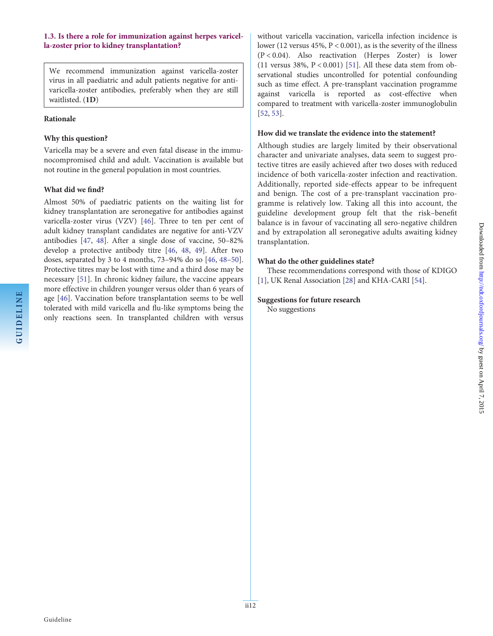### 1.3. Is there a role for immunization against herpes varicella-zoster prior to kidney transplantation?

We recommend immunization against varicella-zoster virus in all paediatric and adult patients negative for antivaricella-zoster antibodies, preferably when they are still waitlisted. (1D)

#### Rationale

#### Why this question?

Varicella may be a severe and even fatal disease in the immunocompromised child and adult. Vaccination is available but not routine in the general population in most countries.

### What did we find?

GUIDELINE

**GUIDELINE** 

Almost 50% of paediatric patients on the waiting list for kidney transplantation are seronegative for antibodies against varicella-zoster virus (VZV) [\[46\]](#page-59-0). Three to ten per cent of adult kidney transplant candidates are negative for anti-VZV antibodies [\[47,](#page-59-0) [48](#page-59-0)]. After a single dose of vaccine, 50–82% develop a protective antibody titre [\[46](#page-59-0), [48,](#page-59-0) [49](#page-59-0)]. After two doses, separated by 3 to 4 months, 73–94% do so [[46,](#page-59-0) [48](#page-59-0)–[50\]](#page-59-0). Protective titres may be lost with time and a third dose may be necessary [\[51\]](#page-59-0). In chronic kidney failure, the vaccine appears more effective in children younger versus older than 6 years of age [\[46](#page-59-0)]. Vaccination before transplantation seems to be well tolerated with mild varicella and flu-like symptoms being the only reactions seen. In transplanted children with versus

without varicella vaccination, varicella infection incidence is lower (12 versus 45%,  $P < 0.001$ ), as is the severity of the illness (P < 0.04). Also reactivation (Herpes Zoster) is lower (11 versus 38%,  $P < 0.001$ ) [[51\]](#page-59-0). All these data stem from observational studies uncontrolled for potential confounding such as time effect. A pre-transplant vaccination programme against varicella is reported as cost-effective when compared to treatment with varicella-zoster immunoglobulin [\[52](#page-59-0), [53](#page-59-0)].

#### How did we translate the evidence into the statement?

Although studies are largely limited by their observational character and univariate analyses, data seem to suggest protective titres are easily achieved after two doses with reduced incidence of both varicella-zoster infection and reactivation. Additionally, reported side-effects appear to be infrequent and benign. The cost of a pre-transplant vaccination programme is relatively low. Taking all this into account, the guideline development group felt that the risk–benefit balance is in favour of vaccinating all sero-negative children and by extrapolation all seronegative adults awaiting kidney transplantation.

#### What do the other guidelines state?

These recommendations correspond with those of KDIGO [\[1](#page-57-0)], UK Renal Association [\[28\]](#page-58-0) and KHA-CARI [[54\]](#page-59-0).

#### Suggestions for future research

No suggestions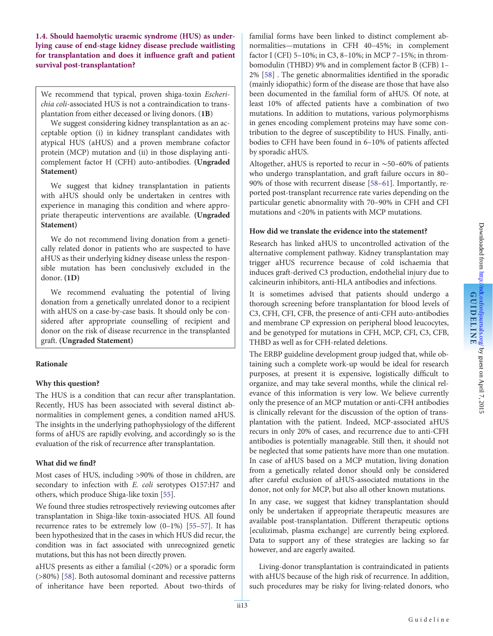1.4. Should haemolytic uraemic syndrome (HUS) as underlying cause of end-stage kidney disease preclude waitlisting for transplantation and does it influence graft and patient survival post-transplantation?

We recommend that typical, proven shiga-toxin Escherichia coli-associated HUS is not a contraindication to transplantation from either deceased or living donors. (1B)

We suggest considering kidney transplantation as an acceptable option (i) in kidney transplant candidates with atypical HUS (aHUS) and a proven membrane cofactor protein (MCP) mutation and (ii) in those displaying anticomplement factor H (CFH) auto-antibodies. (Ungraded Statement)

We suggest that kidney transplantation in patients with aHUS should only be undertaken in centres with experience in managing this condition and where appropriate therapeutic interventions are available. (Ungraded Statement)

We do not recommend living donation from a genetically related donor in patients who are suspected to have aHUS as their underlying kidney disease unless the responsible mutation has been conclusively excluded in the donor. (1D)

We recommend evaluating the potential of living donation from a genetically unrelated donor to a recipient with aHUS on a case-by-case basis. It should only be considered after appropriate counselling of recipient and donor on the risk of disease recurrence in the transplanted graft. (Ungraded Statement)

#### Rationale

#### Why this question?

The HUS is a condition that can recur after transplantation. Recently, HUS has been associated with several distinct abnormalities in complement genes, a condition named aHUS. The insights in the underlying pathophysiology of the different forms of aHUS are rapidly evolving, and accordingly so is the evaluation of the risk of recurrence after transplantation.

#### What did we find?

Most cases of HUS, including >90% of those in children, are secondary to infection with E. coli serotypes O157:H7 and others, which produce Shiga-like toxin [[55](#page-59-0)].

We found three studies retrospectively reviewing outcomes after transplantation in Shiga-like toxin-associated HUS. All found recurrence rates to be extremely low  $(0-1\%)$  [[55](#page-59-0)-[57\]](#page-59-0). It has been hypothesized that in the cases in which HUS did recur, the condition was in fact associated with unrecognized genetic mutations, but this has not been directly proven.

aHUS presents as either a familial (<20%) or a sporadic form (>80%) [[58](#page-59-0)]. Both autosomal dominant and recessive patterns of inheritance have been reported. About two-thirds of

familial forms have been linked to distinct complement abnormalities—mutations in CFH 40–45%; in complement factor I (CFI) 5–10%; in C3, 8–10%; in MCP 7–15%; in thrombomodulin (THBD) 9% and in complement factor B (CFB) 1– 2% [\[58](#page-59-0)] . The genetic abnormalities identified in the sporadic (mainly idiopathic) form of the disease are those that have also been documented in the familial form of aHUS. Of note, at least 10% of affected patients have a combination of two mutations. In addition to mutations, various polymorphisms in genes encoding complement proteins may have some contribution to the degree of susceptibility to HUS. Finally, antibodies to CFH have been found in 6–10% of patients affected by sporadic aHUS.

Altogether, aHUS is reported to recur in ∼50–60% of patients who undergo transplantation, and graft failure occurs in 80– 90% of those with recurrent disease [\[58](#page-59-0)–[61](#page-59-0)]. Importantly, reported post-transplant recurrence rate varies depending on the particular genetic abnormality with 70–90% in CFH and CFI mutations and <20% in patients with MCP mutations.

#### How did we translate the evidence into the statement?

Research has linked aHUS to uncontrolled activation of the alternative complement pathway. Kidney transplantation may trigger aHUS recurrence because of cold ischaemia that induces graft-derived C3 production, endothelial injury due to calcineurin inhibitors, anti-HLA antibodies and infections.

It is sometimes advised that patients should undergo a thorough screening before transplantation for blood levels of C3, CFH, CFI, CFB, the presence of anti-CFH auto-antibodies and membrane CP expression on peripheral blood leucocytes, and be genotyped for mutations in CFH, MCP, CFI, C3, CFB, THBD as well as for CFH-related deletions.

The ERBP guideline development group judged that, while obtaining such a complete work-up would be ideal for research purposes, at present it is expensive, logistically difficult to organize, and may take several months, while the clinical relevance of this information is very low. We believe currently only the presence of an MCP mutation or anti-CFH antibodies is clinically relevant for the discussion of the option of transplantation with the patient. Indeed, MCP-associated aHUS recurs in only 20% of cases, and recurrence due to anti-CFH antibodies is potentially manageable. Still then, it should not be neglected that some patients have more than one mutation. In case of aHUS based on a MCP mutation, living donation from a genetically related donor should only be considered after careful exclusion of aHUS-associated mutations in the donor, not only for MCP, but also all other known mutations.

In any case, we suggest that kidney transplantation should only be undertaken if appropriate therapeutic measures are available post-transplantation. Different therapeutic options [eculizimab, plasma exchange] are currently being explored. Data to support any of these strategies are lacking so far however, and are eagerly awaited.

Living-donor transplantation is contraindicated in patients with aHUS because of the high risk of recurrence. In addition, such procedures may be risky for living-related donors, who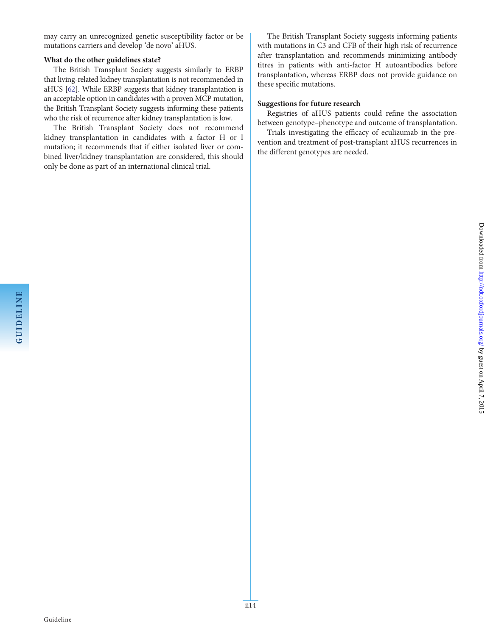may carry an unrecognized genetic susceptibility factor or be mutations carriers and develop 'de novo' aHUS.

#### What do the other guidelines state?

The British Transplant Society suggests similarly to ERBP that living-related kidney transplantation is not recommended in aHUS [\[62](#page-59-0)]. While ERBP suggests that kidney transplantation is an acceptable option in candidates with a proven MCP mutation, the British Transplant Society suggests informing these patients who the risk of recurrence after kidney transplantation is low.

The British Transplant Society does not recommend kidney transplantation in candidates with a factor H or I mutation; it recommends that if either isolated liver or combined liver/kidney transplantation are considered, this should only be done as part of an international clinical trial.

The British Transplant Society suggests informing patients with mutations in C3 and CFB of their high risk of recurrence after transplantation and recommends minimizing antibody titres in patients with anti-factor H autoantibodies before transplantation, whereas ERBP does not provide guidance on these specific mutations.

### Suggestions for future research

Registries of aHUS patients could refine the association between genotype–phenotype and outcome of transplantation.

Trials investigating the efficacy of eculizumab in the prevention and treatment of post-transplant aHUS recurrences in the different genotypes are needed.

> Downloaded from http://ndt.oxfordjournals.org/ by guest on April 7, 2015 Downloaded from <http://ndt.oxfordjournals.org/> by guest on April 7, 2015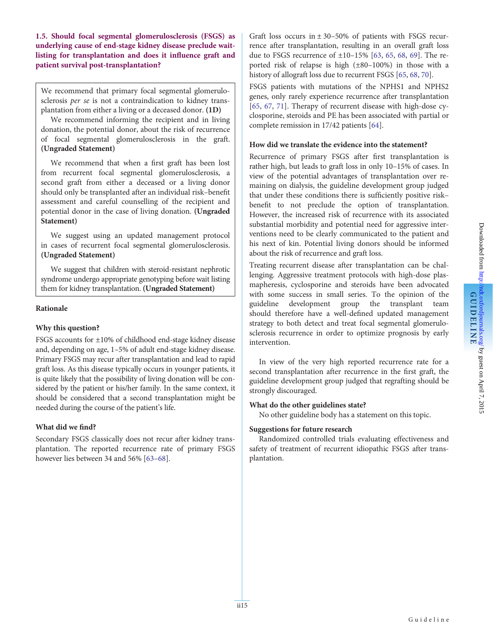### 1.5. Should focal segmental glomerulosclerosis (FSGS) as underlying cause of end-stage kidney disease preclude waitlisting for transplantation and does it influence graft and patient survival post-transplantation?

We recommend that primary focal segmental glomerulosclerosis per se is not a contraindication to kidney transplantation from either a living or a deceased donor. (1D)

We recommend informing the recipient and in living donation, the potential donor, about the risk of recurrence of focal segmental glomerulosclerosis in the graft. (Ungraded Statement)

We recommend that when a first graft has been lost from recurrent focal segmental glomerulosclerosis, a second graft from either a deceased or a living donor should only be transplanted after an individual risk–benefit assessment and careful counselling of the recipient and potential donor in the case of living donation. (Ungraded Statement)

We suggest using an updated management protocol in cases of recurrent focal segmental glomerulosclerosis. (Ungraded Statement)

We suggest that children with steroid-resistant nephrotic syndrome undergo appropriate genotyping before wait listing them for kidney transplantation. (Ungraded Statement)

### Rationale

#### Why this question?

FSGS accounts for ±10% of childhood end-stage kidney disease and, depending on age, 1–5% of adult end-stage kidney disease. Primary FSGS may recur after transplantation and lead to rapid graft loss. As this disease typically occurs in younger patients, it is quite likely that the possibility of living donation will be considered by the patient or his/her family. In the same context, it should be considered that a second transplantation might be needed during the course of the patient's life.

### What did we find?

Secondary FSGS classically does not recur after kidney transplantation. The reported recurrence rate of primary FSGS however lies between 34 and 56% [[63](#page-59-0)–[68](#page-59-0)].

Graft loss occurs in  $\pm$  30–50% of patients with FSGS recurrence after transplantation, resulting in an overall graft loss due to FSGS recurrence of  $\pm 10-15\%$  [\[63,](#page-59-0) [65,](#page-59-0) [68,](#page-59-0) [69\]](#page-59-0). The reported risk of relapse is high (±80–100%) in those with a history of allograft loss due to recurrent FSGS [\[65,](#page-59-0) [68,](#page-59-0) [70](#page-59-0)].

FSGS patients with mutations of the NPHS1 and NPHS2 genes, only rarely experience recurrence after transplantation [\[65,](#page-59-0) [67](#page-59-0), [71](#page-59-0)]. Therapy of recurrent disease with high-dose cyclosporine, steroids and PE has been associated with partial or complete remission in 17/42 patients [[64](#page-59-0)].

### How did we translate the evidence into the statement?

Recurrence of primary FSGS after first transplantation is rather high, but leads to graft loss in only 10–15% of cases. In view of the potential advantages of transplantation over remaining on dialysis, the guideline development group judged that under these conditions there is sufficiently positive risk– benefit to not preclude the option of transplantation. However, the increased risk of recurrence with its associated substantial morbidity and potential need for aggressive interventions need to be clearly communicated to the patient and his next of kin. Potential living donors should be informed about the risk of recurrence and graft loss.

Treating recurrent disease after transplantation can be challenging. Aggressive treatment protocols with high-dose plasmapheresis, cyclosporine and steroids have been advocated with some success in small series. To the opinion of the guideline development group the transplant team should therefore have a well-defined updated management strategy to both detect and treat focal segmental glomerulosclerosis recurrence in order to optimize prognosis by early intervention.

In view of the very high reported recurrence rate for a second transplantation after recurrence in the first graft, the guideline development group judged that regrafting should be strongly discouraged.

### What do the other guidelines state?

No other guideline body has a statement on this topic.

#### Suggestions for future research

Randomized controlled trials evaluating effectiveness and safety of treatment of recurrent idiopathic FSGS after transplantation.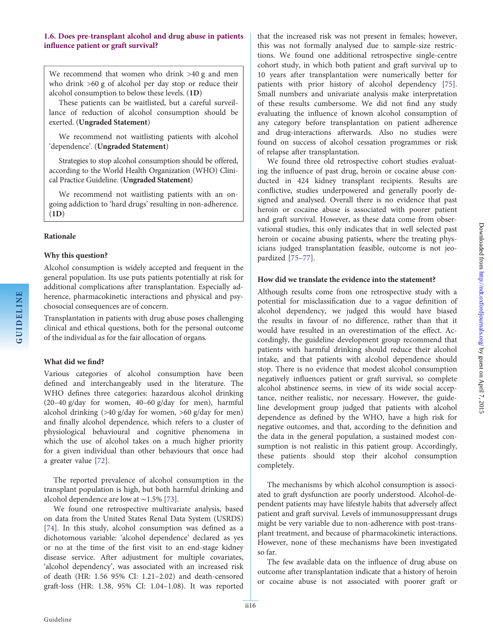#### 1.6. Does pre-transplant alcohol and drug abuse in patients influence patient or graft survival?

We recommend that women who drink >40 g and men who drink >60 g of alcohol per day stop or reduce their alcohol consumption to below these levels. (1D)

These patients can be waitlisted, but a careful surveillance of reduction of alcohol consumption should be exerted. (Ungraded Statement)

We recommend not waitlisting patients with alcohol 'dependence'. (Ungraded Statement)

Strategies to stop alcohol consumption should be offered, according to the World Health Organization (WHO) Clinical Practice Guideline. (Ungraded Statement)

We recommend not waitlisting patients with an ongoing addiction to 'hard drugs' resulting in non-adherence. (1D)

### Rationale

GUIDELINE

**GUIDELINE** 

### Why this question?

Alcohol consumption is widely accepted and frequent in the general population. Its use puts patients potentially at risk for additional complications after transplantation. Especially adherence, pharmacokinetic interactions and physical and psychosocial consequences are of concern.

Transplantation in patients with drug abuse poses challenging clinical and ethical questions, both for the personal outcome of the individual as for the fair allocation of organs.

### What did we find?

Various categories of alcohol consumption have been defined and interchangeably used in the literature. The WHO defines three categories: hazardous alcohol drinking (20–40 g/day for women, 40–60 g/day for men), harmful alcohol drinking (>40 g/day for women, >60 g/day for men) and finally alcohol dependence, which refers to a cluster of physiological behavioural and cognitive phenomena in which the use of alcohol takes on a much higher priority for a given individual than other behaviours that once had a greater value [[72](#page-59-0)].

The reported prevalence of alcohol consumption in the transplant population is high, but both harmful drinking and alcohol dependence are low at ∼1.5% [\[73\]](#page-59-0).

We found one retrospective multivariate analysis, based on data from the United States Renal Data System (USRDS) [[74\]](#page-59-0). In this study, alcohol consumption was defined as a dichotomous variable: 'alcohol dependence' declared as yes or no at the time of the first visit to an end-stage kidney disease service. After adjustment for multiple covariates, 'alcohol dependency', was associated with an increased risk of death (HR: 1.56 95% CI: 1.21–2.02) and death-censored graft-loss (HR: 1.38, 95% CI: 1.04–1.08). It was reported that the increased risk was not present in females; however, this was not formally analysed due to sample-size restrictions. We found one additional retrospective single-centre cohort study, in which both patient and graft survival up to 10 years after transplantation were numerically better for patients with prior history of alcohol dependency [[75](#page-59-0)]. Small numbers and univariate analysis make interpretation of these results cumbersome. We did not find any study evaluating the influence of known alcohol consumption of any category before transplantation on patient adherence and drug-interactions afterwards. Also no studies were found on success of alcohol cessation programmes or risk of relapse after transplantation.

We found three old retrospective cohort studies evaluating the influence of past drug, heroin or cocaine abuse conducted in 424 kidney transplant recipients. Results are conflictive, studies underpowered and generally poorly designed and analysed. Overall there is no evidence that past heroin or cocaine abuse is associated with poorer patient and graft survival. However, as these data come from observational studies, this only indicates that in well selected past heroin or cocaine abusing patients, where the treating physicians judged transplantation feasible, outcome is not jeopardized [[75](#page-59-0)–[77\]](#page-59-0).

#### How did we translate the evidence into the statement?

Although results come from one retrospective study with a potential for misclassification due to a vague definition of alcohol dependency, we judged this would have biased the results in favour of no difference, rather than that it would have resulted in an overestimation of the effect. Accordingly, the guideline development group recommend that patients with harmful drinking should reduce their alcohol intake, and that patients with alcohol dependence should stop. There is no evidence that modest alcohol consumption negatively influences patient or graft survival, so complete alcohol abstinence seems, in view of its wide social acceptance, neither realistic, nor necessary. However, the guideline development group judged that patients with alcohol dependence as defined by the WHO, have a high risk for negative outcomes, and that, according to the definition and the data in the general population, a sustained modest consumption is not realistic in this patient group. Accordingly, these patients should stop their alcohol consumption completely.

The mechanisms by which alcohol consumption is associated to graft dysfunction are poorly understood. Alcohol-dependent patients may have lifestyle habits that adversely affect patient and graft survival. Levels of immunosuppressant drugs might be very variable due to non-adherence with post-transplant treatment, and because of pharmacokinetic interactions. However, none of these mechanisms have been investigated so far.

The few available data on the influence of drug abuse on outcome after transplantation indicate that a history of heroin or cocaine abuse is not associated with poorer graft or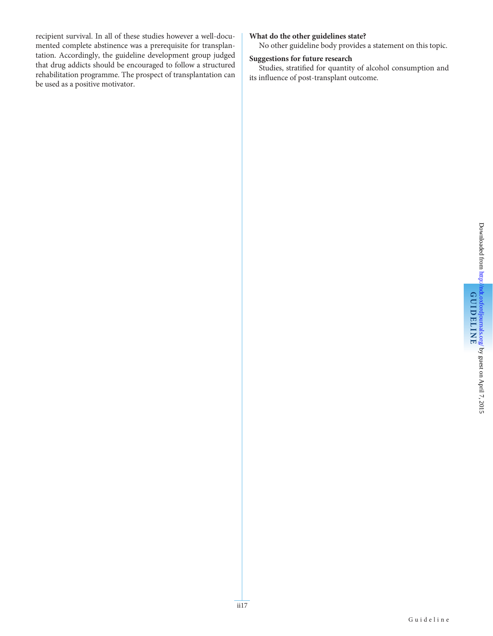recipient survival. In all of these studies however a well-documented complete abstinence was a prerequisite for transplantation. Accordingly, the guideline development group judged that drug addicts should be encouraged to follow a structured rehabilitation programme. The prospect of transplantation can be used as a positive motivator.

### What do the other guidelines state?

No other guideline body provides a statement on this topic.

### Suggestions for future research

Studies, stratified for quantity of alcohol consumption and its influence of post-transplant outcome.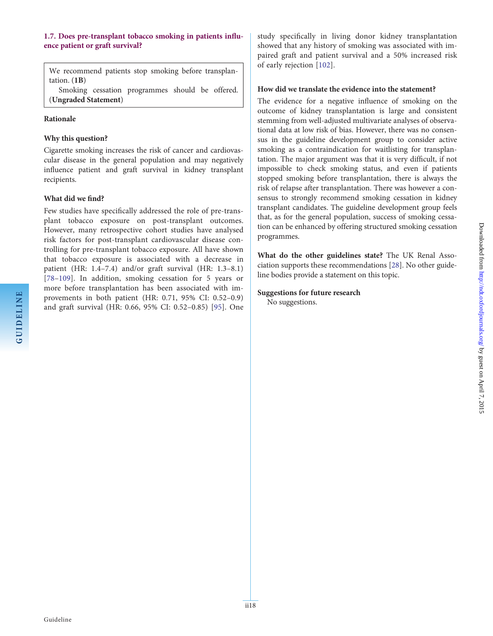### 1.7. Does pre-transplant tobacco smoking in patients influence patient or graft survival?

We recommend patients stop smoking before transplantation. (1B)

Smoking cessation programmes should be offered. (Ungraded Statement)

### Rationale

#### Why this question?

Cigarette smoking increases the risk of cancer and cardiovascular disease in the general population and may negatively influence patient and graft survival in kidney transplant recipients.

#### What did we find?

GUIDELINE

**GUIDELINE** 

Few studies have specifically addressed the role of pre-transplant tobacco exposure on post-transplant outcomes. However, many retrospective cohort studies have analysed risk factors for post-transplant cardiovascular disease controlling for pre-transplant tobacco exposure. All have shown that tobacco exposure is associated with a decrease in patient (HR: 1.4–7.4) and/or graft survival (HR: 1.3–8.1) [[78](#page-60-0)-[109\]](#page-60-0). In addition, smoking cessation for 5 years or more before transplantation has been associated with improvements in both patient (HR: 0.71, 95% CI: 0.52–0.9) and graft survival (HR: 0.66, 95% CI: 0.52–0.85) [[95\]](#page-60-0). One study specifically in living donor kidney transplantation showed that any history of smoking was associated with impaired graft and patient survival and a 50% increased risk of early rejection [[102\]](#page-60-0).

#### How did we translate the evidence into the statement?

The evidence for a negative influence of smoking on the outcome of kidney transplantation is large and consistent stemming from well-adjusted multivariate analyses of observational data at low risk of bias. However, there was no consensus in the guideline development group to consider active smoking as a contraindication for waitlisting for transplantation. The major argument was that it is very difficult, if not impossible to check smoking status, and even if patients stopped smoking before transplantation, there is always the risk of relapse after transplantation. There was however a consensus to strongly recommend smoking cessation in kidney transplant candidates. The guideline development group feels that, as for the general population, success of smoking cessation can be enhanced by offering structured smoking cessation programmes.

What do the other guidelines state? The UK Renal Association supports these recommendations [[28](#page-58-0)]. No other guideline bodies provide a statement on this topic.

#### Suggestions for future research

No suggestions.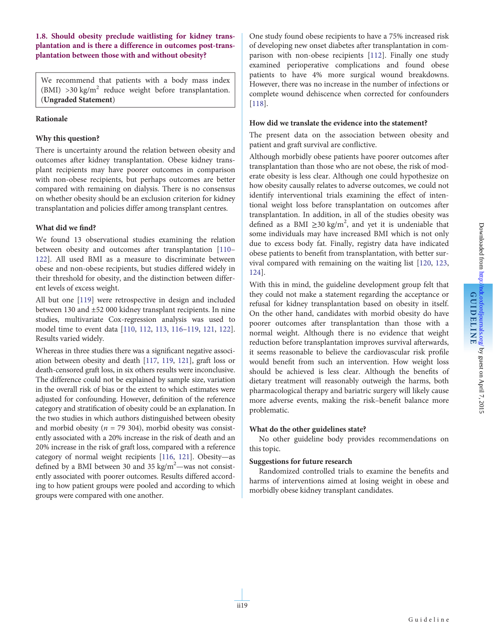1.8. Should obesity preclude waitlisting for kidney transplantation and is there a difference in outcomes post-transplantation between those with and without obesity?

We recommend that patients with a body mass index (BMI)  $>30 \text{ kg/m}^2$  reduce weight before transplantation. (Ungraded Statement)

#### Rationale

#### Why this question?

There is uncertainty around the relation between obesity and outcomes after kidney transplantation. Obese kidney transplant recipients may have poorer outcomes in comparison with non-obese recipients, but perhaps outcomes are better compared with remaining on dialysis. There is no consensus on whether obesity should be an exclusion criterion for kidney transplantation and policies differ among transplant centres.

#### What did we find?

We found 13 observational studies examining the relation between obesity and outcomes after transplantation [[110](#page-60-0)– [122\]](#page-61-0). All used BMI as a measure to discriminate between obese and non-obese recipients, but studies differed widely in their threshold for obesity, and the distinction between different levels of excess weight.

All but one [\[119](#page-61-0)] were retrospective in design and included between 130 and ±52 000 kidney transplant recipients. In nine studies, multivariate Cox-regression analysis was used to model time to event data [\[110,](#page-60-0) [112,](#page-60-0) [113](#page-61-0), [116](#page-61-0)–[119,](#page-61-0) [121,](#page-61-0) [122\]](#page-61-0). Results varied widely.

Whereas in three studies there was a significant negative association between obesity and death [\[117](#page-61-0), [119](#page-61-0), [121](#page-61-0)], graft loss or death-censored graft loss, in six others results were inconclusive. The difference could not be explained by sample size, variation in the overall risk of bias or the extent to which estimates were adjusted for confounding. However, definition of the reference category and stratification of obesity could be an explanation. In the two studies in which authors distinguished between obesity and morbid obesity ( $n = 79$  304), morbid obesity was consistently associated with a 20% increase in the risk of death and an 20% increase in the risk of graft loss, compared with a reference category of normal weight recipients [\[116](#page-61-0), [121\]](#page-61-0). Obesity—as defined by a BMI between 30 and 35 kg/m<sup>2</sup>-was not consistently associated with poorer outcomes. Results differed according to how patient groups were pooled and according to which groups were compared with one another.

One study found obese recipients to have a 75% increased risk of developing new onset diabetes after transplantation in comparison with non-obese recipients [\[112\]](#page-60-0). Finally one study examined perioperative complications and found obese patients to have 4% more surgical wound breakdowns. However, there was no increase in the number of infections or complete wound dehiscence when corrected for confounders [\[118\]](#page-61-0).

#### How did we translate the evidence into the statement?

The present data on the association between obesity and patient and graft survival are conflictive.

Although morbidly obese patients have poorer outcomes after transplantation than those who are not obese, the risk of moderate obesity is less clear. Although one could hypothesize on how obesity causally relates to adverse outcomes, we could not identify interventional trials examining the effect of intentional weight loss before transplantation on outcomes after transplantation. In addition, in all of the studies obesity was defined as a BMI  $\geq$ 30 kg/m<sup>2</sup>, and yet it is undeniable that some individuals may have increased BMI which is not only due to excess body fat. Finally, registry data have indicated obese patients to benefit from transplantation, with better survival compared with remaining on the waiting list [\[120,](#page-61-0) [123,](#page-61-0) [124](#page-61-0)].

With this in mind, the guideline development group felt that they could not make a statement regarding the acceptance or refusal for kidney transplantation based on obesity in itself. On the other hand, candidates with morbid obesity do have poorer outcomes after transplantation than those with a normal weight. Although there is no evidence that weight reduction before transplantation improves survival afterwards, it seems reasonable to believe the cardiovascular risk profile would benefit from such an intervention. How weight loss should be achieved is less clear. Although the benefits of dietary treatment will reasonably outweigh the harms, both pharmacological therapy and bariatric surgery will likely cause more adverse events, making the risk–benefit balance more problematic.

#### What do the other guidelines state?

No other guideline body provides recommendations on this topic.

#### Suggestions for future research

Randomized controlled trials to examine the benefits and harms of interventions aimed at losing weight in obese and morbidly obese kidney transplant candidates.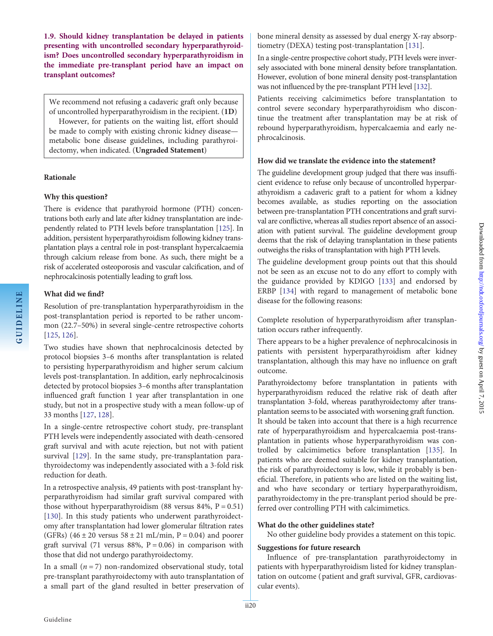1.9. Should kidney transplantation be delayed in patients presenting with uncontrolled secondary hyperparathyroidism? Does uncontrolled secondary hyperparathyroidism in the immediate pre-transplant period have an impact on transplant outcomes?

We recommend not refusing a cadaveric graft only because of uncontrolled hyperparathyroidism in the recipient. (1D) However, for patients on the waiting list, effort should be made to comply with existing chronic kidney disease metabolic bone disease guidelines, including parathyroi-

dectomy, when indicated. (Ungraded Statement)

#### Rationale

#### Why this question?

There is evidence that parathyroid hormone (PTH) concentrations both early and late after kidney transplantation are independently related to PTH levels before transplantation [[125\]](#page-61-0). In addition, persistent hyperparathyroidism following kidney transplantation plays a central role in post-transplant hypercalcaemia through calcium release from bone. As such, there might be a risk of accelerated osteoporosis and vascular calcification, and of nephrocalcinosis potentially leading to graft loss.

#### What did we find?

GUIDELINE

**GUIDELINE** 

Resolution of pre-transplantation hyperparathyroidism in the post-transplantation period is reported to be rather uncommon (22.7–50%) in several single-centre retrospective cohorts [[125](#page-61-0), [126](#page-61-0)].

Two studies have shown that nephrocalcinosis detected by protocol biopsies 3–6 months after transplantation is related to persisting hyperparathyroidism and higher serum calcium levels post-transplantation. In addition, early nephrocalcinosis detected by protocol biopsies 3–6 months after transplantation influenced graft function 1 year after transplantation in one study, but not in a prospective study with a mean follow-up of 33 months [[127](#page-61-0), [128\]](#page-61-0).

In a single-centre retrospective cohort study, pre-transplant PTH levels were independently associated with death-censored graft survival and with acute rejection, but not with patient survival [\[129\]](#page-61-0). In the same study, pre-transplantation parathyroidectomy was independently associated with a 3-fold risk reduction for death.

In a retrospective analysis, 49 patients with post-transplant hyperparathyroidism had similar graft survival compared with those without hyperparathyroidism (88 versus 84%,  $P = 0.51$ ) [[130](#page-61-0)]. In this study patients who underwent parathyroidectomy after transplantation had lower glomerular filtration rates (GFRs)  $(46 \pm 20 \text{ versus } 58 \pm 21 \text{ mL/min}, P = 0.04)$  and poorer graft survival (71 versus 88%,  $P = 0.06$ ) in comparison with those that did not undergo parathyroidectomy.

In a small  $(n = 7)$  non-randomized observational study, total pre-transplant parathyroidectomy with auto transplantation of a small part of the gland resulted in better preservation of bone mineral density as assessed by dual energy X-ray absorptiometry (DEXA) testing post-transplantation [\[131\]](#page-61-0).

In a single-centre prospective cohort study, PTH levels were inversely associated with bone mineral density before transplantation. However, evolution of bone mineral density post-transplantation was not influenced by the pre-transplant PTH level [\[132](#page-61-0)].

Patients receiving calcimimetics before transplantation to control severe secondary hyperparathyroidism who discontinue the treatment after transplantation may be at risk of rebound hyperparathyroidism, hypercalcaemia and early nephrocalcinosis.

#### How did we translate the evidence into the statement?

The guideline development group judged that there was insufficient evidence to refuse only because of uncontrolled hyperparathyroidism a cadaveric graft to a patient for whom a kidney becomes available, as studies reporting on the association between pre-transplantation PTH concentrations and graft survival are conflictive, whereas all studies report absence of an association with patient survival. The guideline development group deems that the risk of delaying transplantation in these patients outweighs the risks of transplantation with high PTH levels.

The guideline development group points out that this should not be seen as an excuse not to do any effort to comply with the guidance provided by KDIGO [[133](#page-61-0)] and endorsed by ERBP [[134](#page-61-0)] with regard to management of metabolic bone disease for the following reasons:

Complete resolution of hyperparathyroidism after transplantation occurs rather infrequently.

There appears to be a higher prevalence of nephrocalcinosis in patients with persistent hyperparathyroidism after kidney transplantation, although this may have no influence on graft outcome.

Parathyroidectomy before transplantation in patients with hyperparathyroidism reduced the relative risk of death after transplantation 3-fold, whereas parathyroidectomy after transplantation seems to be associated with worsening graft function. It should be taken into account that there is a high recurrence rate of hyperparathyroidism and hypercalcaemia post-transplantation in patients whose hyperparathyroidism was controlled by calcimimetics before transplantation [\[135\]](#page-61-0). In patients who are deemed suitable for kidney transplantation, the risk of parathyroidectomy is low, while it probably is beneficial. Therefore, in patients who are listed on the waiting list, and who have secondary or tertiary hyperparathyroidism, parathyroidectomy in the pre-transplant period should be preferred over controlling PTH with calcimimetics.

#### What do the other guidelines state?

No other guideline body provides a statement on this topic.

#### Suggestions for future research

Influence of pre-transplantation parathyroidectomy in patients with hyperparathyroidism listed for kidney transplantation on outcome ( patient and graft survival, GFR, cardiovascular events).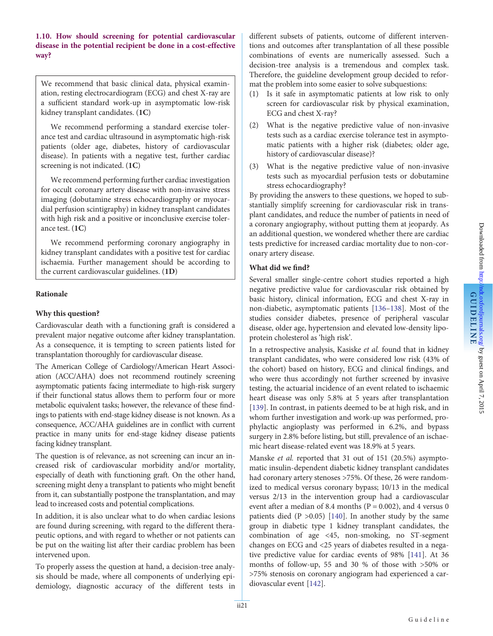### 1.10. How should screening for potential cardiovascular disease in the potential recipient be done in a cost-effective way?

We recommend that basic clinical data, physical examination, resting electrocardiogram (ECG) and chest X-ray are a sufficient standard work-up in asymptomatic low-risk kidney transplant candidates. (1C)

We recommend performing a standard exercise tolerance test and cardiac ultrasound in asymptomatic high-risk patients (older age, diabetes, history of cardiovascular disease). In patients with a negative test, further cardiac screening is not indicated. (1C)

We recommend performing further cardiac investigation for occult coronary artery disease with non-invasive stress imaging (dobutamine stress echocardiography or myocardial perfusion scintigraphy) in kidney transplant candidates with high risk and a positive or inconclusive exercise tolerance test. (1C)

We recommend performing coronary angiography in kidney transplant candidates with a positive test for cardiac ischaemia. Further management should be according to the current cardiovascular guidelines. (1D)

#### Rationale

#### Why this question?

Cardiovascular death with a functioning graft is considered a prevalent major negative outcome after kidney transplantation. As a consequence, it is tempting to screen patients listed for transplantation thoroughly for cardiovascular disease.

The American College of Cardiology/American Heart Association (ACC/AHA) does not recommend routinely screening asymptomatic patients facing intermediate to high-risk surgery if their functional status allows them to perform four or more metabolic equivalent tasks; however, the relevance of these findings to patients with end-stage kidney disease is not known. As a consequence, ACC/AHA guidelines are in conflict with current practice in many units for end-stage kidney disease patients facing kidney transplant.

The question is of relevance, as not screening can incur an increased risk of cardiovascular morbidity and/or mortality, especially of death with functioning graft. On the other hand, screening might deny a transplant to patients who might benefit from it, can substantially postpone the transplantation, and may lead to increased costs and potential complications.

In addition, it is also unclear what to do when cardiac lesions are found during screening, with regard to the different therapeutic options, and with regard to whether or not patients can be put on the waiting list after their cardiac problem has been intervened upon.

To properly assess the question at hand, a decision-tree analysis should be made, where all components of underlying epidemiology, diagnostic accuracy of the different tests in different subsets of patients, outcome of different interventions and outcomes after transplantation of all these possible combinations of events are numerically assessed. Such a decision-tree analysis is a tremendous and complex task. Therefore, the guideline development group decided to reformat the problem into some easier to solve subquestions:

- (1) Is it safe in asymptomatic patients at low risk to only screen for cardiovascular risk by physical examination, ECG and chest X-ray?
- (2) What is the negative predictive value of non-invasive tests such as a cardiac exercise tolerance test in asymptomatic patients with a higher risk (diabetes; older age, history of cardiovascular disease)?
- (3) What is the negative predictive value of non-invasive tests such as myocardial perfusion tests or dobutamine stress echocardiography?

By providing the answers to these questions, we hoped to substantially simplify screening for cardiovascular risk in transplant candidates, and reduce the number of patients in need of a coronary angiography, without putting them at jeopardy. As an additional question, we wondered whether there are cardiac tests predictive for increased cardiac mortality due to non-coronary artery disease.

### What did we find?

Several smaller single-centre cohort studies reported a high negative predictive value for cardiovascular risk obtained by basic history, clinical information, ECG and chest X-ray in non-diabetic, asymptomatic patients [\[136](#page-61-0)–[138](#page-61-0)]. Most of the studies consider diabetes, presence of peripheral vascular disease, older age, hypertension and elevated low-density lipoprotein cholesterol as 'high risk'.

In a retrospective analysis, Kasiske et al. found that in kidney transplant candidates, who were considered low risk (43% of the cohort) based on history, ECG and clinical findings, and who were thus accordingly not further screened by invasive testing, the actuarial incidence of an event related to ischaemic heart disease was only 5.8% at 5 years after transplantation [\[139\]](#page-61-0). In contrast, in patients deemed to be at high risk, and in whom further investigation and work-up was performed, prophylactic angioplasty was performed in 6.2%, and bypass surgery in 2.8% before listing, but still, prevalence of an ischaemic heart disease-related event was 18.9% at 5 years.

Manske et al. reported that 31 out of 151 (20.5%) asymptomatic insulin-dependent diabetic kidney transplant candidates had coronary artery stenoses >75%. Of these, 26 were randomized to medical versus coronary bypass; 10/13 in the medical versus 2/13 in the intervention group had a cardiovascular event after a median of 8.4 months ( $P = 0.002$ ), and 4 versus 0 patients died  $(P > 0.05)$  [\[140\]](#page-61-0). In another study by the same group in diabetic type 1 kidney transplant candidates, the combination of age <45, non-smoking, no ST-segment changes on ECG and <25 years of diabetes resulted in a negative predictive value for cardiac events of 98% [[141](#page-61-0)]. At 36 months of follow-up, 55 and 30 % of those with >50% or >75% stenosis on coronary angiogram had experienced a cardiovascular event [\[142\]](#page-61-0).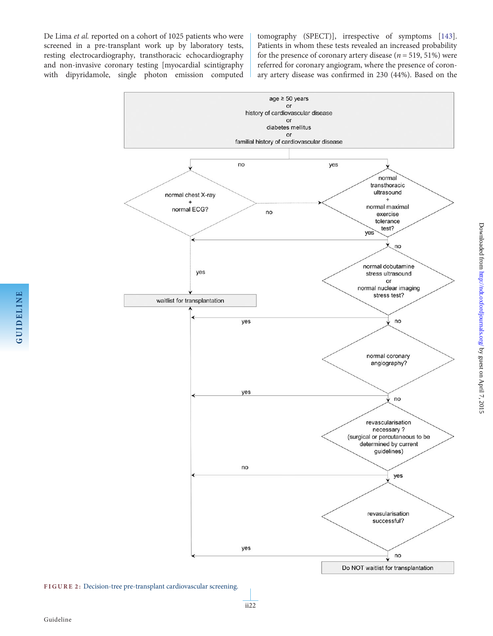De Lima et al. reported on a cohort of 1025 patients who were screened in a pre-transplant work up by laboratory tests, resting electrocardiography, transthoracic echocardiography and non-invasive coronary testing [myocardial scintigraphy with dipyridamole, single photon emission computed tomography (SPECT)], irrespective of symptoms [[143](#page-61-0)]. Patients in whom these tests revealed an increased probability for the presence of coronary artery disease ( $n = 519, 51\%$ ) were referred for coronary angiogram, where the presence of coronary artery disease was confirmed in 230 (44%). Based on the

Downloaded from <http://ndt.oxfordjournals.org/> by guest on April 7, 2015

Downloaded from http://ndt.oxfordjournals.org/ by guest on April 7, 2015



ii22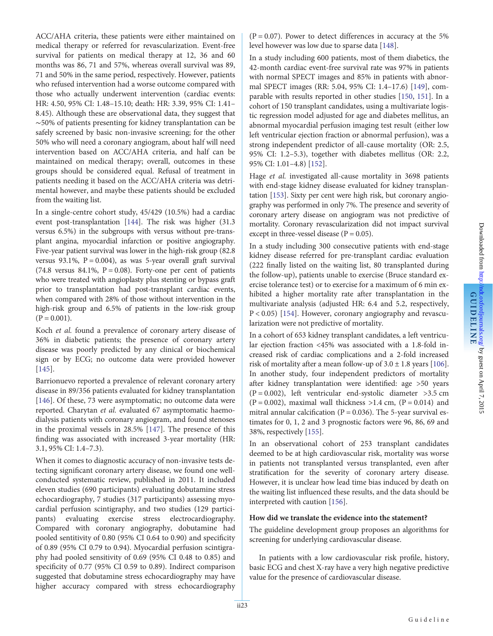ACC/AHA criteria, these patients were either maintained on medical therapy or referred for revascularization. Event-free survival for patients on medical therapy at 12, 36 and 60 months was 86, 71 and 57%, whereas overall survival was 89, 71 and 50% in the same period, respectively. However, patients who refused intervention had a worse outcome compared with those who actually underwent intervention (cardiac events: HR: 4.50, 95% CI: 1.48–15.10; death: HR: 3.39, 95% CI: 1.41– 8.45). Although these are observational data, they suggest that ∼50% of patients presenting for kidney transplantation can be safely screened by basic non-invasive screening; for the other 50% who will need a coronary angiogram, about half will need intervention based on ACC/AHA criteria, and half can be maintained on medical therapy; overall, outcomes in these groups should be considered equal. Refusal of treatment in patients needing it based on the ACC/AHA criteria was detrimental however, and maybe these patients should be excluded from the waiting list.

In a single-centre cohort study, 45/429 (10.5%) had a cardiac event post-transplantation [[144\]](#page-61-0). The risk was higher (31.3 versus 6.5%) in the subgroups with versus without pre-transplant angina, myocardial infarction or positive angiography. Five-year patient survival was lower in the high-risk group (82.8 versus 93.1%,  $P = 0.004$ ), as was 5-year overall graft survival (74.8 versus 84.1%,  $P = 0.08$ ). Forty-one per cent of patients who were treated with angioplasty plus stenting or bypass graft prior to transplantation had post-transplant cardiac events, when compared with 28% of those without intervention in the high-risk group and 6.5% of patients in the low-risk group  $(P = 0.001)$ .

Koch et al. found a prevalence of coronary artery disease of 36% in diabetic patients; the presence of coronary artery disease was poorly predicted by any clinical or biochemical sign or by ECG; no outcome data were provided however [[145](#page-61-0)].

Barrionuevo reported a prevalence of relevant coronary artery disease in 89/356 patients evaluated for kidney transplantation [[146](#page-62-0)]. Of these, 73 were asymptomatic; no outcome data were reported. Charytan et al. evaluated 67 asymptomatic haemodialysis patients with coronary angiogram, and found stenoses in the proximal vessels in 28.5% [[147](#page-62-0)]. The presence of this finding was associated with increased 3-year mortality (HR: 3.1, 95% CI: 1.4–7.3).

When it comes to diagnostic accuracy of non-invasive tests detecting significant coronary artery disease, we found one wellconducted systematic review, published in 2011. It included eleven studies (690 participants) evaluating dobutamine stress echocardiography, 7 studies (317 participants) assessing myocardial perfusion scintigraphy, and two studies (129 participants) evaluating exercise stress electrocardiography. Compared with coronary angiography, dobutamine had pooled sentitivity of 0.80 (95% CI 0.64 to 0.90) and specificity of 0.89 (95% CI 0.79 to 0.94). Myocardial perfusion scintigraphy had pooled sensitivity of 0.69 (95% CI 0.48 to 0.85) and specificity of 0.77 (95% CI 0.59 to 0.89). Indirect comparison suggested that dobutamine stress echocardiography may have higher accuracy compared with stress echocardiography

 $(P = 0.07)$ . Power to detect differences in accuracy at the 5% level however was low due to sparse data [\[148\]](#page-62-0).

In a study including 600 patients, most of them diabetics, the 42-month cardiac event-free survival rate was 97% in patients with normal SPECT images and 85% in patients with abnormal SPECT images (RR: 5.04, 95% CI: 1.4–17.6) [[149\]](#page-62-0), comparable with results reported in other studies [\[150,](#page-62-0) [151\]](#page-62-0). In a cohort of 150 transplant candidates, using a multivariate logistic regression model adjusted for age and diabetes mellitus, an abnormal myocardial perfusion imaging test result (either low left ventricular ejection fraction or abnormal perfusion), was a strong independent predictor of all-cause mortality (OR: 2.5, 95% CI: 1.2–5.3), together with diabetes mellitus (OR: 2.2, 95% CI: 1.01–4.8) [\[152\]](#page-62-0).

Hage et al. investigated all-cause mortality in 3698 patients with end-stage kidney disease evaluated for kidney transplantation [[153\]](#page-62-0). Sixty per cent were high risk, but coronary angiography was performed in only 7%. The presence and severity of coronary artery disease on angiogram was not predictive of mortality. Coronary revascularization did not impact survival except in three-vessel disease ( $P = 0.05$ ).

In a study including 300 consecutive patients with end-stage kidney disease referred for pre-transplant cardiac evaluation (222 finally listed on the waiting list, 80 transplanted during the follow-up), patients unable to exercise (Bruce standard exercise tolerance test) or to exercise for a maximum of 6 min exhibited a higher mortality rate after transplantation in the multivariate analysis (adjusted HR: 6.4 and 5.2, respectively, P < 0.05) [\[154\]](#page-62-0). However, coronary angiography and revascularization were not predictive of mortality.

In a cohort of 653 kidney transplant candidates, a left ventricular ejection fraction <45% was associated with a 1.8-fold increased risk of cardiac complications and a 2-fold increased risk of mortality after a mean follow-up of  $3.0 \pm 1.8$  years [[106](#page-60-0)]. In another study, four independent predictors of mortality after kidney transplantation were identified: age >50 years  $(P = 0.002)$ , left ventricular end-systolic diameter >3.5 cm  $(P = 0.002)$ , maximal wall thickness >1.4 cm,  $(P = 0.014)$  and mitral annular calcification ( $P = 0.036$ ). The 5-year survival estimates for 0, 1, 2 and 3 prognostic factors were 96, 86, 69 and 38%, respectively [\[155\]](#page-62-0).

In an observational cohort of 253 transplant candidates deemed to be at high cardiovascular risk, mortality was worse in patients not transplanted versus transplanted, even after stratification for the severity of coronary artery disease. However, it is unclear how lead time bias induced by death on the waiting list influenced these results, and the data should be interpreted with caution [[156](#page-62-0)].

### How did we translate the evidence into the statement?

The guideline development group proposes an algorithms for screening for underlying cardiovascular disease.

In patients with a low cardiovascular risk profile, history, basic ECG and chest X-ray have a very high negative predictive value for the presence of cardiovascular disease.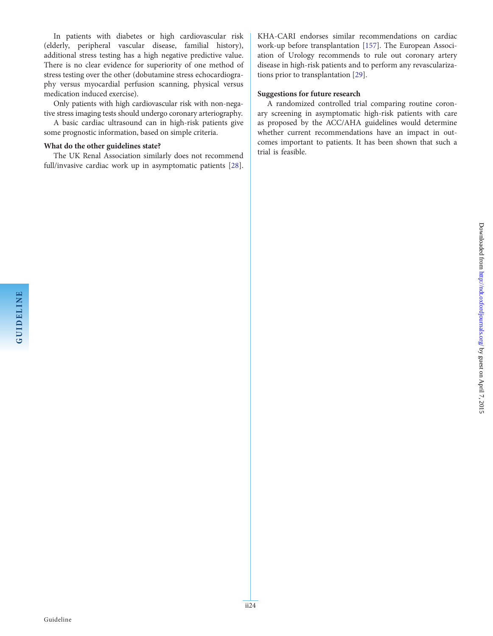In patients with diabetes or high cardiovascular risk (elderly, peripheral vascular disease, familial history), additional stress testing has a high negative predictive value. There is no clear evidence for superiority of one method of stress testing over the other (dobutamine stress echocardiography versus myocardial perfusion scanning, physical versus medication induced exercise).

Only patients with high cardiovascular risk with non-negative stress imaging tests should undergo coronary arteriography.

A basic cardiac ultrasound can in high-risk patients give some prognostic information, based on simple criteria.

#### What do the other guidelines state?

The UK Renal Association similarly does not recommend full/invasive cardiac work up in asymptomatic patients [\[28\]](#page-58-0).

KHA-CARI endorses similar recommendations on cardiac work-up before transplantation [[157](#page-62-0)]. The European Association of Urology recommends to rule out coronary artery disease in high-risk patients and to perform any revascularizations prior to transplantation [\[29\]](#page-58-0).

### Suggestions for future research

A randomized controlled trial comparing routine coronary screening in asymptomatic high-risk patients with care as proposed by the ACC/AHA guidelines would determine whether current recommendations have an impact in outcomes important to patients. It has been shown that such a trial is feasible.

> Downloaded from http://ndt.oxfordjournals.org/ by guest on April 7, 2015 Downloaded from <http://ndt.oxfordjournals.org/> by guest on April 7, 2015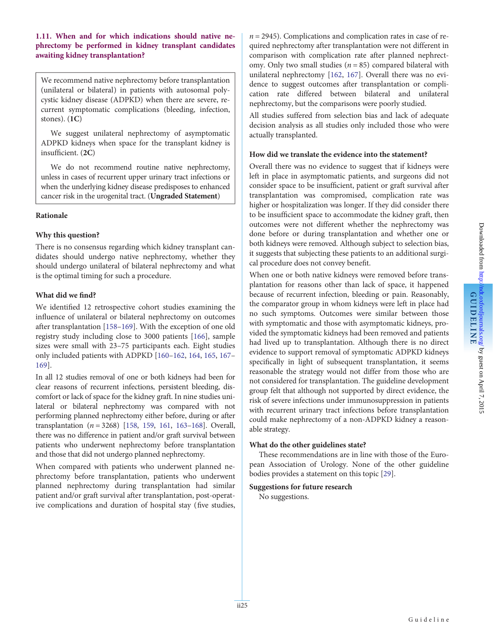### 1.11. When and for which indications should native nephrectomy be performed in kidney transplant candidates awaiting kidney transplantation?

We recommend native nephrectomy before transplantation (unilateral or bilateral) in patients with autosomal polycystic kidney disease (ADPKD) when there are severe, recurrent symptomatic complications (bleeding, infection, stones). (1C)

We suggest unilateral nephrectomy of asymptomatic ADPKD kidneys when space for the transplant kidney is insufficient. (2C)

We do not recommend routine native nephrectomy, unless in cases of recurrent upper urinary tract infections or when the underlying kidney disease predisposes to enhanced cancer risk in the urogenital tract. (Ungraded Statement)

#### Rationale

#### Why this question?

There is no consensus regarding which kidney transplant candidates should undergo native nephrectomy, whether they should undergo unilateral of bilateral nephrectomy and what is the optimal timing for such a procedure.

### What did we find?

We identified 12 retrospective cohort studies examining the influence of unilateral or bilateral nephrectomy on outcomes after transplantation [\[158](#page-62-0)–[169](#page-62-0)]. With the exception of one old registry study including close to 3000 patients [\[166\]](#page-62-0), sample sizes were small with 23–75 participants each. Eight studies only included patients with ADPKD [[160](#page-62-0)–[162,](#page-62-0) [164,](#page-62-0) [165,](#page-62-0) [167](#page-62-0)– [169\]](#page-62-0).

In all 12 studies removal of one or both kidneys had been for clear reasons of recurrent infections, persistent bleeding, discomfort or lack of space for the kidney graft. In nine studies unilateral or bilateral nephrectomy was compared with not performing planned nephrectomy either before, during or after transplantation  $(n = 3268)$  [\[158](#page-62-0), [159](#page-62-0), [161](#page-62-0), [163](#page-62-0)-[168\]](#page-62-0). Overall, there was no difference in patient and/or graft survival between patients who underwent nephrectomy before transplantation and those that did not undergo planned nephrectomy.

When compared with patients who underwent planned nephrectomy before transplantation, patients who underwent planned nephrectomy during transplantation had similar patient and/or graft survival after transplantation, post-operative complications and duration of hospital stay (five studies,  $n = 2945$ ). Complications and complication rates in case of required nephrectomy after transplantation were not different in comparison with complication rate after planned nephrectomy. Only two small studies ( $n = 85$ ) compared bilateral with unilateral nephrectomy [[162](#page-62-0), [167](#page-62-0)]. Overall there was no evidence to suggest outcomes after transplantation or complication rate differed between bilateral and unilateral nephrectomy, but the comparisons were poorly studied.

All studies suffered from selection bias and lack of adequate decision analysis as all studies only included those who were actually transplanted.

#### How did we translate the evidence into the statement?

Overall there was no evidence to suggest that if kidneys were left in place in asymptomatic patients, and surgeons did not consider space to be insufficient, patient or graft survival after transplantation was compromised, complication rate was higher or hospitalization was longer. If they did consider there to be insufficient space to accommodate the kidney graft, then outcomes were not different whether the nephrectomy was done before or during transplantation and whether one or both kidneys were removed. Although subject to selection bias, it suggests that subjecting these patients to an additional surgical procedure does not convey benefit.

When one or both native kidneys were removed before transplantation for reasons other than lack of space, it happened because of recurrent infection, bleeding or pain. Reasonably, the comparator group in whom kidneys were left in place had no such symptoms. Outcomes were similar between those with symptomatic and those with asymptomatic kidneys, provided the symptomatic kidneys had been removed and patients had lived up to transplantation. Although there is no direct evidence to support removal of symptomatic ADPKD kidneys specifically in light of subsequent transplantation, it seems reasonable the strategy would not differ from those who are not considered for transplantation. The guideline development group felt that although not supported by direct evidence, the risk of severe infections under immunosuppression in patients with recurrent urinary tract infections before transplantation could make nephrectomy of a non-ADPKD kidney a reasonable strategy.

#### What do the other guidelines state?

These recommendations are in line with those of the European Association of Urology. None of the other guideline bodies provides a statement on this topic [\[29](#page-58-0)].

#### Suggestions for future research

No suggestions.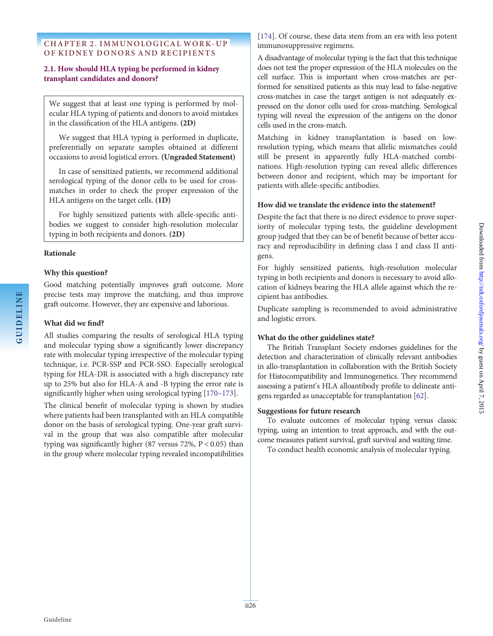### CHAPTER 2. IMMUNOLOGICAL WORK-UP OF KIDNEY DONORS AND RECIPIENTS

### 2.1. How should HLA typing be performed in kidney transplant candidates and donors?

We suggest that at least one typing is performed by molecular HLA typing of patients and donors to avoid mistakes in the classification of the HLA antigens. (2D)

We suggest that HLA typing is performed in duplicate, preferentially on separate samples obtained at different occasions to avoid logistical errors. (Ungraded Statement)

In case of sensitized patients, we recommend additional serological typing of the donor cells to be used for crossmatches in order to check the proper expression of the HLA antigens on the target cells. (1D)

For highly sensitized patients with allele-specific antibodies we suggest to consider high-resolution molecular typing in both recipients and donors. (2D)

#### Rationale

GUIDELINE

**GUIDELINE** 

#### Why this question?

Good matching potentially improves graft outcome. More precise tests may improve the matching, and thus improve graft outcome. However, they are expensive and laborious.

#### What did we find?

All studies comparing the results of serological HLA typing and molecular typing show a significantly lower discrepancy rate with molecular typing irrespective of the molecular typing technique, i.e. PCR-SSP and PCR-SSO. Especially serological typing for HLA-DR is associated with a high discrepancy rate up to 25% but also for HLA-A and -B typing the error rate is significantly higher when using serological typing [\[170](#page-62-0)–[173](#page-62-0)].

The clinical benefit of molecular typing is shown by studies where patients had been transplanted with an HLA compatible donor on the basis of serological typing. One-year graft survival in the group that was also compatible after molecular typing was significantly higher (87 versus 72%,  $P < 0.05$ ) than in the group where molecular typing revealed incompatibilities [\[174\]](#page-62-0). Of course, these data stem from an era with less potent immunosuppressive regimens.

A disadvantage of molecular typing is the fact that this technique does not test the proper expression of the HLA molecules on the cell surface. This is important when cross-matches are performed for sensitized patients as this may lead to false-negative cross-matches in case the target antigen is not adequately expressed on the donor cells used for cross-matching. Serological typing will reveal the expression of the antigens on the donor cells used in the cross-match.

Matching in kidney transplantation is based on lowresolution typing, which means that allelic mismatches could still be present in apparently fully HLA-matched combinations. High-resolution typing can reveal allelic differences between donor and recipient, which may be important for patients with allele-specific antibodies.

#### How did we translate the evidence into the statement?

Despite the fact that there is no direct evidence to prove superiority of molecular typing tests, the guideline development group judged that they can be of benefit because of better accuracy and reproducibility in defining class I and class II antigens.

For highly sensitized patients, high-resolution molecular typing in both recipients and donors is necessary to avoid allocation of kidneys bearing the HLA allele against which the recipient has antibodies.

Duplicate sampling is recommended to avoid administrative and logistic errors.

### What do the other guidelines state?

The British Transplant Society endorses guidelines for the detection and characterization of clinically relevant antibodies in allo-transplantation in collaboration with the British Society for Histocompatibility and Immunogenetics. They recommend assessing a patient's HLA alloantibody profile to delineate antigens regarded as unacceptable for transplantation [\[62\]](#page-59-0).

#### Suggestions for future research

To evaluate outcomes of molecular typing versus classic typing, using an intention to treat approach, and with the outcome measures patient survival, graft survival and waiting time.

To conduct health economic analysis of molecular typing.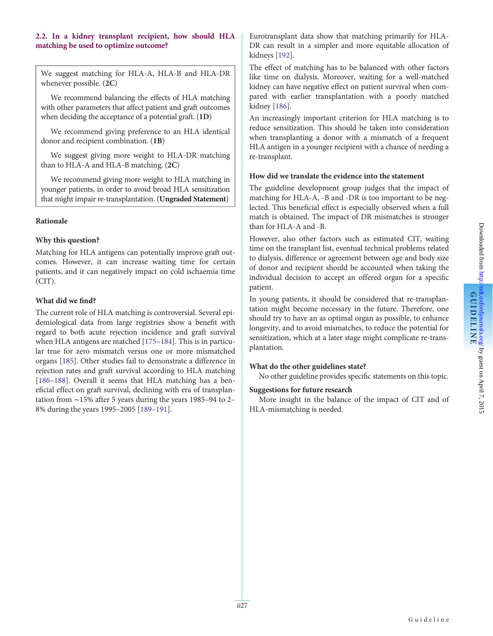### 2.2. In a kidney transplant recipient, how should HLA matching be used to optimize outcome?

We suggest matching for HLA-A, HLA-B and HLA-DR whenever possible. (2C)

We recommend balancing the effects of HLA matching with other parameters that affect patient and graft outcomes when deciding the acceptance of a potential graft. (1D)

We recommend giving preference to an HLA identical donor and recipient combination. (1B)

We suggest giving more weight to HLA-DR matching than to HLA-A and HLA-B matching. (2C)

We recommend giving more weight to HLA matching in younger patients, in order to avoid broad HLA sensitization that might impair re-transplantation. (Ungraded Statement)

### Rationale

### Why this question?

Matching for HLA antigens can potentially improve graft outcomes. However, it can increase waiting time for certain patients, and it can negatively impact on cold ischaemia time (CIT).

#### What did we find?

The current role of HLA matching is controversial. Several epidemiological data from large registries show a benefit with regard to both acute rejection incidence and graft survival when HLA antigens are matched [[175](#page-62-0)–[184\]](#page-63-0). This is in particular true for zero mismatch versus one or more mismatched organs [\[185\]](#page-63-0). Other studies fail to demonstrate a difference in rejection rates and graft survival according to HLA matching [[186](#page-63-0)–[188\]](#page-63-0). Overall it seems that HLA matching has a beneficial effect on graft survival, declining with era of transplantation from ∼15% after 5 years during the years 1985–94 to 2– 8% during the years 1995–2005 [\[189](#page-63-0)–[191](#page-63-0)].

Eurotransplant data show that matching primarily for HLA-DR can result in a simpler and more equitable allocation of kidneys [[192](#page-63-0)].

The effect of matching has to be balanced with other factors like time on dialysis. Moreover, waiting for a well-matched kidney can have negative effect on patient survival when compared with earlier transplantation with a poorly matched kidney [\[186\]](#page-63-0).

An increasingly important criterion for HLA matching is to reduce sensitization. This should be taken into consideration when transplanting a donor with a mismatch of a frequent HLA antigen in a younger recipient with a chance of needing a re-transplant.

#### How did we translate the evidence into the statement

The guideline development group judges that the impact of matching for HLA-A, -B and -DR is too important to be neglected. This beneficial effect is especially observed when a full match is obtained. The impact of DR mismatches is stronger than for HLA-A and -B.

However, also other factors such as estimated CIT, waiting time on the transplant list, eventual technical problems related to dialysis, difference or agreement between age and body size of donor and recipient should be accounted when taking the individual decision to accept an offered organ for a specific patient.

In young patients, it should be considered that re-transplantation might become necessary in the future. Therefore, one should try to have an as optimal organ as possible, to enhance longevity, and to avoid mismatches, to reduce the potential for sensitization, which at a later stage might complicate re-transplantation.

### What do the other guidelines state?

No other guideline provides specific statements on this topic.

### Suggestions for future research

More insight in the balance of the impact of CIT and of HLA-mismatching is needed.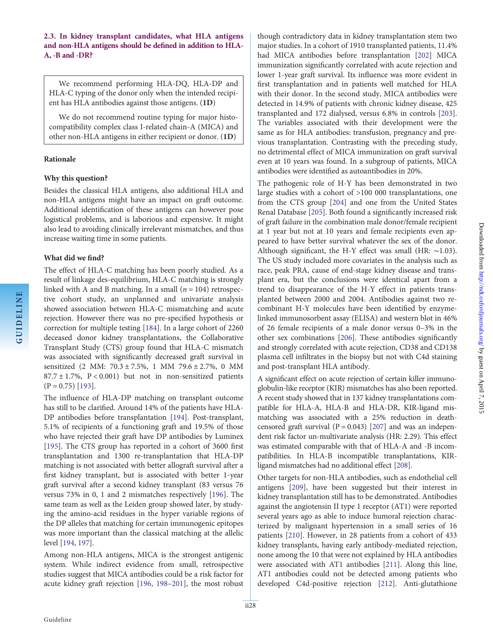We recommend performing HLA-DQ, HLA-DP and HLA-C typing of the donor only when the intended recipient has HLA antibodies against those antigens. (1D)

We do not recommend routine typing for major histocompatibility complex class I-related chain-A (MICA) and other non-HLA antigens in either recipient or donor. (1D)

#### Rationale

### Why this question?

Besides the classical HLA antigens, also additional HLA and non-HLA antigens might have an impact on graft outcome. Additional identification of these antigens can however pose logistical problems, and is laborious and expensive. It might also lead to avoiding clinically irrelevant mismatches, and thus increase waiting time in some patients.

### What did we find?

GUIDELINE

**GUIDELINE** 

The effect of HLA-C matching has been poorly studied. As a result of linkage des-equilibrium, HLA-C matching is strongly linked with A and B matching. In a small  $(n = 104)$  retrospective cohort study, an unplanned and univariate analysis showed association between HLA-C mismatching and acute rejection. However there was no pre-specified hypothesis or correction for multiple testing [[184\]](#page-63-0). In a large cohort of 2260 deceased donor kidney transplantations, the Collaborative Transplant Study (CTS) group found that HLA-C mismatch was associated with significantly decreased graft survival in sensitized (2 MM: 70.3 ± 7.5%, 1 MM 79.6 ± 2.7%, 0 MM  $87.7 \pm 1.7$ %,  $P < 0.001$ ) but not in non-sensitized patients  $(P = 0.75)$  [\[193](#page-63-0)].

The influence of HLA-DP matching on transplant outcome has still to be clarified. Around 14% of the patients have HLA-DP antibodies before transplantation [[194](#page-63-0)]. Post-transplant, 5.1% of recipients of a functioning graft and 19.5% of those who have rejected their graft have DP antibodies by Luminex [[195](#page-63-0)]. The CTS group has reported in a cohort of 3600 first transplantation and 1300 re-transplantation that HLA-DP matching is not associated with better allograft survival after a first kidney transplant, but is associated with better 1-year graft survival after a second kidney transplant (83 versus 76 versus 73% in 0, 1 and 2 mismatches respectively [\[196\]](#page-63-0). The same team as well as the Leiden group showed later, by studying the amino-acid residues in the hyper variable regions of the DP alleles that matching for certain immunogenic epitopes was more important than the classical matching at the allelic level [[194](#page-63-0), [197](#page-63-0)].

Among non-HLA antigens, MICA is the strongest antigenic system. While indirect evidence from small, retrospective studies suggest that MICA antibodies could be a risk factor for acute kidney graft rejection [[196,](#page-63-0) [198](#page-63-0)–[201\]](#page-63-0), the most robust

though contradictory data in kidney transplantation stem two major studies. In a cohort of 1910 transplanted patients, 11.4% had MICA antibodies before transplantation [\[202](#page-63-0)] MICA immunization significantly correlated with acute rejection and lower 1-year graft survival. Its influence was more evident in first transplantation and in patients well matched for HLA with their donor. In the second study, MICA antibodies were detected in 14.9% of patients with chronic kidney disease, 425 transplanted and 172 dialysed, versus 6.8% in controls [[203](#page-63-0)]. The variables associated with their development were the same as for HLA antibodies: transfusion, pregnancy and previous transplantation. Contrasting with the preceding study, no detrimental effect of MICA immunization on graft survival even at 10 years was found. In a subgroup of patients, MICA antibodies were identified as autoantibodies in 20%.

The pathogenic role of H-Y has been demonstrated in two large studies with a cohort of >100 000 transplantations, one from the CTS group [\[204](#page-63-0)] and one from the United States Renal Database [[205\]](#page-63-0). Both found a significantly increased risk of graft failure in the combination male donor/female recipient at 1 year but not at 10 years and female recipients even appeared to have better survival whatever the sex of the donor. Although significant, the H-Y effect was small (HR: ∼1.03). The US study included more covariates in the analysis such as race, peak PRA, cause of end-stage kidney disease and transplant era, but the conclusions were identical apart from a trend to disappearance of the H-Y effect in patients transplanted between 2000 and 2004. Antibodies against two recombinant H-Y molecules have been identified by enzymelinked immunosorbent assay (ELISA) and western blot in 46% of 26 female recipients of a male donor versus 0–3% in the other sex combinations [\[206\]](#page-63-0). These antibodies significantly and strongly correlated with acute rejection, CD38 and CD138 plasma cell infiltrates in the biopsy but not with C4d staining and post-transplant HLA antibody.

A significant effect on acute rejection of certain killer immunoglobulin-like receptor (KIR) mismatches has also been reported. A recent study showed that in 137 kidney transplantations compatible for HLA-A, HLA-B and HLA-DR, KIR-ligand mismatching was associated with a 25% reduction in deathcensored graft survival  $(P = 0.043)$  [[207\]](#page-63-0) and was an independent risk factor un-multivariate analysis (HR: 2.29). This effect was estimated comparable with that of HLA-A and -B incompatibilities. In HLA-B incompatible transplantations, KIRligand mismatches had no additional effect [[208\]](#page-63-0).

Other targets for non-HLA antibodies, such as endothelial cell antigens [[209\]](#page-63-0), have been suggested but their interest in kidney transplantation still has to be demonstrated. Antibodies against the angiotensin II type 1 receptor (AT1) were reported several years ago as able to induce humoral rejection characterized by malignant hypertension in a small series of 16 patients [\[210\]](#page-63-0). However, in 28 patients from a cohort of 433 kidney transplants, having early antibody-mediated rejection, none among the 10 that were not explained by HLA antibodies were associated with AT1 antibodies [\[211\]](#page-64-0). Along this line, AT1 antibodies could not be detected among patients who developed C4d-positive rejection [\[212\]](#page-64-0). Anti-glutathione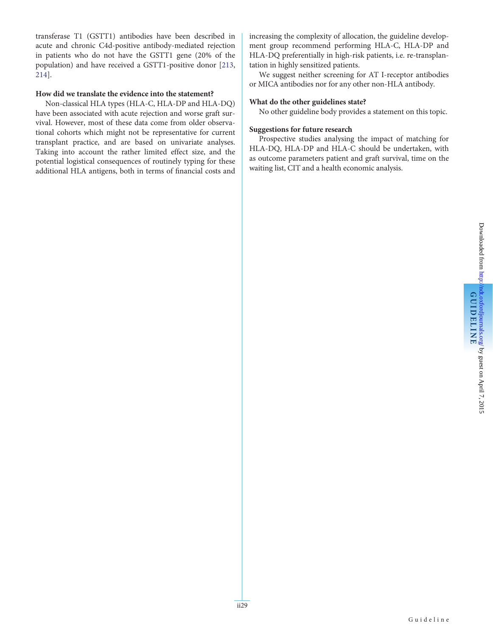transferase T1 (GSTT1) antibodies have been described in acute and chronic C4d-positive antibody-mediated rejection in patients who do not have the GSTT1 gene (20% of the population) and have received a GSTT1-positive donor [[213](#page-64-0), [214\]](#page-64-0).

### How did we translate the evidence into the statement?

Non-classical HLA types (HLA-C, HLA-DP and HLA-DQ) have been associated with acute rejection and worse graft survival. However, most of these data come from older observational cohorts which might not be representative for current transplant practice, and are based on univariate analyses. Taking into account the rather limited effect size, and the potential logistical consequences of routinely typing for these additional HLA antigens, both in terms of financial costs and

increasing the complexity of allocation, the guideline development group recommend performing HLA-C, HLA-DP and HLA-DQ preferentially in high-risk patients, i.e. re-transplantation in highly sensitized patients.

We suggest neither screening for AT I-receptor antibodies or MICA antibodies nor for any other non-HLA antibody.

### What do the other guidelines state?

No other guideline body provides a statement on this topic.

### Suggestions for future research

Prospective studies analysing the impact of matching for HLA-DQ, HLA-DP and HLA-C should be undertaken, with as outcome parameters patient and graft survival, time on the waiting list, CIT and a health economic analysis.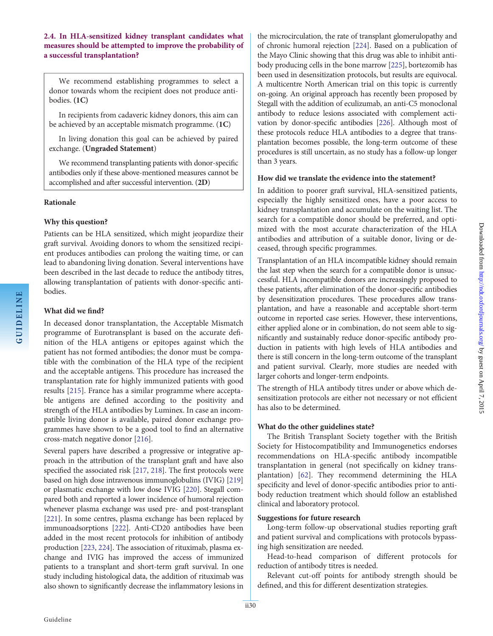### 2.4. In HLA-sensitized kidney transplant candidates what measures should be attempted to improve the probability of a successful transplantation?

We recommend establishing programmes to select a donor towards whom the recipient does not produce antibodies. (1C)

In recipients from cadaveric kidney donors, this aim can be achieved by an acceptable mismatch programme. (1C)

In living donation this goal can be achieved by paired exchange. (Ungraded Statement)

We recommend transplanting patients with donor-specific antibodies only if these above-mentioned measures cannot be accomplished and after successful intervention. (2D)

#### Rationale

#### Why this question?

Patients can be HLA sensitized, which might jeopardize their graft survival. Avoiding donors to whom the sensitized recipient produces antibodies can prolong the waiting time, or can lead to abandoning living donation. Several interventions have been described in the last decade to reduce the antibody titres, allowing transplantation of patients with donor-specific antibodies.

#### What did we find?

GUIDELINE

**GUIDELINE** 

In deceased donor transplantation, the Acceptable Mismatch programme of Eurotransplant is based on the accurate definition of the HLA antigens or epitopes against which the patient has not formed antibodies; the donor must be compatible with the combination of the HLA type of the recipient and the acceptable antigens. This procedure has increased the transplantation rate for highly immunized patients with good results [[215\]](#page-64-0). France has a similar programme where acceptable antigens are defined according to the positivity and strength of the HLA antibodies by Luminex. In case an incompatible living donor is available, paired donor exchange programmes have shown to be a good tool to find an alternative cross-match negative donor [[216](#page-64-0)].

Several papers have described a progressive or integrative approach in the attribution of the transplant graft and have also specified the associated risk [\[217](#page-64-0), [218](#page-64-0)]. The first protocols were based on high dose intravenous immunoglobulins (IVIG) [\[219](#page-64-0)] or plasmatic exchange with low dose IVIG [[220\]](#page-64-0). Stegall compared both and reported a lower incidence of humoral rejection whenever plasma exchange was used pre- and post-transplant [[221\]](#page-64-0). In some centres, plasma exchange has been replaced by immunoadsorptions [[222\]](#page-64-0). Anti-CD20 antibodies have been added in the most recent protocols for inhibition of antibody production [[223,](#page-64-0) [224](#page-64-0)]. The association of rituximab, plasma exchange and IVIG has improved the access of immunized patients to a transplant and short-term graft survival. In one study including histological data, the addition of rituximab was also shown to significantly decrease the inflammatory lesions in

the microcirculation, the rate of transplant glomerulopathy and of chronic humoral rejection [[224\]](#page-64-0). Based on a publication of the Mayo Clinic showing that this drug was able to inhibit antibody producing cells in the bone marrow [[225\]](#page-64-0), bortezomib has been used in desensitization protocols, but results are equivocal. A multicentre North American trial on this topic is currently on-going. An original approach has recently been proposed by Stegall with the addition of eculizumab, an anti-C5 monoclonal antibody to reduce lesions associated with complement activation by donor-specific antibodies [[226](#page-64-0)]. Although most of these protocols reduce HLA antibodies to a degree that transplantation becomes possible, the long-term outcome of these procedures is still uncertain, as no study has a follow-up longer than 3 years.

#### How did we translate the evidence into the statement?

In addition to poorer graft survival, HLA-sensitized patients, especially the highly sensitized ones, have a poor access to kidney transplantation and accumulate on the waiting list. The search for a compatible donor should be preferred, and optimized with the most accurate characterization of the HLA antibodies and attribution of a suitable donor, living or deceased, through specific programmes.

Transplantation of an HLA incompatible kidney should remain the last step when the search for a compatible donor is unsuccessful. HLA incompatible donors are increasingly proposed to these patients, after elimination of the donor-specific antibodies by desensitization procedures. These procedures allow transplantation, and have a reasonable and acceptable short-term outcome in reported case series. However, these interventions, either applied alone or in combination, do not seem able to significantly and sustainably reduce donor-specific antibody production in patients with high levels of HLA antibodies and there is still concern in the long-term outcome of the transplant and patient survival. Clearly, more studies are needed with larger cohorts and longer-term endpoints.

The strength of HLA antibody titres under or above which desensitization protocols are either not necessary or not efficient has also to be determined.

### What do the other guidelines state?

The British Transplant Society together with the British Society for Histocompatibility and Immunogenetics endorses recommendations on HLA-specific antibody incompatible transplantation in general (not specifically on kidney transplantation) [[62](#page-59-0)]. They recommend determining the HLA specificity and level of donor-specific antibodies prior to antibody reduction treatment which should follow an established clinical and laboratory protocol.

### Suggestions for future research

Long-term follow-up observational studies reporting graft and patient survival and complications with protocols bypassing high sensitization are needed.

Head-to-head comparison of different protocols for reduction of antibody titres is needed.

Relevant cut-off points for antibody strength should be defined, and this for different desentization strategies.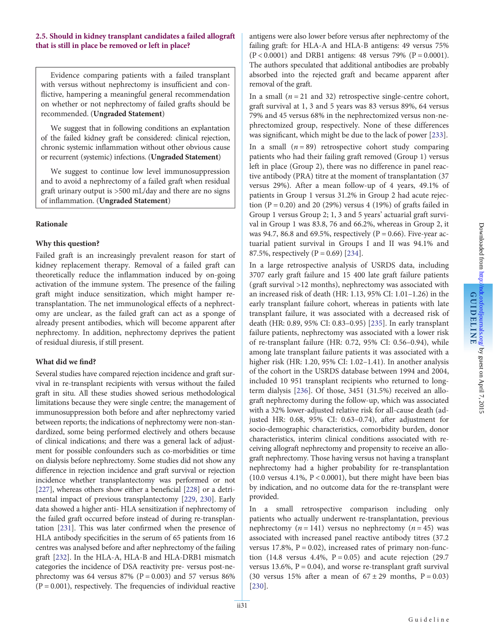### 2.5. Should in kidney transplant candidates a failed allograft that is still in place be removed or left in place?

Evidence comparing patients with a failed transplant with versus without nephrectomy is insufficient and conflictive, hampering a meaningful general recommendation on whether or not nephrectomy of failed grafts should be recommended. (Ungraded Statement)

We suggest that in following conditions an explantation of the failed kidney graft be considered: clinical rejection, chronic systemic inflammation without other obvious cause or recurrent (systemic) infections. (Ungraded Statement)

We suggest to continue low level immunosuppression and to avoid a nephrectomy of a failed graft when residual graft urinary output is >500 mL/day and there are no signs of inflammation. (Ungraded Statement)

### Rationale

#### Why this question?

Failed graft is an increasingly prevalent reason for start of kidney replacement therapy. Removal of a failed graft can theoretically reduce the inflammation induced by on-going activation of the immune system. The presence of the failing graft might induce sensitization, which might hamper retransplantation. The net immunological effects of a nephrectomy are unclear, as the failed graft can act as a sponge of already present antibodies, which will become apparent after nephrectomy. In addition, nephrectomy deprives the patient of residual diuresis, if still present.

#### What did we find?

Several studies have compared rejection incidence and graft survival in re-transplant recipients with versus without the failed graft in situ. All these studies showed serious methodological limitations because they were single centre; the management of immunosuppression both before and after nephrectomy varied between reports; the indications of nephrectomy were non-standardized, some being performed electively and others because of clinical indications; and there was a general lack of adjustment for possible confounders such as co-morbidities or time on dialysis before nephrectomy. Some studies did not show any difference in rejection incidence and graft survival or rejection incidence whether transplantectomy was performed or not [[227\]](#page-64-0), whereas others show either a beneficial [\[228](#page-64-0)] or a detrimental impact of previous transplantectomy [[229,](#page-64-0) [230\]](#page-64-0). Early data showed a higher anti- HLA sensitization if nephrectomy of the failed graft occurred before instead of during re-transplantation [[231\]](#page-64-0). This was later confirmed when the presence of HLA antibody specificities in the serum of 65 patients from 16 centres was analysed before and after nephrectomy of the failing graft [\[232](#page-64-0)]. In the HLA-A, HLA-B and HLA-DRB1 mismatch categories the incidence of DSA reactivity pre- versus post-nephrectomy was 64 versus 87% ( $P = 0.003$ ) and 57 versus 86%  $(P = 0.001)$ , respectively. The frequencies of individual reactive antigens were also lower before versus after nephrectomy of the failing graft: for HLA-A and HLA-B antigens: 49 versus 75%  $(P < 0.0001)$  and DRB1 antigens: 48 versus 79% (P = 0.0001). The authors speculated that additional antibodies are probably absorbed into the rejected graft and became apparent after removal of the graft.

In a small  $(n = 21$  and 32) retrospective single-centre cohort, graft survival at 1, 3 and 5 years was 83 versus 89%, 64 versus 79% and 45 versus 68% in the nephrectomized versus non-nephrectomized group, respectively. None of these differences was significant, which might be due to the lack of power [[233\]](#page-64-0).

In a small  $(n = 89)$  retrospective cohort study comparing patients who had their failing graft removed (Group 1) versus left in place (Group 2), there was no difference in panel reactive antibody (PRA) titre at the moment of transplantation (37 versus 29%). After a mean follow-up of 4 years, 49.1% of patients in Group 1 versus 31.2% in Group 2 had acute rejection  $(P = 0.20)$  and 20 (29%) versus 4 (19%) of grafts failed in Group 1 versus Group 2; 1, 3 and 5 years' actuarial graft survival in Group 1 was 83.8, 76 and 66.2%, whereas in Group 2, it was 94.7, 86.8 and 69.5%, respectively ( $P = 0.66$ ). Five-year actuarial patient survival in Groups I and II was 94.1% and 87.5%, respectively  $(P = 0.69)$  [\[234\]](#page-64-0).

In a large retrospective analysis of USRDS data, including 3707 early graft failure and 15 400 late graft failure patients (graft survival >12 months), nephrectomy was associated with an increased risk of death (HR: 1.13, 95% CI: 1.01–1.26) in the early transplant failure cohort, whereas in patients with late transplant failure, it was associated with a decreased risk of death (HR: 0.89, 95% CI: 0.83–0.95) [[235](#page-64-0)]. In early transplant failure patients, nephrectomy was associated with a lower risk of re-transplant failure (HR: 0.72, 95% CI: 0.56–0.94), while among late transplant failure patients it was associated with a higher risk (HR: 1.20, 95% CI: 1.02–1.41). In another analysis of the cohort in the USRDS database between 1994 and 2004, included 10 951 transplant recipients who returned to longterm dialysis [\[236\]](#page-64-0). Of those, 3451 (31.5%) received an allograft nephrectomy during the follow-up, which was associated with a 32% lower-adjusted relative risk for all-cause death (adjusted HR: 0.68, 95% CI: 0.63–0.74), after adjustment for socio-demographic characteristics, comorbidity burden, donor characteristics, interim clinical conditions associated with receiving allograft nephrectomy and propensity to receive an allograft nephrectomy. Those having versus not having a transplant nephrectomy had a higher probability for re-transplantation (10.0 versus  $4.1\%$ ,  $P < 0.0001$ ), but there might have been bias by indication, and no outcome data for the re-transplant were provided.

In a small retrospective comparison including only patients who actually underwent re-transplantation, previous nephrectomy  $(n = 141)$  versus no nephrectomy  $(n = 45)$  was associated with increased panel reactive antibody titres (37.2 versus 17.8%,  $P = 0.02$ ), increased rates of primary non-function (14.8 versus 4.4%,  $P = 0.05$ ) and acute rejection (29.7) versus 13.6%,  $P = 0.04$ ), and worse re-transplant graft survival (30 versus 15% after a mean of  $67 \pm 29$  months, P = 0.03) [\[230\]](#page-64-0).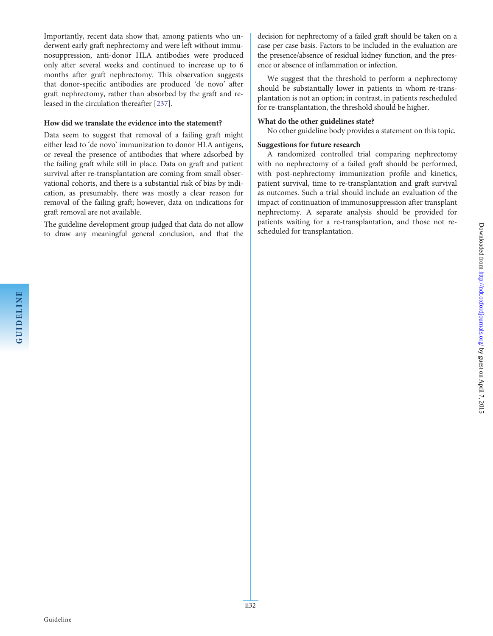Importantly, recent data show that, among patients who underwent early graft nephrectomy and were left without immunosuppression, anti-donor HLA antibodies were produced only after several weeks and continued to increase up to 6 months after graft nephrectomy. This observation suggests that donor-specific antibodies are produced 'de novo' after graft nephrectomy, rather than absorbed by the graft and released in the circulation thereafter [\[237\]](#page-64-0).

#### How did we translate the evidence into the statement?

Data seem to suggest that removal of a failing graft might either lead to 'de novo' immunization to donor HLA antigens, or reveal the presence of antibodies that where adsorbed by the failing graft while still in place. Data on graft and patient survival after re-transplantation are coming from small observational cohorts, and there is a substantial risk of bias by indication, as presumably, there was mostly a clear reason for removal of the failing graft; however, data on indications for graft removal are not available.

The guideline development group judged that data do not allow to draw any meaningful general conclusion, and that the

decision for nephrectomy of a failed graft should be taken on a case per case basis. Factors to be included in the evaluation are the presence/absence of residual kidney function, and the presence or absence of inflammation or infection.

We suggest that the threshold to perform a nephrectomy should be substantially lower in patients in whom re-transplantation is not an option; in contrast, in patients rescheduled for re-transplantation, the threshold should be higher.

### What do the other guidelines state?

No other guideline body provides a statement on this topic.

### Suggestions for future research

A randomized controlled trial comparing nephrectomy with no nephrectomy of a failed graft should be performed, with post-nephrectomy immunization profile and kinetics, patient survival, time to re-transplantation and graft survival as outcomes. Such a trial should include an evaluation of the impact of continuation of immunosuppression after transplant nephrectomy. A separate analysis should be provided for patients waiting for a re-transplantation, and those not rescheduled for transplantation.

Downloaded from http://ndt.oxfordjournals.org/ by guest on April 7, 2015 Downloaded from <http://ndt.oxfordjournals.org/> by guest on April 7, 2015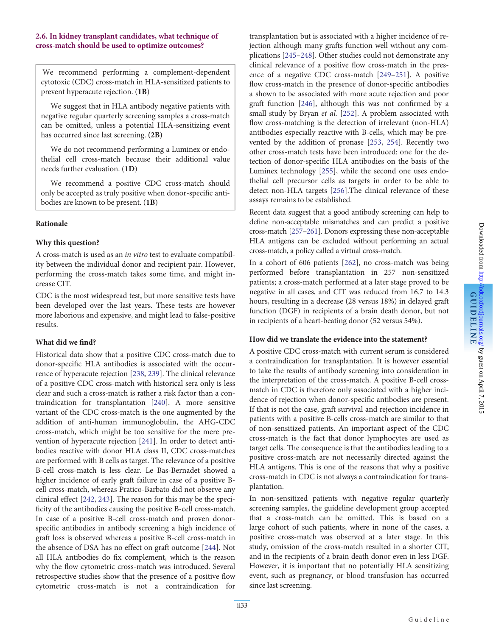### 2.6. In kidney transplant candidates, what technique of cross-match should be used to optimize outcomes?

We recommend performing a complement-dependent cytotoxic (CDC) cross-match in HLA-sensitized patients to prevent hyperacute rejection. (1B)

We suggest that in HLA antibody negative patients with negative regular quarterly screening samples a cross-match can be omitted, unless a potential HLA-sensitizing event has occurred since last screening. (2B)

We do not recommend performing a Luminex or endothelial cell cross-match because their additional value needs further evaluation. (1D)

We recommend a positive CDC cross-match should only be accepted as truly positive when donor-specific antibodies are known to be present. (1B)

### Rationale

### Why this question?

A cross-match is used as an in vitro test to evaluate compatibility between the individual donor and recipient pair. However, performing the cross-match takes some time, and might increase CIT.

CDC is the most widespread test, but more sensitive tests have been developed over the last years. These tests are however more laborious and expensive, and might lead to false-positive results.

### What did we find?

Historical data show that a positive CDC cross-match due to donor-specific HLA antibodies is associated with the occurrence of hyperacute rejection [[238](#page-64-0), [239](#page-64-0)]. The clinical relevance of a positive CDC cross-match with historical sera only is less clear and such a cross-match is rather a risk factor than a contraindication for transplantation [\[240](#page-64-0)]. A more sensitive variant of the CDC cross-match is the one augmented by the addition of anti-human immunoglobulin, the AHG-CDC cross-match, which might be too sensitive for the mere prevention of hyperacute rejection [[241](#page-64-0)]. In order to detect antibodies reactive with donor HLA class II, CDC cross-matches are performed with B cells as target. The relevance of a positive B-cell cross-match is less clear. Le Bas-Bernadet showed a higher incidence of early graft failure in case of a positive Bcell cross-match, whereas Pratico-Barbato did not observe any clinical effect [\[242](#page-64-0), [243\]](#page-64-0). The reason for this may be the specificity of the antibodies causing the positive B-cell cross-match. In case of a positive B-cell cross-match and proven donorspecific antibodies in antibody screening a high incidence of graft loss is observed whereas a positive B-cell cross-match in the absence of DSA has no effect on graft outcome [\[244](#page-64-0)]. Not all HLA antibodies do fix complement, which is the reason why the flow cytometric cross-match was introduced. Several retrospective studies show that the presence of a positive flow cytometric cross-match is not a contraindication for transplantation but is associated with a higher incidence of rejection although many grafts function well without any complications [[245](#page-64-0)–[248\]](#page-65-0). Other studies could not demonstrate any clinical relevance of a positive flow cross-match in the presence of a negative CDC cross-match [[249](#page-65-0)–[251\]](#page-65-0). A positive flow cross-match in the presence of donor-specific antibodies a shown to be associated with more acute rejection and poor graft function [[246](#page-65-0)], although this was not confirmed by a small study by Bryan et al. [\[252](#page-65-0)]. A problem associated with flow cross-matching is the detection of irrelevant (non-HLA) antibodies especially reactive with B-cells, which may be prevented by the addition of pronase [[253](#page-65-0), [254\]](#page-65-0). Recently two other cross-match tests have been introduced: one for the detection of donor-specific HLA antibodies on the basis of the Luminex technology [[255](#page-65-0)], while the second one uses endothelial cell precursor cells as targets in order to be able to detect non-HLA targets [[256](#page-65-0)].The clinical relevance of these assays remains to be established.

Recent data suggest that a good antibody screening can help to define non-acceptable mismatches and can predict a positive cross-match [\[257](#page-65-0)–[261](#page-65-0)]. Donors expressing these non-acceptable HLA antigens can be excluded without performing an actual cross-match, a policy called a virtual cross-match.

In a cohort of 606 patients [[262](#page-65-0)], no cross-match was being performed before transplantation in 257 non-sensitized patients; a cross-match performed at a later stage proved to be negative in all cases, and CIT was reduced from 16.7 to 14.3 hours, resulting in a decrease (28 versus 18%) in delayed graft function (DGF) in recipients of a brain death donor, but not in recipients of a heart-beating donor (52 versus 54%).

### How did we translate the evidence into the statement?

A positive CDC cross-match with current serum is considered a contraindication for transplantation. It is however essential to take the results of antibody screening into consideration in the interpretation of the cross-match. A positive B-cell crossmatch in CDC is therefore only associated with a higher incidence of rejection when donor-specific antibodies are present. If that is not the case, graft survival and rejection incidence in patients with a positive B-cells cross-match are similar to that of non-sensitized patients. An important aspect of the CDC cross-match is the fact that donor lymphocytes are used as target cells. The consequence is that the antibodies leading to a positive cross-match are not necessarily directed against the HLA antigens. This is one of the reasons that why a positive cross-match in CDC is not always a contraindication for transplantation.

In non-sensitized patients with negative regular quarterly screening samples, the guideline development group accepted that a cross-match can be omitted. This is based on a large cohort of such patients, where in none of the cases, a positive cross-match was observed at a later stage. In this study, omission of the cross-match resulted in a shorter CIT, and in the recipients of a brain death donor even in less DGF. However, it is important that no potentially HLA sensitizing event, such as pregnancy, or blood transfusion has occurred since last screening.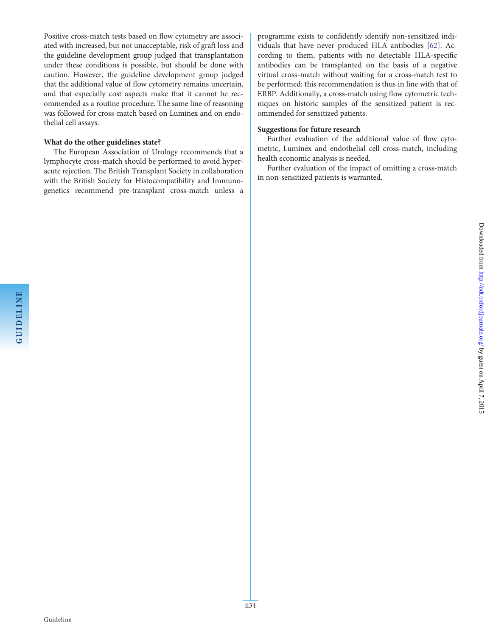Positive cross-match tests based on flow cytometry are associated with increased, but not unacceptable, risk of graft loss and the guideline development group judged that transplantation under these conditions is possible, but should be done with caution. However, the guideline development group judged that the additional value of flow cytometry remains uncertain, and that especially cost aspects make that it cannot be recommended as a routine procedure. The same line of reasoning was followed for cross-match based on Luminex and on endothelial cell assays.

#### What do the other guidelines state?

The European Association of Urology recommends that a lymphocyte cross-match should be performed to avoid hyperacute rejection. The British Transplant Society in collaboration with the British Society for Histocompatibility and Immunogenetics recommend pre-transplant cross-match unless a programme exists to confidently identify non-sensitized individuals that have never produced HLA antibodies [\[62\]](#page-59-0). According to them, patients with no detectable HLA-specific antibodies can be transplanted on the basis of a negative virtual cross-match without waiting for a cross-match test to be performed; this recommendation is thus in line with that of ERBP. Additionally, a cross-match using flow cytometric techniques on historic samples of the sensitized patient is recommended for sensitized patients.

### Suggestions for future research

Further evaluation of the additional value of flow cytometric, Luminex and endothelial cell cross-match, including health economic analysis is needed.

Further evaluation of the impact of omitting a cross-match in non-sensitized patients is warranted.

> Downloaded from http://ndt.oxfordjournals.org/ by guest on April 7, 2015 Downloaded from <http://ndt.oxfordjournals.org/> by guest on April 7, 2015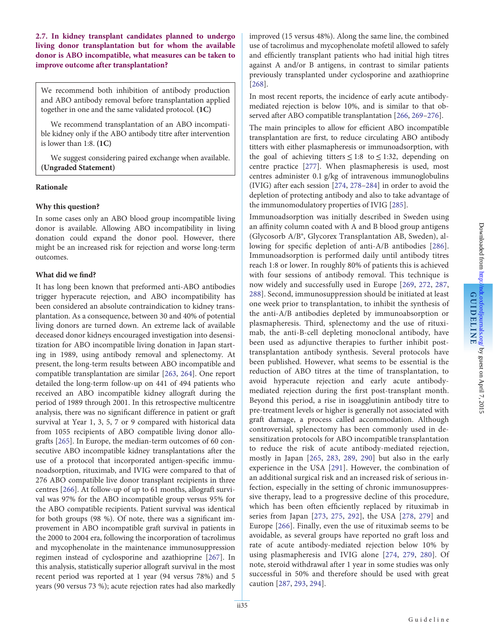2.7. In kidney transplant candidates planned to undergo living donor transplantation but for whom the available donor is ABO incompatible, what measures can be taken to improve outcome after transplantation?

We recommend both inhibition of antibody production and ABO antibody removal before transplantation applied together in one and the same validated protocol. (1C)

We recommend transplantation of an ABO incompatible kidney only if the ABO antibody titre after intervention is lower than 1:8. (1C)

We suggest considering paired exchange when available. (Ungraded Statement)

#### Rationale

#### Why this question?

In some cases only an ABO blood group incompatible living donor is available. Allowing ABO incompatibility in living donation could expand the donor pool. However, there might be an increased risk for rejection and worse long-term outcomes.

#### What did we find?

It has long been known that preformed anti-ABO antibodies trigger hyperacute rejection, and ABO incompatibility has been considered an absolute contraindication to kidney transplantation. As a consequence, between 30 and 40% of potential living donors are turned down. An extreme lack of available deceased donor kidneys encouraged investigation into desensitization for ABO incompatible living donation in Japan starting in 1989, using antibody removal and splenectomy. At present, the long-term results between ABO incompatible and compatible transplantation are similar [[263](#page-65-0), [264\]](#page-65-0). One report detailed the long-term follow-up on 441 of 494 patients who received an ABO incompatible kidney allograft during the period of 1989 through 2001. In this retrospective multicentre analysis, there was no significant difference in patient or graft survival at Year 1, 3, 5, 7 or 9 compared with historical data from 1055 recipients of ABO compatible living donor allografts [\[265\]](#page-65-0). In Europe, the median-term outcomes of 60 consecutive ABO incompatible kidney transplantations after the use of a protocol that incorporated antigen-specific immunoadsorption, rituximab, and IVIG were compared to that of 276 ABO compatible live donor transplant recipients in three centres [\[266\]](#page-65-0). At follow-up of up to 61 months, allograft survival was 97% for the ABO incompatible group versus 95% for the ABO compatible recipients. Patient survival was identical for both groups (98 %). Of note, there was a significant improvement in ABO incompatible graft survival in patients in the 2000 to 2004 era, following the incorporation of tacrolimus and mycophenolate in the maintenance immunosuppression regimen instead of cyclosporine and azathioprine [[267](#page-65-0)]. In this analysis, statistically superior allograft survival in the most recent period was reported at 1 year (94 versus 78%) and 5 years (90 versus 73 %); acute rejection rates had also markedly improved (15 versus 48%). Along the same line, the combined use of tacrolimus and mycophenolate mofetil allowed to safely and efficiently transplant patients who had initial high titres against A and/or B antigens, in contrast to similar patients previously transplanted under cyclosporine and azathioprine [\[268\]](#page-65-0).

In most recent reports, the incidence of early acute antibodymediated rejection is below 10%, and is similar to that observed after ABO compatible transplantation [[266](#page-65-0), [269](#page-65-0)–[276](#page-65-0)].

The main principles to allow for efficient ABO incompatible transplantation are first, to reduce circulating ABO antibody titters with either plasmapheresis or immunoadsorption, with the goal of achieving titters  $\leq 1:8$  to  $\leq 1:32$ , depending on centre practice [\[277\]](#page-66-0). When plasmapheresis is used, most centres administer 0.1 g/kg of intravenous immunoglobulins (IVIG) after each session [[274](#page-65-0), [278](#page-66-0)–[284\]](#page-66-0) in order to avoid the depletion of protecting antibody and also to take advantage of the immunomodulatory properties of IVIG [\[285](#page-66-0)].

Immunoadsorption was initially described in Sweden using an affinity column coated with A and B blood group antigens (Glycosorb A/B®, Glycorex Transplantation AB, Sweden), allowing for specific depletion of anti-A/B antibodies [\[286](#page-66-0)]. Immunoadsorption is performed daily until antibody titres reach 1:8 or lower. In roughly 80% of patients this is achieved with four sessions of antibody removal. This technique is now widely and successfully used in Europe [[269,](#page-65-0) [272](#page-65-0), [287,](#page-66-0) [288](#page-66-0)]. Second, immunosuppression should be initiated at least one week prior to transplantation, to inhibit the synthesis of the anti-A/B antibodies depleted by immunoabsorption or plasmapheresis. Third, splenectomy and the use of rituximab, the anti-B-cell depleting monoclonal antibody, have been used as adjunctive therapies to further inhibit posttransplantation antibody synthesis. Several protocols have been published. However, what seems to be essential is the reduction of ABO titres at the time of transplantation, to avoid hyperacute rejection and early acute antibodymediated rejection during the first post-transplant month. Beyond this period, a rise in isoagglutinin antibody titre to pre-treatment levels or higher is generally not associated with graft damage, a process called accommodation. Although controversial, splenectomy has been commonly used in desensitization protocols for ABO incompatible transplantation to reduce the risk of acute antibody-mediated rejection, mostly in Japan [[265](#page-65-0), [283,](#page-66-0) [289,](#page-66-0) [290\]](#page-66-0) but also in the early experience in the USA [[291](#page-66-0)]. However, the combination of an additional surgical risk and an increased risk of serious infection, especially in the setting of chronic immunosuppressive therapy, lead to a progressive decline of this procedure, which has been often efficiently replaced by rituximab in series from Japan [\[273](#page-65-0), [275,](#page-65-0) [292\]](#page-66-0), the USA [[278](#page-66-0), [279](#page-66-0)] and Europe [[266](#page-65-0)]. Finally, even the use of rituximab seems to be avoidable, as several groups have reported no graft loss and rate of acute antibody-mediated rejection below 10% by using plasmapheresis and IVIG alone [[274,](#page-65-0) [279](#page-66-0), [280\]](#page-66-0). Of note, steroid withdrawal after 1 year in some studies was only successful in 50% and therefore should be used with great caution [\[287,](#page-66-0) [293](#page-66-0), [294](#page-66-0)].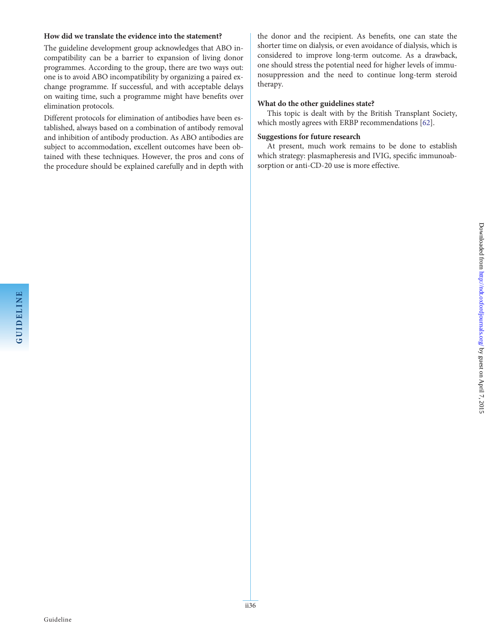#### How did we translate the evidence into the statement?

The guideline development group acknowledges that ABO incompatibility can be a barrier to expansion of living donor programmes. According to the group, there are two ways out: one is to avoid ABO incompatibility by organizing a paired exchange programme. If successful, and with acceptable delays on waiting time, such a programme might have benefits over elimination protocols.

Different protocols for elimination of antibodies have been established, always based on a combination of antibody removal and inhibition of antibody production. As ABO antibodies are subject to accommodation, excellent outcomes have been obtained with these techniques. However, the pros and cons of the procedure should be explained carefully and in depth with

the donor and the recipient. As benefits, one can state the shorter time on dialysis, or even avoidance of dialysis, which is considered to improve long-term outcome. As a drawback, one should stress the potential need for higher levels of immunosuppression and the need to continue long-term steroid therapy.

### What do the other guidelines state?

This topic is dealt with by the British Transplant Society, which mostly agrees with ERBP recommendations [\[62\]](#page-59-0).

### Suggestions for future research

At present, much work remains to be done to establish which strategy: plasmapheresis and IVIG, specific immunoabsorption or anti-CD-20 use is more effective.

> Downloaded from http://ndt.oxfordjournals.org/ by guest on April 7, 2015 Downloaded from <http://ndt.oxfordjournals.org/> by guest on April 7, 2015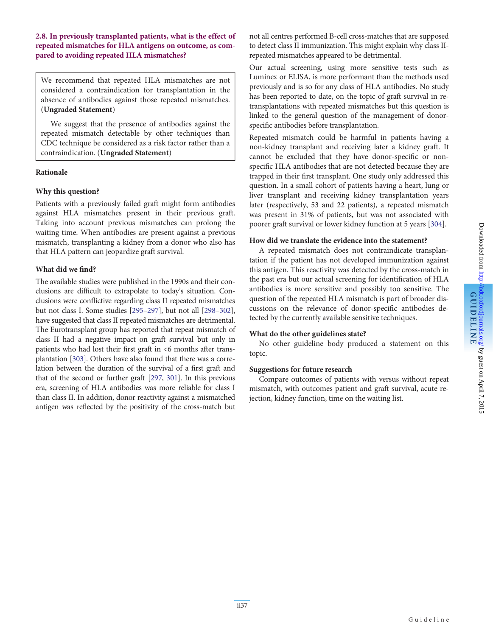### 2.8. In previously transplanted patients, what is the effect of repeated mismatches for HLA antigens on outcome, as compared to avoiding repeated HLA mismatches?

We recommend that repeated HLA mismatches are not considered a contraindication for transplantation in the absence of antibodies against those repeated mismatches. (Ungraded Statement)

We suggest that the presence of antibodies against the repeated mismatch detectable by other techniques than CDC technique be considered as a risk factor rather than a contraindication. (Ungraded Statement)

### Rationale

#### Why this question?

Patients with a previously failed graft might form antibodies against HLA mismatches present in their previous graft. Taking into account previous mismatches can prolong the waiting time. When antibodies are present against a previous mismatch, transplanting a kidney from a donor who also has that HLA pattern can jeopardize graft survival.

#### What did we find?

The available studies were published in the 1990s and their conclusions are difficult to extrapolate to today's situation. Conclusions were conflictive regarding class II repeated mismatches but not class I. Some studies [\[295](#page-66-0)–[297](#page-66-0)], but not all [[298](#page-66-0)–[302\]](#page-66-0), have suggested that class II repeated mismatches are detrimental. The Eurotransplant group has reported that repeat mismatch of class II had a negative impact on graft survival but only in patients who had lost their first graft in <6 months after transplantation [[303\]](#page-66-0). Others have also found that there was a correlation between the duration of the survival of a first graft and that of the second or further graft [\[297](#page-66-0), [301\]](#page-66-0). In this previous era, screening of HLA antibodies was more reliable for class I than class II. In addition, donor reactivity against a mismatched antigen was reflected by the positivity of the cross-match but not all centres performed B-cell cross-matches that are supposed to detect class II immunization. This might explain why class IIrepeated mismatches appeared to be detrimental.

Our actual screening, using more sensitive tests such as Luminex or ELISA, is more performant than the methods used previously and is so for any class of HLA antibodies. No study has been reported to date, on the topic of graft survival in retransplantations with repeated mismatches but this question is linked to the general question of the management of donorspecific antibodies before transplantation.

Repeated mismatch could be harmful in patients having a non-kidney transplant and receiving later a kidney graft. It cannot be excluded that they have donor-specific or nonspecific HLA antibodies that are not detected because they are trapped in their first transplant. One study only addressed this question. In a small cohort of patients having a heart, lung or liver transplant and receiving kidney transplantation years later (respectively, 53 and 22 patients), a repeated mismatch was present in 31% of patients, but was not associated with poorer graft survival or lower kidney function at 5 years [\[304](#page-66-0)].

### How did we translate the evidence into the statement?

A repeated mismatch does not contraindicate transplantation if the patient has not developed immunization against this antigen. This reactivity was detected by the cross-match in the past era but our actual screening for identification of HLA antibodies is more sensitive and possibly too sensitive. The question of the repeated HLA mismatch is part of broader discussions on the relevance of donor-specific antibodies detected by the currently available sensitive techniques.

### What do the other guidelines state?

No other guideline body produced a statement on this topic.

#### Suggestions for future research

Compare outcomes of patients with versus without repeat mismatch, with outcomes patient and graft survival, acute rejection, kidney function, time on the waiting list.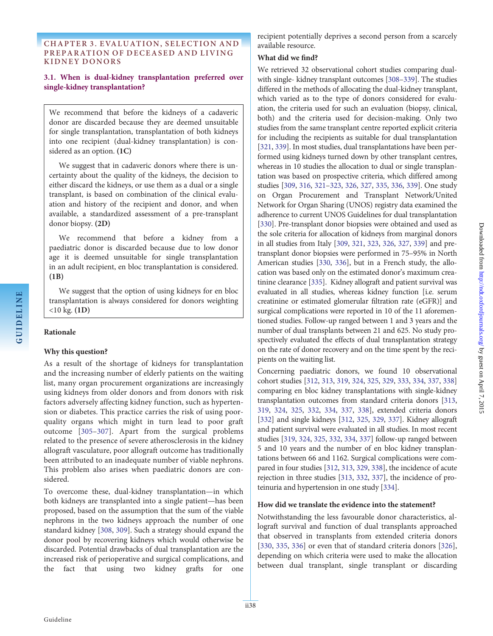#### CHAPTER 3. EVALUATION, SELECTION AND PREPARATION OF DECEASED AND LIVING KIDNEY DONORS

### 3.1. When is dual-kidney transplantation preferred over single-kidney transplantation?

We recommend that before the kidneys of a cadaveric donor are discarded because they are deemed unsuitable for single transplantation, transplantation of both kidneys into one recipient (dual-kidney transplantation) is considered as an option. (1C)

We suggest that in cadaveric donors where there is uncertainty about the quality of the kidneys, the decision to either discard the kidneys, or use them as a dual or a single transplant, is based on combination of the clinical evaluation and history of the recipient and donor, and when available, a standardized assessment of a pre-transplant donor biopsy. (2D)

We recommend that before a kidney from a paediatric donor is discarded because due to low donor age it is deemed unsuitable for single transplantation in an adult recipient, en bloc transplantation is considered. (1B)

We suggest that the option of using kidneys for en bloc transplantation is always considered for donors weighting  $<$ 10 kg. (1D)

#### Rationale

GUIDELINE

**GUIDELINE** 

#### Why this question?

As a result of the shortage of kidneys for transplantation and the increasing number of elderly patients on the waiting list, many organ procurement organizations are increasingly using kidneys from older donors and from donors with risk factors adversely affecting kidney function, such as hypertension or diabetes. This practice carries the risk of using poorquality organs which might in turn lead to poor graft outcome [[305](#page-66-0)–[307](#page-66-0)]. Apart from the surgical problems related to the presence of severe atherosclerosis in the kidney allograft vasculature, poor allograft outcome has traditionally been attributed to an inadequate number of viable nephrons. This problem also arises when paediatric donors are considered.

To overcome these, dual-kidney transplantation—in which both kidneys are transplanted into a single patient—has been proposed, based on the assumption that the sum of the viable nephrons in the two kidneys approach the number of one standard kidney [[308](#page-66-0), [309](#page-66-0)]. Such a strategy should expand the donor pool by recovering kidneys which would otherwise be discarded. Potential drawbacks of dual transplantation are the increased risk of perioperative and surgical complications, and the fact that using two kidney grafts for one recipient potentially deprives a second person from a scarcely available resource.

### What did we find?

We retrieved 32 observational cohort studies comparing dualwith single- kidney transplant outcomes [\[308](#page-66-0)–[339](#page-67-0)]. The studies differed in the methods of allocating the dual-kidney transplant, which varied as to the type of donors considered for evaluation, the criteria used for such an evaluation (biopsy, clinical, both) and the criteria used for decision-making. Only two studies from the same transplant centre reported explicit criteria for including the recipients as suitable for dual transplantation [\[321](#page-67-0), [339\]](#page-67-0). In most studies, dual transplantations have been performed using kidneys turned down by other transplant centres, whereas in 10 studies the allocation to dual or single transplantation was based on prospective criteria, which differed among studies [[309,](#page-66-0) [316,](#page-67-0) [321](#page-67-0)–[323](#page-67-0), [326](#page-67-0), [327](#page-67-0), [335](#page-67-0), [336](#page-67-0), [339](#page-67-0)]. One study on Organ Procurement and Transplant Network/United Network for Organ Sharing (UNOS) registry data examined the adherence to current UNOS Guidelines for dual transplantation [\[330](#page-67-0)]. Pre-transplant donor biopsies were obtained and used as the sole criteria for allocation of kidneys from marginal donors in all studies from Italy [\[309](#page-66-0), [321](#page-67-0), [323](#page-67-0), [326,](#page-67-0) [327,](#page-67-0) [339\]](#page-67-0) and pretransplant donor biopsies were performed in 75–95% in North American studies [\[330](#page-67-0), [336\]](#page-67-0), but in a French study, the allocation was based only on the estimated donor's maximum creatinine clearance [[335\]](#page-67-0). Kidney allograft and patient survival was evaluated in all studies, whereas kidney function [i.e. serum creatinine or estimated glomerular filtration rate (eGFR)] and surgical complications were reported in 10 of the 11 aforementioned studies. Follow-up ranged between 1 and 3 years and the number of dual transplants between 21 and 625. No study prospectively evaluated the effects of dual transplantation strategy on the rate of donor recovery and on the time spent by the recipients on the waiting list.

Concerning paediatric donors, we found 10 observational cohort studies [[312,](#page-67-0) [313,](#page-67-0) [319,](#page-67-0) [324,](#page-67-0) [325](#page-67-0), [329](#page-67-0), [333](#page-67-0), [334,](#page-67-0) [337,](#page-67-0) [338\]](#page-67-0) comparing en bloc kidney transplantations with single-kidney transplantation outcomes from standard criteria donors [[313,](#page-67-0) [319](#page-67-0), [324,](#page-67-0) [325,](#page-67-0) [332](#page-67-0), [334](#page-67-0), [337](#page-67-0), [338\]](#page-67-0), extended criteria donors [\[332](#page-67-0)] and single kidneys [[312](#page-67-0), [325,](#page-67-0) [329](#page-67-0), [337\]](#page-67-0). Kidney allograft and patient survival were evaluated in all studies. In most recent studies [[319,](#page-67-0) [324](#page-67-0), [325](#page-67-0), [332](#page-67-0), [334,](#page-67-0) [337\]](#page-67-0) follow-up ranged between 5 and 10 years and the number of en bloc kidney transplantations between 66 and 1162. Surgical complications were compared in four studies [[312,](#page-67-0) [313](#page-67-0), [329](#page-67-0), [338\]](#page-67-0), the incidence of acute rejection in three studies [\[313,](#page-67-0) [332,](#page-67-0) [337](#page-67-0)], the incidence of proteinuria and hypertension in one study [\[334](#page-67-0)].

### How did we translate the evidence into the statement?

Notwithstanding the less favourable donor characteristics, allograft survival and function of dual transplants approached that observed in transplants from extended criteria donors [\[330,](#page-67-0) [335](#page-67-0), [336\]](#page-67-0) or even that of standard criteria donors [[326](#page-67-0)], depending on which criteria were used to make the allocation between dual transplant, single transplant or discarding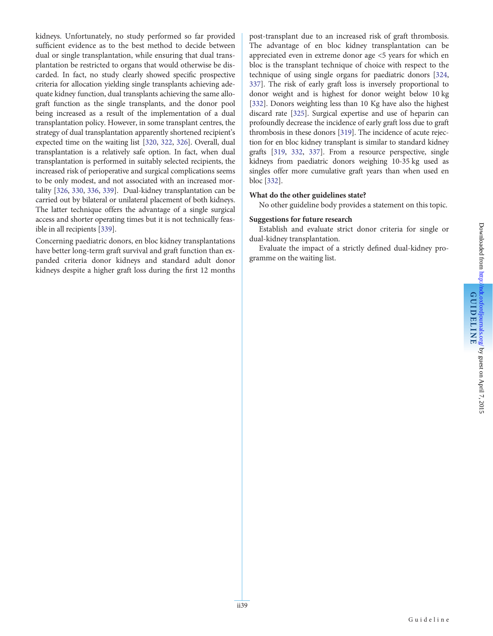kidneys. Unfortunately, no study performed so far provided sufficient evidence as to the best method to decide between dual or single transplantation, while ensuring that dual transplantation be restricted to organs that would otherwise be discarded. In fact, no study clearly showed specific prospective criteria for allocation yielding single transplants achieving adequate kidney function, dual transplants achieving the same allograft function as the single transplants, and the donor pool being increased as a result of the implementation of a dual transplantation policy. However, in some transplant centres, the strategy of dual transplantation apparently shortened recipient's expected time on the waiting list [[320,](#page-67-0) [322,](#page-67-0) [326](#page-67-0)]. Overall, dual transplantation is a relatively safe option. In fact, when dual transplantation is performed in suitably selected recipients, the increased risk of perioperative and surgical complications seems to be only modest, and not associated with an increased mortality [\[326](#page-67-0), [330](#page-67-0), [336](#page-67-0), [339\]](#page-67-0). Dual-kidney transplantation can be carried out by bilateral or unilateral placement of both kidneys. The latter technique offers the advantage of a single surgical access and shorter operating times but it is not technically feasible in all recipients [\[339](#page-67-0)].

Concerning paediatric donors, en bloc kidney transplantations have better long-term graft survival and graft function than expanded criteria donor kidneys and standard adult donor kidneys despite a higher graft loss during the first 12 months post-transplant due to an increased risk of graft thrombosis. The advantage of en bloc kidney transplantation can be appreciated even in extreme donor age <5 years for which en bloc is the transplant technique of choice with respect to the technique of using single organs for paediatric donors [\[324,](#page-67-0) [337\]](#page-67-0). The risk of early graft loss is inversely proportional to donor weight and is highest for donor weight below 10 kg [\[332](#page-67-0)]. Donors weighting less than 10 Kg have also the highest discard rate [\[325](#page-67-0)]. Surgical expertise and use of heparin can profoundly decrease the incidence of early graft loss due to graft thrombosis in these donors [[319\]](#page-67-0). The incidence of acute rejection for en bloc kidney transplant is similar to standard kidney grafts [\[319](#page-67-0), [332,](#page-67-0) [337\]](#page-67-0). From a resource perspective, single kidneys from paediatric donors weighing 10-35 kg used as singles offer more cumulative graft years than when used en bloc [[332\]](#page-67-0).

#### What do the other guidelines state?

No other guideline body provides a statement on this topic.

#### Suggestions for future research

Establish and evaluate strict donor criteria for single or dual-kidney transplantation.

Evaluate the impact of a strictly defined dual-kidney programme on the waiting list.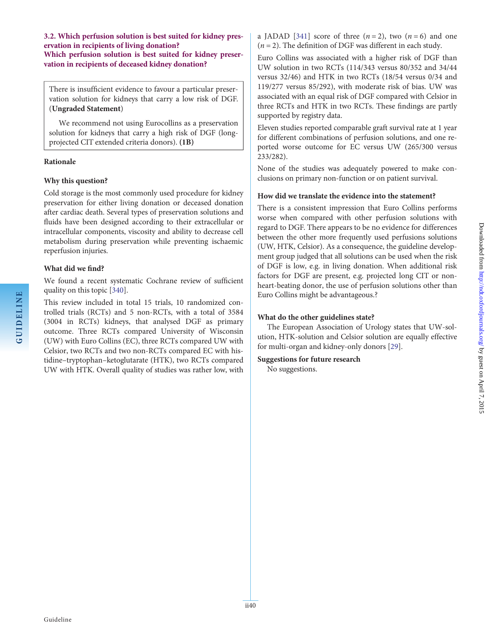#### 3.2. Which perfusion solution is best suited for kidney preservation in recipients of living donation? Which perfusion solution is best suited for kidney preser-

vation in recipients of deceased kidney donation?

There is insufficient evidence to favour a particular preservation solution for kidneys that carry a low risk of DGF. (Ungraded Statement)

We recommend not using Eurocollins as a preservation solution for kidneys that carry a high risk of DGF (longprojected CIT extended criteria donors). (1B)

### Rationale

### Why this question?

Cold storage is the most commonly used procedure for kidney preservation for either living donation or deceased donation after cardiac death. Several types of preservation solutions and fluids have been designed according to their extracellular or intracellular components, viscosity and ability to decrease cell metabolism during preservation while preventing ischaemic reperfusion injuries.

### What did we find?

GUIDELINE

**GUIDELINE** 

We found a recent systematic Cochrane review of sufficient quality on this topic [\[340\]](#page-67-0).

This review included in total 15 trials, 10 randomized controlled trials (RCTs) and 5 non-RCTs, with a total of 3584 (3004 in RCTs) kidneys, that analysed DGF as primary outcome. Three RCTs compared University of Wisconsin (UW) with Euro Collins (EC), three RCTs compared UW with Celsior, two RCTs and two non-RCTs compared EC with histidine–tryptophan–ketoglutarate (HTK), two RCTs compared UW with HTK. Overall quality of studies was rather low, with

a JADAD [[341](#page-67-0)] score of three  $(n=2)$ , two  $(n=6)$  and one  $(n = 2)$ . The definition of DGF was different in each study.

Euro Collins was associated with a higher risk of DGF than UW solution in two RCTs (114/343 versus 80/352 and 34/44 versus 32/46) and HTK in two RCTs (18/54 versus 0/34 and 119/277 versus 85/292), with moderate risk of bias. UW was associated with an equal risk of DGF compared with Celsior in three RCTs and HTK in two RCTs. These findings are partly supported by registry data.

Eleven studies reported comparable graft survival rate at 1 year for different combinations of perfusion solutions, and one reported worse outcome for EC versus UW (265/300 versus 233/282).

None of the studies was adequately powered to make conclusions on primary non-function or on patient survival.

#### How did we translate the evidence into the statement?

There is a consistent impression that Euro Collins performs worse when compared with other perfusion solutions with regard to DGF. There appears to be no evidence for differences between the other more frequently used perfusions solutions (UW, HTK, Celsior). As a consequence, the guideline development group judged that all solutions can be used when the risk of DGF is low, e.g. in living donation. When additional risk factors for DGF are present, e.g. projected long CIT or nonheart-beating donor, the use of perfusion solutions other than Euro Collins might be advantageous.?

### What do the other guidelines state?

The European Association of Urology states that UW-solution, HTK-solution and Celsior solution are equally effective for multi-organ and kidney-only donors [\[29\]](#page-58-0).

### Suggestions for future research

No suggestions.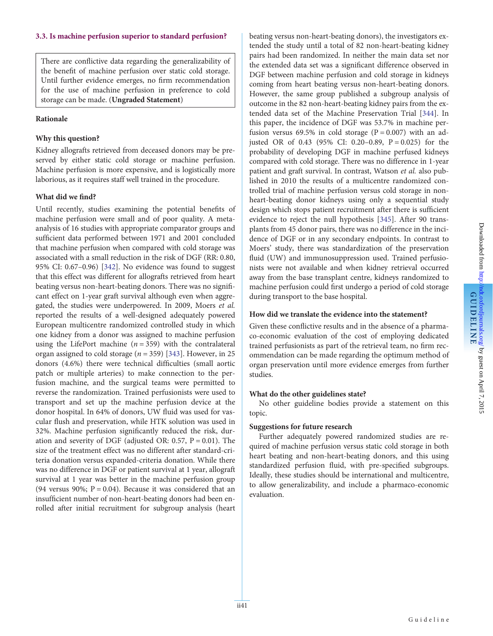### 3.3. Is machine perfusion superior to standard perfusion?

There are conflictive data regarding the generalizability of the benefit of machine perfusion over static cold storage. Until further evidence emerges, no firm recommendation for the use of machine perfusion in preference to cold storage can be made. (Ungraded Statement)

#### Rationale

### Why this question?

Kidney allografts retrieved from deceased donors may be preserved by either static cold storage or machine perfusion. Machine perfusion is more expensive, and is logistically more laborious, as it requires staff well trained in the procedure.

### What did we find?

Until recently, studies examining the potential benefits of machine perfusion were small and of poor quality. A metaanalysis of 16 studies with appropriate comparator groups and sufficient data performed between 1971 and 2001 concluded that machine perfusion when compared with cold storage was associated with a small reduction in the risk of DGF (RR: 0.80, 95% CI: 0.67–0.96) [\[342\]](#page-67-0). No evidence was found to suggest that this effect was different for allografts retrieved from heart beating versus non-heart-beating donors. There was no significant effect on 1-year graft survival although even when aggregated, the studies were underpowered. In 2009, Moers et al. reported the results of a well-designed adequately powered European multicentre randomized controlled study in which one kidney from a donor was assigned to machine perfusion using the LifePort machine  $(n = 359)$  with the contralateral organ assigned to cold storage ( $n = 359$ ) [\[343\]](#page-67-0). However, in 25 donors (4.6%) there were technical difficulties (small aortic patch or multiple arteries) to make connection to the perfusion machine, and the surgical teams were permitted to reverse the randomization. Trained perfusionists were used to transport and set up the machine perfusion device at the donor hospital. In 64% of donors, UW fluid was used for vascular flush and preservation, while HTK solution was used in 32%. Machine perfusion significantly reduced the risk, duration and severity of DGF (adjusted OR:  $0.57$ ,  $P = 0.01$ ). The size of the treatment effect was no different after standard-criteria donation versus expanded-criteria donation. While there was no difference in DGF or patient survival at 1 year, allograft survival at 1 year was better in the machine perfusion group (94 versus 90%;  $P = 0.04$ ). Because it was considered that an insufficient number of non-heart-beating donors had been enrolled after initial recruitment for subgroup analysis (heart beating versus non-heart-beating donors), the investigators extended the study until a total of 82 non-heart-beating kidney pairs had been randomized. In neither the main data set nor the extended data set was a significant difference observed in DGF between machine perfusion and cold storage in kidneys coming from heart beating versus non-heart-beating donors. However, the same group published a subgroup analysis of outcome in the 82 non-heart-beating kidney pairs from the extended data set of the Machine Preservation Trial [[344](#page-67-0)]. In this paper, the incidence of DGF was 53.7% in machine perfusion versus 69.5% in cold storage  $(P = 0.007)$  with an adjusted OR of 0.43 (95% CI: 0.20–0.89,  $P = 0.025$ ) for the probability of developing DGF in machine perfused kidneys compared with cold storage. There was no difference in 1-year patient and graft survival. In contrast, Watson et al. also published in 2010 the results of a multicentre randomized controlled trial of machine perfusion versus cold storage in nonheart-beating donor kidneys using only a sequential study design which stops patient recruitment after there is sufficient evidence to reject the null hypothesis [\[345](#page-67-0)]. After 90 transplants from 45 donor pairs, there was no difference in the incidence of DGF or in any secondary endpoints. In contrast to Moers' study, there was standardization of the preservation fluid (UW) and immunosuppression used. Trained perfusionists were not available and when kidney retrieval occurred away from the base transplant centre, kidneys randomized to machine perfusion could first undergo a period of cold storage during transport to the base hospital.

### How did we translate the evidence into the statement?

Given these conflictive results and in the absence of a pharmaco-economic evaluation of the cost of employing dedicated trained perfusionists as part of the retrieval team, no firm recommendation can be made regarding the optimum method of organ preservation until more evidence emerges from further studies.

### What do the other guidelines state?

No other guideline bodies provide a statement on this topic.

### Suggestions for future research

Further adequately powered randomized studies are required of machine perfusion versus static cold storage in both heart beating and non-heart-beating donors, and this using standardized perfusion fluid, with pre-specified subgroups. Ideally, these studies should be international and multicentre, to allow generalizability, and include a pharmaco-economic evaluation.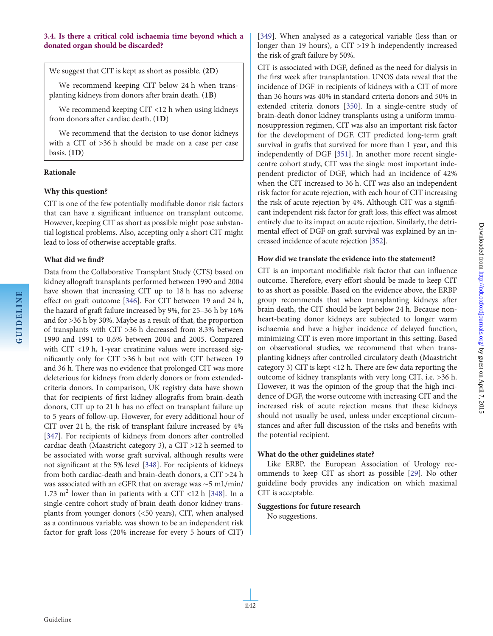#### 3.4. Is there a critical cold ischaemia time beyond which a donated organ should be discarded?

We suggest that CIT is kept as short as possible. (2D)

We recommend keeping CIT below 24 h when transplanting kidneys from donors after brain death. (1B)

We recommend keeping CIT <12 h when using kidneys from donors after cardiac death. (1D)

We recommend that the decision to use donor kidneys with a CIT of >36 h should be made on a case per case basis. (1D)

#### Rationale

#### Why this question?

CIT is one of the few potentially modifiable donor risk factors that can have a significant influence on transplant outcome. However, keeping CIT as short as possible might pose substantial logistical problems. Also, accepting only a short CIT might lead to loss of otherwise acceptable grafts.

#### What did we find?

GUIDELINE

**GUIDELINE** 

Data from the Collaborative Transplant Study (CTS) based on kidney allograft transplants performed between 1990 and 2004 have shown that increasing CIT up to 18 h has no adverse effect on graft outcome [[346](#page-67-0)]. For CIT between 19 and 24 h, the hazard of graft failure increased by 9%, for 25–36 h by 16% and for >36 h by 30%. Maybe as a result of that, the proportion of transplants with CIT >36 h decreased from 8.3% between 1990 and 1991 to 0.6% between 2004 and 2005. Compared with CIT <19 h, 1-year creatinine values were increased significantly only for CIT >36 h but not with CIT between 19 and 36 h. There was no evidence that prolonged CIT was more deleterious for kidneys from elderly donors or from extendedcriteria donors. In comparison, UK registry data have shown that for recipients of first kidney allografts from brain-death donors, CIT up to 21 h has no effect on transplant failure up to 5 years of follow-up. However, for every additional hour of CIT over 21 h, the risk of transplant failure increased by 4% [[347](#page-68-0)]. For recipients of kidneys from donors after controlled cardiac death (Maastricht category 3), a CIT >12 h seemed to be associated with worse graft survival, although results were not significant at the 5% level [\[348\]](#page-68-0). For recipients of kidneys from both cardiac-death and brain-death donors, a CIT >24 h was associated with an eGFR that on average was ∼5 mL/min/ 1.73 m<sup>2</sup> lower than in patients with a CIT <12 h [[348](#page-68-0)]. In a single-centre cohort study of brain death donor kidney transplants from younger donors (<50 years), CIT, when analysed as a continuous variable, was shown to be an independent risk factor for graft loss (20% increase for every 5 hours of CIT) [\[349\]](#page-68-0). When analysed as a categorical variable (less than or longer than 19 hours), a CIT >19 h independently increased the risk of graft failure by 50%.

CIT is associated with DGF, defined as the need for dialysis in the first week after transplantation. UNOS data reveal that the incidence of DGF in recipients of kidneys with a CIT of more than 36 hours was 40% in standard criteria donors and 50% in extended criteria donors [\[350\]](#page-68-0). In a single-centre study of brain-death donor kidney transplants using a uniform immunosuppression regimen, CIT was also an important risk factor for the development of DGF. CIT predicted long-term graft survival in grafts that survived for more than 1 year, and this independently of DGF [[351](#page-68-0)]. In another more recent singlecentre cohort study, CIT was the single most important independent predictor of DGF, which had an incidence of 42% when the CIT increased to 36 h. CIT was also an independent risk factor for acute rejection, with each hour of CIT increasing the risk of acute rejection by 4%. Although CIT was a significant independent risk factor for graft loss, this effect was almost entirely due to its impact on acute rejection. Similarly, the detrimental effect of DGF on graft survival was explained by an increased incidence of acute rejection [\[352](#page-68-0)].

#### How did we translate the evidence into the statement?

CIT is an important modifiable risk factor that can influence outcome. Therefore, every effort should be made to keep CIT to as short as possible. Based on the evidence above, the ERBP group recommends that when transplanting kidneys after brain death, the CIT should be kept below 24 h. Because nonheart-beating donor kidneys are subjected to longer warm ischaemia and have a higher incidence of delayed function, minimizing CIT is even more important in this setting. Based on observational studies, we recommend that when transplanting kidneys after controlled circulatory death (Maastricht category 3) CIT is kept <12 h. There are few data reporting the outcome of kidney transplants with very long CIT, i.e. >36 h. However, it was the opinion of the group that the high incidence of DGF, the worse outcome with increasing CIT and the increased risk of acute rejection means that these kidneys should not usually be used, unless under exceptional circumstances and after full discussion of the risks and benefits with the potential recipient.

### What do the other guidelines state?

Like ERBP, the European Association of Urology recommends to keep CIT as short as possible [\[29\]](#page-58-0). No other guideline body provides any indication on which maximal CIT is acceptable.

#### Suggestions for future research

No suggestions.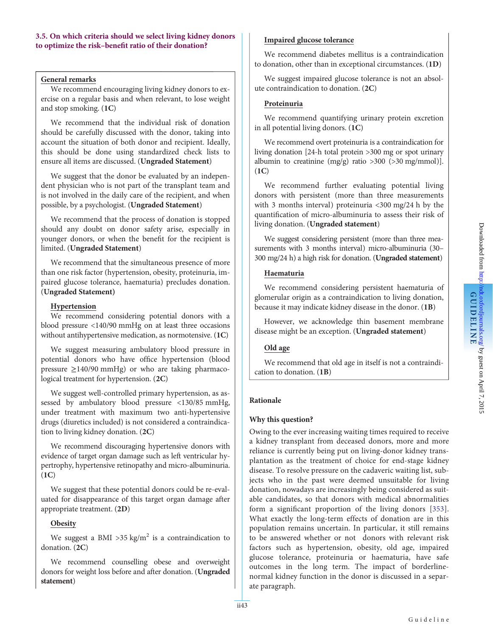### 3.5. On which criteria should we select living kidney donors to optimize the risk–benefit ratio of their donation?

### General remarks

We recommend encouraging living kidney donors to exercise on a regular basis and when relevant, to lose weight and stop smoking. (1C)

We recommend that the individual risk of donation should be carefully discussed with the donor, taking into account the situation of both donor and recipient. Ideally, this should be done using standardized check lists to ensure all items are discussed. (Ungraded Statement)

We suggest that the donor be evaluated by an independent physician who is not part of the transplant team and is not involved in the daily care of the recipient, and when possible, by a psychologist. (Ungraded Statement)

We recommend that the process of donation is stopped should any doubt on donor safety arise, especially in younger donors, or when the benefit for the recipient is limited. (Ungraded Statement)

We recommend that the simultaneous presence of more than one risk factor (hypertension, obesity, proteinuria, impaired glucose tolerance, haematuria) precludes donation. (Ungraded Statement)

### Hypertension

We recommend considering potential donors with a blood pressure <140/90 mmHg on at least three occasions without antihypertensive medication, as normotensive. (1C)

We suggest measuring ambulatory blood pressure in potential donors who have office hypertension (blood pressure  $\geq$ 140/90 mmHg) or who are taking pharmacological treatment for hypertension. (2C)

We suggest well-controlled primary hypertension, as assessed by ambulatory blood pressure <130/85 mmHg, under treatment with maximum two anti-hypertensive drugs (diuretics included) is not considered a contraindication to living kidney donation. (2C)

We recommend discouraging hypertensive donors with evidence of target organ damage such as left ventricular hypertrophy, hypertensive retinopathy and micro-albuminuria.  $(1C)$ 

We suggest that these potential donors could be re-evaluated for disappearance of this target organ damage after appropriate treatment. (2D)

### **Obesity**

We suggest a BMI > 35 kg/m<sup>2</sup> is a contraindication to donation. (2C)

We recommend counselling obese and overweight donors for weight loss before and after donation. (Ungraded statement)

### Impaired glucose tolerance

We recommend diabetes mellitus is a contraindication to donation, other than in exceptional circumstances. (1D)

We suggest impaired glucose tolerance is not an absolute contraindication to donation. (2C)

### Proteinuria

We recommend quantifying urinary protein excretion in all potential living donors. (1C)

We recommend overt proteinuria is a contraindication for living donation [24-h total protein >300 mg or spot urinary albumin to creatinine  $(mg/g)$  ratio >300 (>30 mg/mmol)].  $(1C)$ 

We recommend further evaluating potential living donors with persistent (more than three measurements with 3 months interval) proteinuria <300 mg/24 h by the quantification of micro-albuminuria to assess their risk of living donation. (Ungraded statement)

We suggest considering persistent (more than three measurements with 3 months interval) micro-albuminuria (30– 300 mg/24 h) a high risk for donation. (Ungraded statement)

### Haematuria

We recommend considering persistent haematuria of glomerular origin as a contraindication to living donation, because it may indicate kidney disease in the donor. (1B)

However, we acknowledge thin basement membrane disease might be an exception. (Ungraded statement)

### Old age

We recommend that old age in itself is not a contraindication to donation. (1B)

### Rationale

### Why this question?

Owing to the ever increasing waiting times required to receive a kidney transplant from deceased donors, more and more reliance is currently being put on living-donor kidney transplantation as the treatment of choice for end-stage kidney disease. To resolve pressure on the cadaveric waiting list, subjects who in the past were deemed unsuitable for living donation, nowadays are increasingly being considered as suitable candidates, so that donors with medical abnormalities form a significant proportion of the living donors [\[353](#page-68-0)]. What exactly the long-term effects of donation are in this population remains uncertain. In particular, it still remains to be answered whether or not donors with relevant risk factors such as hypertension, obesity, old age, impaired glucose tolerance, proteinuria or haematuria, have safe outcomes in the long term. The impact of borderlinenormal kidney function in the donor is discussed in a separate paragraph.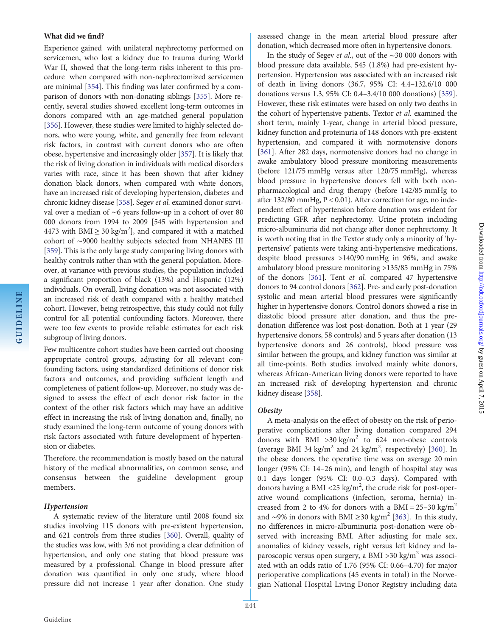#### What did we find?

Experience gained with unilateral nephrectomy performed on servicemen, who lost a kidney due to trauma during World War II, showed that the long-term risks inherent to this procedure when compared with non-nephrectomized servicemen are minimal [[354\]](#page-68-0). This finding was later confirmed by a comparison of donors with non-donating siblings [[355\]](#page-68-0). More recently, several studies showed excellent long-term outcomes in donors compared with an age-matched general population [[356\]](#page-68-0). However, these studies were limited to highly selected donors, who were young, white, and generally free from relevant risk factors, in contrast with current donors who are often obese, hypertensive and increasingly older [[357\]](#page-68-0). It is likely that the risk of living donation in individuals with medical disorders varies with race, since it has been shown that after kidney donation black donors, when compared with white donors, have an increased risk of developing hypertension, diabetes and chronic kidney disease [\[358](#page-68-0)]. Segev et al. examined donor survival over a median of ∼6 years follow-up in a cohort of over 80 000 donors from 1994 to 2009 [545 with hypertension and 4473 with BMI  $\geq$  30 kg/m<sup>2</sup>], and compared it with a matched cohort of ∼9000 healthy subjects selected from NHANES III [[359\]](#page-68-0). This is the only large study comparing living donors with healthy controls rather than with the general population. Moreover, at variance with previous studies, the population included a significant proportion of black (13%) and Hispanic (12%) individuals. On overall, living donation was not associated with an increased risk of death compared with a healthy matched cohort. However, being retrospective, this study could not fully control for all potential confounding factors. Moreover, there were too few events to provide reliable estimates for each risk subgroup of living donors.

Few multicentre cohort studies have been carried out choosing appropriate control groups, adjusting for all relevant confounding factors, using standardized definitions of donor risk factors and outcomes, and providing sufficient length and completeness of patient follow-up. Moreover, no study was designed to assess the effect of each donor risk factor in the context of the other risk factors which may have an additive effect in increasing the risk of living donation and, finally, no study examined the long-term outcome of young donors with risk factors associated with future development of hypertension or diabetes.

Therefore, the recommendation is mostly based on the natural history of the medical abnormalities, on common sense, and consensus between the guideline development group members.

#### Hypertension

GUIDELINE

**GUIDELINE** 

A systematic review of the literature until 2008 found six studies involving 115 donors with pre-existent hypertension, and 621 controls from three studies [[360\]](#page-68-0). Overall, quality of the studies was low, with 3/6 not providing a clear definition of hypertension, and only one stating that blood pressure was measured by a professional. Change in blood pressure after donation was quantified in only one study, where blood pressure did not increase 1 year after donation. One study

assessed change in the mean arterial blood pressure after donation, which decreased more often in hypertensive donors.

In the study of Segev et al., out of the ∼30 000 donors with blood pressure data available, 545 (1.8%) had pre-existent hypertension. Hypertension was associated with an increased risk of death in living donors (36.7, 95% CI: 4.4–132.6/10 000 donations versus 1.3, 95% CI: 0.4–3.4/10 000 donations) [\[359](#page-68-0)]. However, these risk estimates were based on only two deaths in the cohort of hypertensive patients. Textor et al. examined the short term, mainly 1-year, change in arterial blood pressure, kidney function and proteinuria of 148 donors with pre-existent hypertension, and compared it with normotensive donors [\[361](#page-68-0)]. After 282 days, normotensive donors had no change in awake ambulatory blood pressure monitoring measurements (before 121/75 mmHg versus after 120/75 mmHg), whereas blood pressure in hypertensive donors fell with both nonpharmacological and drug therapy (before 142/85 mmHg to after 132/80 mmHg, P < 0.01). After correction for age, no independent effect of hypertension before donation was evident for predicting GFR after nephrectomy. Urine protein including micro-albuminuria did not change after donor nephrectomy. It is worth noting that in the Textor study only a minority of 'hypertensive' patients were taking anti-hypertensive medications, despite blood pressures >140/90 mmHg in 96%, and awake ambulatory blood pressure monitoring >135/85 mmHg in 75% of the donors [\[361](#page-68-0)]. Tent et al. compared 47 hypertensive donors to 94 control donors [\[362\]](#page-68-0). Pre- and early post-donation systolic and mean arterial blood pressures were significantly higher in hypertensive donors. Control donors showed a rise in diastolic blood pressure after donation, and thus the predonation difference was lost post-donation. Both at 1 year (29 hypertensive donors, 58 controls) and 5 years after donation (13 hypertensive donors and 26 controls), blood pressure was similar between the groups, and kidney function was similar at all time-points. Both studies involved mainly white donors, whereas African-American living donors were reported to have an increased risk of developing hypertension and chronic kidney disease [\[358](#page-68-0)].

#### **Obesity**

A meta-analysis on the effect of obesity on the risk of perioperative complications after living donation compared 294 donors with BMI  $>30 \text{ kg/m}^2$  to 624 non-obese controls (average BMI 34 kg/m<sup>2</sup> and 24 kg/m<sup>2</sup>, respectively) [[360](#page-68-0)]. In the obese donors, the operative time was on average 20 min longer (95% CI: 14–26 min), and length of hospital stay was 0.1 days longer (95% CI: 0.0–0.3 days). Compared with donors having a BMI <25 kg/m<sup>2</sup>, the crude risk for post-operative wound complications (infection, seroma, hernia) increased from 2 to 4% for donors with a BMI =  $25-30$  kg/m<sup>2</sup> and ~9% in donors with BMI ≥30 kg/m<sup>2</sup> [[363](#page-68-0)]. In this study, no differences in micro-albuminuria post-donation were observed with increasing BMI. After adjusting for male sex, anomalies of kidney vessels, right versus left kidney and laparoscopic versus open surgery, a BMI >30 kg/m<sup>2</sup> was associated with an odds ratio of 1.76 (95% CI: 0.66–4.70) for major perioperative complications (45 events in total) in the Norwegian National Hospital Living Donor Registry including data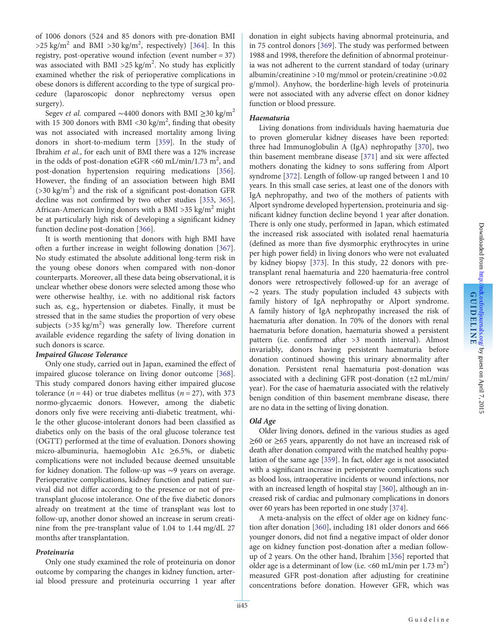of 1006 donors (524 and 85 donors with pre-donation BMI >25 kg/m<sup>2</sup> and BMI >30 kg/m<sup>2</sup>, respectively) [[364\]](#page-68-0). In this registry, post-operative wound infection (event number  $= 37$ ) was associated with BMI >25 kg/m<sup>2</sup>. No study has explicitly examined whether the risk of perioperative complications in obese donors is different according to the type of surgical procedure (laparoscopic donor nephrectomy versus open surgery).

Segev *et al.* compared ~4400 donors with BMI ≥30 kg/m<sup>2</sup> with 15 300 donors with BMI <30 kg/m<sup>2</sup>, finding that obesity was not associated with increased mortality among living donors in short-to-medium term [[359](#page-68-0)]. In the study of Ibrahim et al., for each unit of BMI there was a 12% increase in the odds of post-donation eGFR <60 mL/min/1.73  $m^2$ , and post-donation hypertension requiring medications [\[356\]](#page-68-0). However, the finding of an association between high BMI (>30 kg/m<sup>2</sup>) and the risk of a significant post-donation GFR decline was not confirmed by two other studies [\[353,](#page-68-0) [365\]](#page-68-0). African-American living donors with a BMI > 35 kg/m<sup>2</sup> might be at particularly high risk of developing a significant kidney function decline post-donation [[366](#page-68-0)].

It is worth mentioning that donors with high BMI have often a further increase in weight following donation [\[367\]](#page-68-0). No study estimated the absolute additional long-term risk in the young obese donors when compared with non-donor counterparts. Moreover, all these data being observational, it is unclear whether obese donors were selected among those who were otherwise healthy, i.e. with no additional risk factors such as, e.g., hypertension or diabetes. Finally, it must be stressed that in the same studies the proportion of very obese subjects  $( >35 \text{ kg/m}^2)$  was generally low. Therefore current available evidence regarding the safety of living donation in such donors is scarce.

#### Impaired Glucose Tolerance

Only one study, carried out in Japan, examined the effect of impaired glucose tolerance on living donor outcome [\[368\]](#page-68-0). This study compared donors having either impaired glucose tolerance ( $n = 44$ ) or true diabetes mellitus ( $n = 27$ ), with 373 normo-glycaemic donors. However, among the diabetic donors only five were receiving anti-diabetic treatment, while the other glucose-intolerant donors had been classified as diabetics only on the basis of the oral glucose tolerance test (OGTT) performed at the time of evaluation. Donors showing micro-albuminuria, haemoglobin A1c ≥6.5%, or diabetic complications were not included because deemed unsuitable for kidney donation. The follow-up was ∼9 years on average. Perioperative complications, kidney function and patient survival did not differ according to the presence or not of pretransplant glucose intolerance. One of the five diabetic donors already on treatment at the time of transplant was lost to follow-up, another donor showed an increase in serum creatinine from the pre-transplant value of 1.04 to 1.44 mg/dL 27 months after transplantation.

#### Proteinuria

Only one study examined the role of proteinuria on donor outcome by comparing the changes in kidney function, arterial blood pressure and proteinuria occurring 1 year after donation in eight subjects having abnormal proteinuria, and in 75 control donors [\[369](#page-68-0)]. The study was performed between 1988 and 1998, therefore the definition of abnormal proteinuria was not adherent to the current standard of today (urinary albumin/creatinine >10 mg/mmol or protein/creatinine >0.02 g/mmol). Anyhow, the borderline-high levels of proteinuria were not associated with any adverse effect on donor kidney function or blood pressure.

#### Haematuria

Living donations from individuals having haematuria due to proven glomerular kidney diseases have been reported: three had Immunoglobulin A (IgA) nephropathy [\[370](#page-68-0)], two thin basement membrane disease [[371\]](#page-68-0) and six were affected mothers donating the kidney to sons suffering from Alport syndrome [\[372](#page-68-0)]. Length of follow-up ranged between 1 and 10 years. In this small case series, at least one of the donors with IgA nephropathy, and two of the mothers of patients with Alport syndrome developed hypertension, proteinuria and significant kidney function decline beyond 1 year after donation. There is only one study, performed in Japan, which estimated the increased risk associated with isolated renal haematuria (defined as more than five dysmorphic erythrocytes in urine per high power field) in living donors who were not evaluated by kidney biopsy [[373\]](#page-68-0). In this study, 22 donors with pretransplant renal haematuria and 220 haematuria-free control donors were retrospectively followed-up for an average of ∼2 years. The study population included 43 subjects with family history of IgA nephropathy or Alport syndrome. A family history of IgA nephropathy increased the risk of haematuria after donation. In 70% of the donors with renal haematuria before donation, haematuria showed a persistent pattern (i.e. confirmed after >3 month interval). Almost invariably, donors having persistent haematuria before donation continued showing this urinary abnormality after donation. Persistent renal haematuria post-donation was associated with a declining GFR post-donation (±2 mL/min/ year). For the case of haematuria associated with the relatively benign condition of thin basement membrane disease, there are no data in the setting of living donation.

#### Old Age

Older living donors, defined in the various studies as aged ≥60 or ≥65 years, apparently do not have an increased risk of death after donation compared with the matched healthy population of the same age [\[359\]](#page-68-0). In fact, older age is not associated with a significant increase in perioperative complications such as blood loss, intraoperative incidents or wound infections, nor with an increased length of hospital stay [\[360](#page-68-0)], although an increased risk of cardiac and pulmonary complications in donors over 60 years has been reported in one study [\[374](#page-68-0)].

A meta-analysis on the effect of older age on kidney function after donation [\[360\]](#page-68-0), including 181 older donors and 666 younger donors, did not find a negative impact of older donor age on kidney function post-donation after a median followup of 2 years. On the other hand, Ibrahim [[356](#page-68-0)] reported that older age is a determinant of low (i.e. <60 mL/min per 1.73 m<sup>2</sup>) measured GFR post-donation after adjusting for creatinine concentrations before donation. However GFR, which was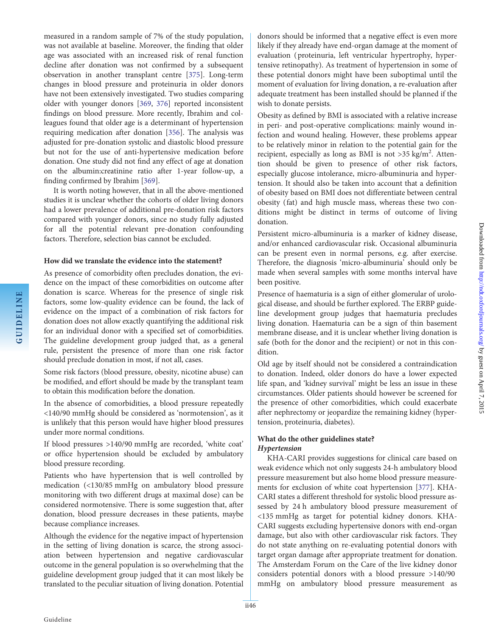measured in a random sample of 7% of the study population, was not available at baseline. Moreover, the finding that older age was associated with an increased risk of renal function decline after donation was not confirmed by a subsequent observation in another transplant centre [\[375\]](#page-68-0). Long-term changes in blood pressure and proteinuria in older donors have not been extensively investigated. Two studies comparing older with younger donors [[369,](#page-68-0) [376\]](#page-68-0) reported inconsistent findings on blood pressure. More recently, Ibrahim and colleagues found that older age is a determinant of hypertension requiring medication after donation [\[356\]](#page-68-0). The analysis was adjusted for pre-donation systolic and diastolic blood pressure but not for the use of anti-hypertensive medication before donation. One study did not find any effect of age at donation on the albumin:creatinine ratio after 1-year follow-up, a finding confirmed by Ibrahim [[369\]](#page-68-0).

It is worth noting however, that in all the above-mentioned studies it is unclear whether the cohorts of older living donors had a lower prevalence of additional pre-donation risk factors compared with younger donors, since no study fully adjusted for all the potential relevant pre-donation confounding factors. Therefore, selection bias cannot be excluded.

### How did we translate the evidence into the statement?

As presence of comorbidity often precludes donation, the evidence on the impact of these comorbidities on outcome after donation is scarce. Whereas for the presence of single risk factors, some low-quality evidence can be found, the lack of evidence on the impact of a combination of risk factors for donation does not allow exactly quantifying the additional risk for an individual donor with a specified set of comorbidities. The guideline development group judged that, as a general rule, persistent the presence of more than one risk factor should preclude donation in most, if not all, cases.

Some risk factors (blood pressure, obesity, nicotine abuse) can be modified, and effort should be made by the transplant team to obtain this modification before the donation.

In the absence of comorbidities, a blood pressure repeatedly <140/90 mmHg should be considered as 'normotension', as it is unlikely that this person would have higher blood pressures under more normal conditions.

If blood pressures >140/90 mmHg are recorded, 'white coat' or office hypertension should be excluded by ambulatory blood pressure recording.

Patients who have hypertension that is well controlled by medication (<130/85 mmHg on ambulatory blood pressure monitoring with two different drugs at maximal dose) can be considered normotensive. There is some suggestion that, after donation, blood pressure decreases in these patients, maybe because compliance increases.

Although the evidence for the negative impact of hypertension in the setting of living donation is scarce, the strong association between hypertension and negative cardiovascular outcome in the general population is so overwhelming that the guideline development group judged that it can most likely be translated to the peculiar situation of living donation. Potential

donors should be informed that a negative effect is even more likely if they already have end-organ damage at the moment of evaluation ( proteinuria, left ventricular hypertrophy, hypertensive retinopathy). As treatment of hypertension in some of these potential donors might have been suboptimal until the moment of evaluation for living donation, a re-evaluation after adequate treatment has been installed should be planned if the wish to donate persists.

Obesity as defined by BMI is associated with a relative increase in peri- and post-operative complications: mainly wound infection and wound healing. However, these problems appear to be relatively minor in relation to the potential gain for the recipient, especially as long as BMI is not >35 kg/m<sup>2</sup>. Attention should be given to presence of other risk factors, especially glucose intolerance, micro-albuminuria and hypertension. It should also be taken into account that a definition of obesity based on BMI does not differentiate between central obesity (fat) and high muscle mass, whereas these two conditions might be distinct in terms of outcome of living donation.

Persistent micro-albuminuria is a marker of kidney disease, and/or enhanced cardiovascular risk. Occasional albuminuria can be present even in normal persons, e.g. after exercise. Therefore, the diagnosis 'micro-albuminuria' should only be made when several samples with some months interval have been positive.

Presence of haematuria is a sign of either glomerular of urological disease, and should be further explored. The ERBP guideline development group judges that haematuria precludes living donation. Haematuria can be a sign of thin basement membrane disease, and it is unclear whether living donation is safe (both for the donor and the recipient) or not in this condition.

Downloaded from http://ndt.oxfordjournals.org/ by guest on April 7, 2015 Downloaded from <http://ndt.oxfordjournals.org/> by guest on April 7, 2015

Old age by itself should not be considered a contraindication to donation. Indeed, older donors do have a lower expected life span, and 'kidney survival' might be less an issue in these circumstances. Older patients should however be screened for the presence of other comorbidities, which could exacerbate after nephrectomy or jeopardize the remaining kidney (hypertension, proteinuria, diabetes).

### What do the other guidelines state? Hypertension

KHA-CARI provides suggestions for clinical care based on weak evidence which not only suggests 24-h ambulatory blood pressure measurement but also home blood pressure measurements for exclusion of white coat hypertension [[377](#page-68-0)]. KHA-CARI states a different threshold for systolic blood pressure assessed by 24 h ambulatory blood pressure measurement of <135 mmHg as target for potential kidney donors. KHA-CARI suggests excluding hypertensive donors with end-organ damage, but also with other cardiovascular risk factors. They do not state anything on re-evaluating potential donors with target organ damage after appropriate treatment for donation. The Amsterdam Forum on the Care of the live kidney donor considers potential donors with a blood pressure >140/90 mmHg on ambulatory blood pressure measurement as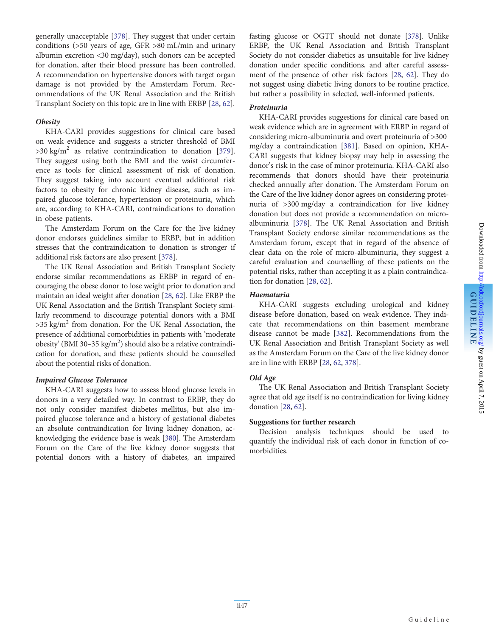generally unacceptable [\[378\]](#page-68-0). They suggest that under certain conditions (>50 years of age, GFR >80 mL/min and urinary albumin excretion <30 mg/day), such donors can be accepted for donation, after their blood pressure has been controlled. A recommendation on hypertensive donors with target organ damage is not provided by the Amsterdam Forum. Recommendations of the UK Renal Association and the British Transplant Society on this topic are in line with ERBP [\[28](#page-58-0), [62](#page-59-0)].

#### **Obesity**

KHA-CARI provides suggestions for clinical care based on weak evidence and suggests a stricter threshold of BMI  $>$ 30 kg/m<sup>2</sup> as relative contraindication to donation [\[379\]](#page-68-0). They suggest using both the BMI and the waist circumference as tools for clinical assessment of risk of donation. They suggest taking into account eventual additional risk factors to obesity for chronic kidney disease, such as impaired glucose tolerance, hypertension or proteinuria, which are, according to KHA-CARI, contraindications to donation in obese patients.

The Amsterdam Forum on the Care for the live kidney donor endorses guidelines similar to ERBP, but in addition stresses that the contraindication to donation is stronger if additional risk factors are also present [\[378\]](#page-68-0).

The UK Renal Association and British Transplant Society endorse similar recommendations as ERBP in regard of encouraging the obese donor to lose weight prior to donation and maintain an ideal weight after donation [\[28,](#page-58-0) [62\]](#page-59-0). Like ERBP the UK Renal Association and the British Transplant Society similarly recommend to discourage potential donors with a BMI >35 kg/m<sup>2</sup> from donation. For the UK Renal Association, the presence of additional comorbidities in patients with 'moderate obesity' (BMI 30-35 kg/m<sup>2</sup>) should also be a relative contraindication for donation, and these patients should be counselled about the potential risks of donation.

#### Impaired Glucose Tolerance

KHA-CARI suggests how to assess blood glucose levels in donors in a very detailed way. In contrast to ERBP, they do not only consider manifest diabetes mellitus, but also impaired glucose tolerance and a history of gestational diabetes an absolute contraindication for living kidney donation, acknowledging the evidence base is weak [[380](#page-68-0)]. The Amsterdam Forum on the Care of the live kidney donor suggests that potential donors with a history of diabetes, an impaired fasting glucose or OGTT should not donate [[378\]](#page-68-0). Unlike ERBP, the UK Renal Association and British Transplant Society do not consider diabetics as unsuitable for live kidney donation under specific conditions, and after careful assessment of the presence of other risk factors [\[28,](#page-58-0) [62](#page-59-0)]. They do not suggest using diabetic living donors to be routine practice, but rather a possibility in selected, well-informed patients.

#### Proteinuria

KHA-CARI provides suggestions for clinical care based on weak evidence which are in agreement with ERBP in regard of considering micro-albuminuria and overt proteinuria of >300 mg/day a contraindication [[381](#page-68-0)]. Based on opinion, KHA-CARI suggests that kidney biopsy may help in assessing the donor's risk in the case of minor proteinuria. KHA-CARI also recommends that donors should have their proteinuria checked annually after donation. The Amsterdam Forum on the Care of the live kidney donor agrees on considering proteinuria of >300 mg/day a contraindication for live kidney donation but does not provide a recommendation on microalbuminuria [\[378\]](#page-68-0). The UK Renal Association and British Transplant Society endorse similar recommendations as the Amsterdam forum, except that in regard of the absence of clear data on the role of micro-albuminuria, they suggest a careful evaluation and counselling of these patients on the potential risks, rather than accepting it as a plain contraindication for donation [[28](#page-58-0), [62](#page-59-0)].

#### Haematuria

KHA-CARI suggests excluding urological and kidney disease before donation, based on weak evidence. They indicate that recommendations on thin basement membrane disease cannot be made [[382](#page-68-0)]. Recommendations from the UK Renal Association and British Transplant Society as well as the Amsterdam Forum on the Care of the live kidney donor are in line with ERBP [\[28,](#page-58-0) [62,](#page-59-0) [378\]](#page-68-0).

#### Old Age

The UK Renal Association and British Transplant Society agree that old age itself is no contraindication for living kidney donation [\[28,](#page-58-0) [62](#page-59-0)].

#### Suggestions for further research

Decision analysis techniques should be used to quantify the individual risk of each donor in function of comorbidities.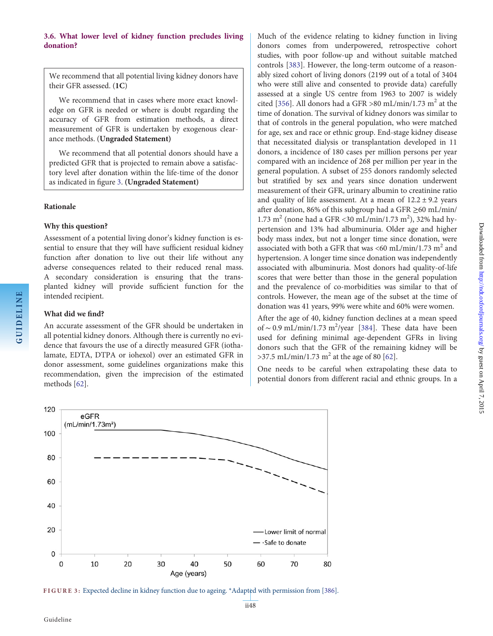### <span id="page-47-0"></span>3.6. What lower level of kidney function precludes living donation?

We recommend that all potential living kidney donors have their GFR assessed. (1C)

We recommend that in cases where more exact knowledge on GFR is needed or where is doubt regarding the accuracy of GFR from estimation methods, a direct measurement of GFR is undertaken by exogenous clearance methods. (Ungraded Statement)

We recommend that all potential donors should have a predicted GFR that is projected to remain above a satisfactory level after donation within the life-time of the donor as indicated in figure 3. (Ungraded Statement)

### Rationale

#### Why this question?

Assessment of a potential living donor's kidney function is essential to ensure that they will have sufficient residual kidney function after donation to live out their life without any adverse consequences related to their reduced renal mass. A secondary consideration is ensuring that the transplanted kidney will provide sufficient function for the intended recipient.

#### What did we find?

GUIDELINE

**GUIDELINE** 

An accurate assessment of the GFR should be undertaken in all potential kidney donors. Although there is currently no evidence that favours the use of a directly measured GFR (iothalamate, EDTA, DTPA or iohexol) over an estimated GFR in donor assessment, some guidelines organizations make this recommendation, given the imprecision of the estimated methods [[62](#page-59-0)].

Much of the evidence relating to kidney function in living donors comes from underpowered, retrospective cohort studies, with poor follow-up and without suitable matched controls [[383](#page-68-0)]. However, the long-term outcome of a reasonably sized cohort of living donors (2199 out of a total of 3404 who were still alive and consented to provide data) carefully assessed at a single US centre from 1963 to 2007 is widely cited [\[356\]](#page-68-0). All donors had a GFR  $>80$  mL/min/1.73 m<sup>2</sup> at the time of donation. The survival of kidney donors was similar to that of controls in the general population, who were matched for age, sex and race or ethnic group. End-stage kidney disease that necessitated dialysis or transplantation developed in 11 donors, a incidence of 180 cases per million persons per year compared with an incidence of 268 per million per year in the general population. A subset of 255 donors randomly selected but stratified by sex and years since donation underwent measurement of their GFR, urinary albumin to creatinine ratio and quality of life assessment. At a mean of  $12.2 \pm 9.2$  years after donation, 86% of this subgroup had a GFR  $\geq$ 60 mL/min/ 1.73 m<sup>2</sup> (none had a GFR <30 mL/min/1.73 m<sup>2</sup>), 32% had hypertension and 13% had albuminuria. Older age and higher body mass index, but not a longer time since donation, were associated with both a GFR that was  $\leq 60$  mL/min/1.73 m<sup>2</sup> and hypertension. A longer time since donation was independently associated with albuminuria. Most donors had quality-of-life scores that were better than those in the general population and the prevalence of co-morbidities was similar to that of controls. However, the mean age of the subset at the time of donation was 41 years, 99% were white and 60% were women.

After the age of 40, kidney function declines at a mean speed of ~ 0.9 mL/min/1.73 m<sup>2</sup>/year [[384](#page-68-0)]. These data have been used for defining minimal age-dependent GFRs in living donors such that the GFR of the remaining kidney will be  $>37.5$  mL/min/1.73 m<sup>2</sup> at the age of 80 [[62\]](#page-59-0).

One needs to be careful when extrapolating these data to potential donors from different racial and ethnic groups. In a



FIGURE 3: Expected decline in kidney function due to ageing. \*Adapted with permission from [[386\]](#page-69-0).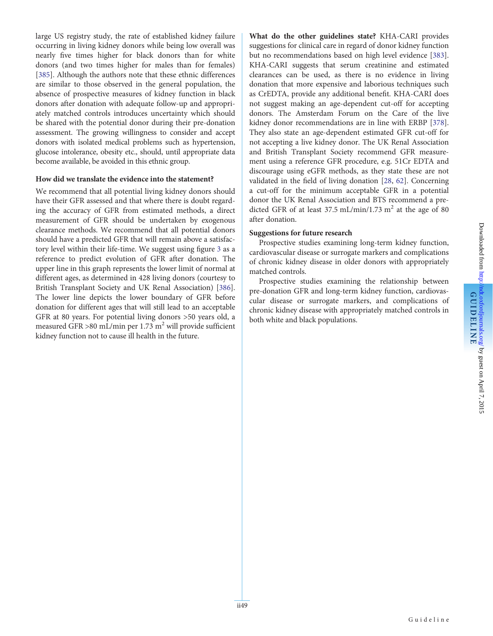large US registry study, the rate of established kidney failure occurring in living kidney donors while being low overall was nearly five times higher for black donors than for white donors (and two times higher for males than for females) [[385](#page-68-0)]. Although the authors note that these ethnic differences are similar to those observed in the general population, the absence of prospective measures of kidney function in black donors after donation with adequate follow-up and appropriately matched controls introduces uncertainty which should be shared with the potential donor during their pre-donation assessment. The growing willingness to consider and accept donors with isolated medical problems such as hypertension, glucose intolerance, obesity etc., should, until appropriate data become available, be avoided in this ethnic group.

#### How did we translate the evidence into the statement?

We recommend that all potential living kidney donors should have their GFR assessed and that where there is doubt regarding the accuracy of GFR from estimated methods, a direct measurement of GFR should be undertaken by exogenous clearance methods. We recommend that all potential donors should have a predicted GFR that will remain above a satisfactory level within their life-time. We suggest using figure [3](#page-47-0) as a reference to predict evolution of GFR after donation. The upper line in this graph represents the lower limit of normal at different ages, as determined in 428 living donors (courtesy to British Transplant Society and UK Renal Association) [\[386\]](#page-69-0). The lower line depicts the lower boundary of GFR before donation for different ages that will still lead to an acceptable GFR at 80 years. For potential living donors >50 years old, a measured GFR >80 mL/min per  $1.73 \text{ m}^2$  will provide sufficient kidney function not to cause ill health in the future.

What do the other guidelines state? KHA-CARI provides suggestions for clinical care in regard of donor kidney function but no recommendations based on high level evidence [[383](#page-68-0)]. KHA-CARI suggests that serum creatinine and estimated clearances can be used, as there is no evidence in living donation that more expensive and laborious techniques such as CrEDTA, provide any additional benefit. KHA-CARI does not suggest making an age-dependent cut-off for accepting donors. The Amsterdam Forum on the Care of the live kidney donor recommendations are in line with ERBP [[378](#page-68-0)]. They also state an age-dependent estimated GFR cut-off for not accepting a live kidney donor. The UK Renal Association and British Transplant Society recommend GFR measurement using a reference GFR procedure, e.g. 51Cr EDTA and discourage using eGFR methods, as they state these are not validated in the field of living donation [\[28,](#page-58-0) [62\]](#page-59-0). Concerning a cut-off for the minimum acceptable GFR in a potential donor the UK Renal Association and BTS recommend a predicted GFR of at least 37.5 mL/min/1.73 m<sup>2</sup> at the age of 80 after donation.

#### Suggestions for future research

Prospective studies examining long-term kidney function, cardiovascular disease or surrogate markers and complications of chronic kidney disease in older donors with appropriately matched controls.

Prospective studies examining the relationship between pre-donation GFR and long-term kidney function, cardiovascular disease or surrogate markers, and complications of chronic kidney disease with appropriately matched controls in both white and black populations.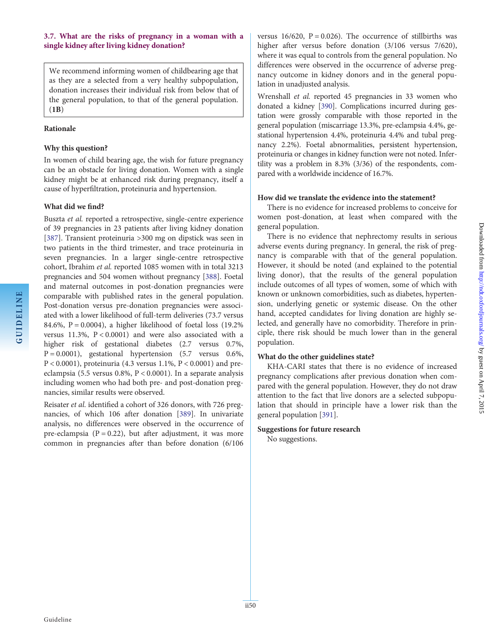3.7. What are the risks of pregnancy in a woman with a single kidney after living kidney donation?

We recommend informing women of childbearing age that as they are a selected from a very healthy subpopulation, donation increases their individual risk from below that of the general population, to that of the general population. (1B)

#### Rationale

#### Why this question?

In women of child bearing age, the wish for future pregnancy can be an obstacle for living donation. Women with a single kidney might be at enhanced risk during pregnancy, itself a cause of hyperfiltration, proteinuria and hypertension.

### What did we find?

Buszta et al. reported a retrospective, single-centre experience of 39 pregnancies in 23 patients after living kidney donation [[387](#page-69-0)]. Transient proteinuria >300 mg on dipstick was seen in two patients in the third trimester, and trace proteinuria in seven pregnancies. In a larger single-centre retrospective cohort, Ibrahim et al. reported 1085 women with in total 3213 pregnancies and 504 women without pregnancy [\[388\]](#page-69-0). Foetal and maternal outcomes in post-donation pregnancies were comparable with published rates in the general population. Post-donation versus pre-donation pregnancies were associated with a lower likelihood of full-term deliveries (73.7 versus 84.6%,  $P = 0.0004$ ), a higher likelihood of foetal loss (19.2%) versus  $11.3\%$ ,  $P < 0.0001$ ) and were also associated with a higher risk of gestational diabetes (2.7 versus 0.7%,  $P = 0.0001$ ), gestational hypertension (5.7 versus 0.6%,  $P < 0.0001$ ), proteinuria (4.3 versus 1.1%,  $P < 0.0001$ ) and preeclampsia (5.5 versus 0.8%, P < 0.0001). In a separate analysis including women who had both pre- and post-donation pregnancies, similar results were observed.

Reisater et al. identified a cohort of 326 donors, with 726 pregnancies, of which 106 after donation [[389](#page-69-0)]. In univariate analysis, no differences were observed in the occurrence of pre-eclampsia ( $P = 0.22$ ), but after adjustment, it was more common in pregnancies after than before donation (6/106

versus 16/620,  $P = 0.026$ ). The occurrence of stillbirths was higher after versus before donation (3/106 versus 7/620), where it was equal to controls from the general population. No differences were observed in the occurrence of adverse pregnancy outcome in kidney donors and in the general population in unadjusted analysis.

Wrenshall et al. reported 45 pregnancies in 33 women who donated a kidney [[390\]](#page-69-0). Complications incurred during gestation were grossly comparable with those reported in the general population (miscarriage 13.3%, pre-eclampsia 4.4%, gestational hypertension 4.4%, proteinuria 4.4% and tubal pregnancy 2.2%). Foetal abnormalities, persistent hypertension, proteinuria or changes in kidney function were not noted. Infertility was a problem in 8.3% (3/36) of the respondents, compared with a worldwide incidence of 16.7%.

#### How did we translate the evidence into the statement?

There is no evidence for increased problems to conceive for women post-donation, at least when compared with the general population.

There is no evidence that nephrectomy results in serious adverse events during pregnancy. In general, the risk of pregnancy is comparable with that of the general population. However, it should be noted (and explained to the potential living donor), that the results of the general population include outcomes of all types of women, some of which with known or unknown comorbidities, such as diabetes, hypertension, underlying genetic or systemic disease. On the other hand, accepted candidates for living donation are highly selected, and generally have no comorbidity. Therefore in principle, there risk should be much lower than in the general population.

#### What do the other guidelines state?

KHA-CARI states that there is no evidence of increased pregnancy complications after previous donation when compared with the general population. However, they do not draw attention to the fact that live donors are a selected subpopulation that should in principle have a lower risk than the general population [\[391](#page-69-0)].

### Suggestions for future research

No suggestions.

GUIDELINE

**GUIDELINE**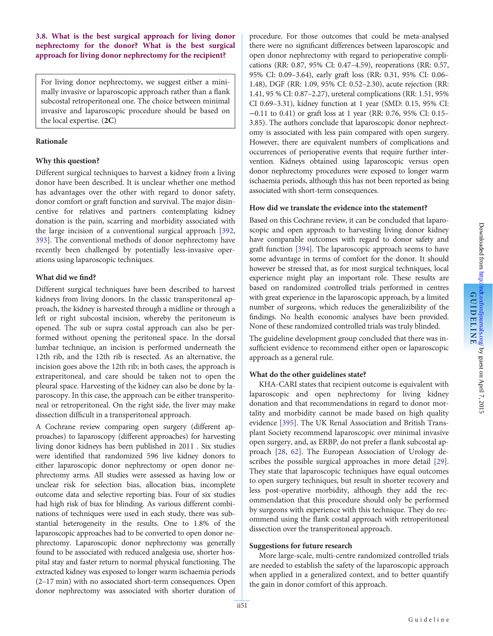For living donor nephrectomy, we suggest either a minimally invasive or laparoscopic approach rather than a flank subcostal retroperitoneal one. The choice between minimal invasive and laparoscopic procedure should be based on the local expertise. (2C)

### Rationale

### Why this question?

Different surgical techniques to harvest a kidney from a living donor have been described. It is unclear whether one method has advantages over the other with regard to donor safety, donor comfort or graft function and survival. The major disincentive for relatives and partners contemplating kidney donation is the pain, scarring and morbidity associated with the large incision of a conventional surgical approach [[392](#page-69-0), [393\]](#page-69-0). The conventional methods of donor nephrectomy have recently been challenged by potentially less-invasive operations using laparoscopic techniques.

### What did we find?

Different surgical techniques have been described to harvest kidneys from living donors. In the classic transperitoneal approach, the kidney is harvested through a midline or through a left or right subcostal incision, whereby the peritoneum is opened. The sub or supra costal approach can also be performed without opening the peritoneal space. In the dorsal lumbar technique, an incision is performed underneath the 12th rib, and the 12th rib is resected. As an alternative, the incision goes above the 12th rib; in both cases, the approach is extraperitoneal, and care should be taken not to open the pleural space. Harvesting of the kidney can also be done by laparoscopy. In this case, the approach can be either transperitoneal or retroperitoneal. On the right side, the liver may make dissection difficult in a transperitoneal approach.

A Cochrane review comparing open surgery (different approaches) to laparoscopy (different approaches) for harvesting living donor kidneys has been published in 2011 . Six studies were identified that randomized 596 live kidney donors to either laparoscopic donor nephrectomy or open donor nephrectomy arms. All studies were assessed as having low or unclear risk for selection bias, allocation bias, incomplete outcome data and selective reporting bias. Four of six studies had high risk of bias for blinding. As various different combinations of techniques were used in each study, there was substantial heterogeneity in the results. One to 1.8% of the laparoscopic approaches had to be converted to open donor nephrectomy. Laparoscopic donor nephrectomy was generally found to be associated with reduced analgesia use, shorter hospital stay and faster return to normal physical functioning. The extracted kidney was exposed to longer warm ischaemia periods (2–17 min) with no associated short-term consequences. Open donor nephrectomy was associated with shorter duration of procedure. For those outcomes that could be meta-analysed there were no significant differences between laparoscopic and open donor nephrectomy with regard to perioperative complications (RR: 0.87, 95% CI: 0.47–4.59), reoperations (RR: 0.57, 95% CI: 0.09–3.64), early graft loss (RR: 0.31, 95% CI: 0.06– 1.48), DGF (RR: 1.09, 95% CI: 0.52–2.30), acute rejection (RR: 1.41, 95 % CI: 0.87–2.27), ureteral complications (RR: 1.51, 95% CI 0.69–3.31), kidney function at 1 year (SMD: 0.15, 95% CI: −0.11 to 0.41) or graft loss at 1 year (RR: 0.76, 95% CI: 0.15– 3.85). The authors conclude that laparoscopic donor nephrectomy is associated with less pain compared with open surgery. However, there are equivalent numbers of complications and occurrences of perioperative events that require further intervention. Kidneys obtained using laparoscopic versus open donor nephrectomy procedures were exposed to longer warm ischaemia periods, although this has not been reported as being associated with short-term consequences.

#### How did we translate the evidence into the statement?

Based on this Cochrane review, it can be concluded that laparoscopic and open approach to harvesting living donor kidney have comparable outcomes with regard to donor safety and graft function [\[394](#page-69-0)]. The laparoscopic approach seems to have some advantage in terms of comfort for the donor. It should however be stressed that, as for most surgical techniques, local experience might play an important role. These results are based on randomized controlled trials performed in centres with great experience in the laparoscopic approach, by a limited number of surgeons, which reduces the generalizibility of the findings. No health economic analyses have been provided. None of these randomized controlled trials was truly blinded.

The guideline development group concluded that there was insufficient evidence to recommend either open or laparoscopic approach as a general rule.

### What do the other guidelines state?

KHA-CARI states that recipient outcome is equivalent with laparoscopic and open nephrectomy for living kidney donation and that recommendations in regard to donor mortality and morbidity cannot be made based on high quality evidence [[395](#page-69-0)]. The UK Renal Association and British Transplant Society recommend laparoscopic over minimal invasive open surgery, and, as ERBP, do not prefer a flank subcostal approach [\[28,](#page-58-0) [62](#page-59-0)]. The European Association of Urology describes the possible surgical approaches in more detail [[29](#page-58-0)]. They state that laparoscopic techniques have equal outcomes to open surgery techniques, but result in shorter recovery and less post-operative morbidity, although they add the recommendation that this procedure should only be performed by surgeons with experience with this technique. They do recommend using the flank costal approach with retroperitoneal dissection over the transperitoneal approach.

### Suggestions for future research

More large-scale, multi-centre randomized controlled trials are needed to establish the safety of the laparoscopic approach when applied in a generalized context, and to better quantify the gain in donor comfort of this approach.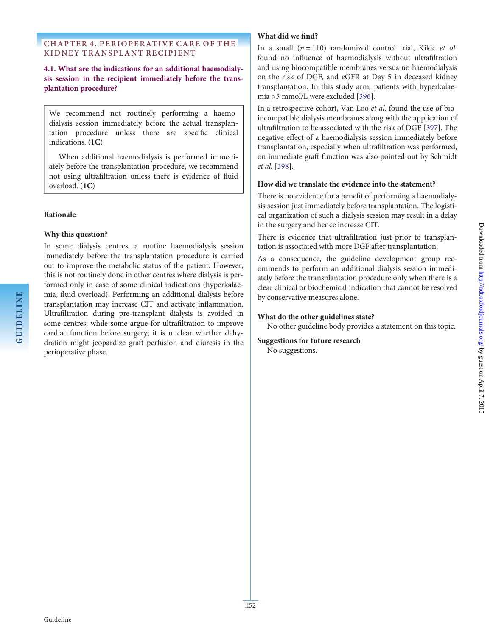### CHAPTER 4. PERIOPERATIVE CARE OF THE KIDNEY TRANSPLANT RECIPIENT

### 4.1. What are the indications for an additional haemodialysis session in the recipient immediately before the transplantation procedure?

We recommend not routinely performing a haemodialysis session immediately before the actual transplantation procedure unless there are specific clinical indications. (1C)

When additional haemodialysis is performed immediately before the transplantation procedure, we recommend not using ultrafiltration unless there is evidence of fluid overload. (1C)

### Rationale

#### Why this question?

In some dialysis centres, a routine haemodialysis session immediately before the transplantation procedure is carried out to improve the metabolic status of the patient. However, this is not routinely done in other centres where dialysis is performed only in case of some clinical indications (hyperkalaemia, fluid overload). Performing an additional dialysis before transplantation may increase CIT and activate inflammation. Ultrafiltration during pre-transplant dialysis is avoided in some centres, while some argue for ultrafiltration to improve cardiac function before surgery; it is unclear whether dehydration might jeopardize graft perfusion and diuresis in the perioperative phase.

### What did we find?

In a small  $(n = 110)$  randomized control trial, Kikic et al. found no influence of haemodialysis without ultrafiltration and using biocompatible membranes versus no haemodialysis on the risk of DGF, and eGFR at Day 5 in deceased kidney transplantation. In this study arm, patients with hyperkalaemia >5 mmol/L were excluded [\[396\]](#page-69-0).

In a retrospective cohort, Van Loo et al. found the use of bioincompatible dialysis membranes along with the application of ultrafiltration to be associated with the risk of DGF [[397](#page-69-0)]. The negative effect of a haemodialysis session immediately before transplantation, especially when ultrafiltration was performed, on immediate graft function was also pointed out by Schmidt et al. [[398\]](#page-69-0).

### How did we translate the evidence into the statement?

There is no evidence for a benefit of performing a haemodialysis session just immediately before transplantation. The logistical organization of such a dialysis session may result in a delay in the surgery and hence increase CIT.

There is evidence that ultrafiltration just prior to transplantation is associated with more DGF after transplantation.

As a consequence, the guideline development group recommends to perform an additional dialysis session immediately before the transplantation procedure only when there is a clear clinical or biochemical indication that cannot be resolved by conservative measures alone.

### What do the other guidelines state?

No other guideline body provides a statement on this topic.

Suggestions for future research No suggestions.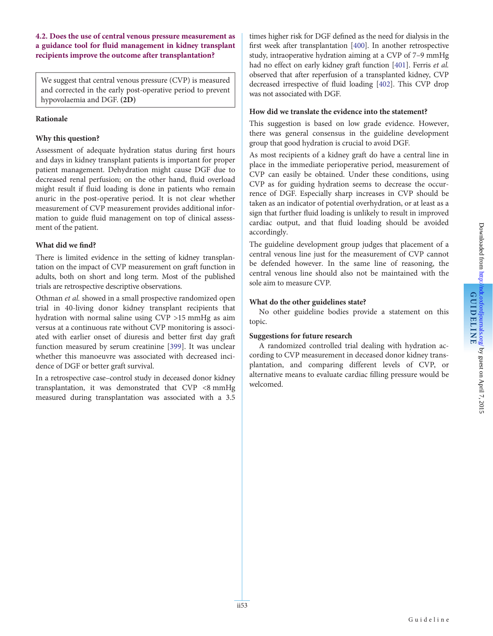4.2. Does the use of central venous pressure measurement as a guidance tool for fluid management in kidney transplant recipients improve the outcome after transplantation?

We suggest that central venous pressure (CVP) is measured and corrected in the early post-operative period to prevent hypovolaemia and DGF. (2D)

### Rationale

### Why this question?

Assessment of adequate hydration status during first hours and days in kidney transplant patients is important for proper patient management. Dehydration might cause DGF due to decreased renal perfusion; on the other hand, fluid overload might result if fluid loading is done in patients who remain anuric in the post-operative period. It is not clear whether measurement of CVP measurement provides additional information to guide fluid management on top of clinical assessment of the patient.

### What did we find?

There is limited evidence in the setting of kidney transplantation on the impact of CVP measurement on graft function in adults, both on short and long term. Most of the published trials are retrospective descriptive observations.

Othman et al. showed in a small prospective randomized open trial in 40-living donor kidney transplant recipients that hydration with normal saline using CVP >15 mmHg as aim versus at a continuous rate without CVP monitoring is associated with earlier onset of diuresis and better first day graft function measured by serum creatinine [\[399](#page-69-0)]. It was unclear whether this manoeuvre was associated with decreased incidence of DGF or better graft survival.

In a retrospective case–control study in deceased donor kidney transplantation, it was demonstrated that CVP <8 mmHg measured during transplantation was associated with a 3.5 times higher risk for DGF defined as the need for dialysis in the first week after transplantation [\[400](#page-69-0)]. In another retrospective study, intraoperative hydration aiming at a CVP of 7–9 mmHg had no effect on early kidney graft function [\[401](#page-69-0)]. Ferris et al. observed that after reperfusion of a transplanted kidney, CVP decreased irrespective of fluid loading [[402\]](#page-69-0). This CVP drop was not associated with DGF.

### How did we translate the evidence into the statement?

This suggestion is based on low grade evidence. However, there was general consensus in the guideline development group that good hydration is crucial to avoid DGF.

As most recipients of a kidney graft do have a central line in place in the immediate perioperative period, measurement of CVP can easily be obtained. Under these conditions, using CVP as for guiding hydration seems to decrease the occurrence of DGF. Especially sharp increases in CVP should be taken as an indicator of potential overhydration, or at least as a sign that further fluid loading is unlikely to result in improved cardiac output, and that fluid loading should be avoided accordingly.

The guideline development group judges that placement of a central venous line just for the measurement of CVP cannot be defended however. In the same line of reasoning, the central venous line should also not be maintained with the sole aim to measure CVP.

### What do the other guidelines state?

No other guideline bodies provide a statement on this topic.

#### Suggestions for future research

A randomized controlled trial dealing with hydration according to CVP measurement in deceased donor kidney transplantation, and comparing different levels of CVP, or alternative means to evaluate cardiac filling pressure would be welcomed.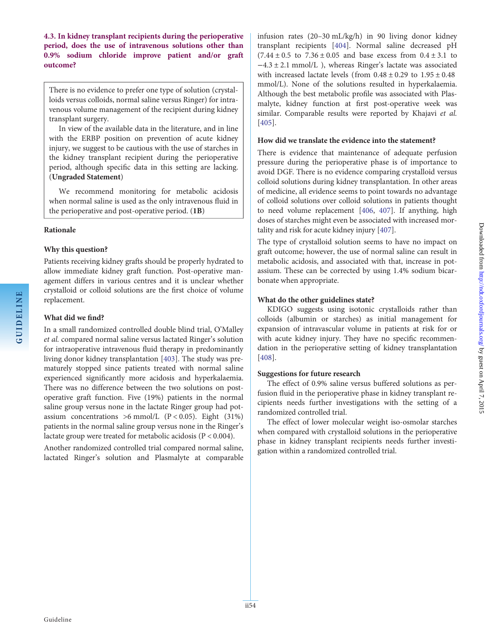There is no evidence to prefer one type of solution (crystalloids versus colloids, normal saline versus Ringer) for intravenous volume management of the recipient during kidney transplant surgery.

In view of the available data in the literature, and in line with the ERBP position on prevention of acute kidney injury, we suggest to be cautious with the use of starches in the kidney transplant recipient during the perioperative period, although specific data in this setting are lacking. (Ungraded Statement)

We recommend monitoring for metabolic acidosis when normal saline is used as the only intravenous fluid in the perioperative and post-operative period. (1B)

#### Rationale

#### Why this question?

Patients receiving kidney grafts should be properly hydrated to allow immediate kidney graft function. Post-operative management differs in various centres and it is unclear whether crystalloid or colloid solutions are the first choice of volume replacement.

#### What did we find?

In a small randomized controlled double blind trial, O'Malley et al. compared normal saline versus lactated Ringer's solution for intraoperative intravenous fluid therapy in predominantly living donor kidney transplantation [\[403\]](#page-69-0). The study was prematurely stopped since patients treated with normal saline experienced significantly more acidosis and hyperkalaemia. There was no difference between the two solutions on postoperative graft function. Five (19%) patients in the normal saline group versus none in the lactate Ringer group had potassium concentrations  $>6$  mmol/L (P < 0.05). Eight (31%) patients in the normal saline group versus none in the Ringer's lactate group were treated for metabolic acidosis (P < 0.004).

Another randomized controlled trial compared normal saline, lactated Ringer's solution and Plasmalyte at comparable

infusion rates (20–30 mL/kg/h) in 90 living donor kidney transplant recipients [[404](#page-69-0)]. Normal saline decreased pH  $(7.44 \pm 0.5 \text{ to } 7.36 \pm 0.05 \text{ and base excess from } 0.4 \pm 3.1 \text{ to }$ −4.3 ± 2.1 mmol/L ), whereas Ringer's lactate was associated with increased lactate levels (from  $0.48 \pm 0.29$  to  $1.95 \pm 0.48$ mmol/L). None of the solutions resulted in hyperkalaemia. Although the best metabolic profile was associated with Plasmalyte, kidney function at first post-operative week was similar. Comparable results were reported by Khajavi et al. [\[405\]](#page-69-0).

### How did we translate the evidence into the statement?

There is evidence that maintenance of adequate perfusion pressure during the perioperative phase is of importance to avoid DGF. There is no evidence comparing crystalloid versus colloid solutions during kidney transplantation. In other areas of medicine, all evidence seems to point towards no advantage of colloid solutions over colloid solutions in patients thought to need volume replacement [\[406,](#page-69-0) [407](#page-69-0)]. If anything, high doses of starches might even be associated with increased mortality and risk for acute kidney injury [\[407](#page-69-0)].

The type of crystalloid solution seems to have no impact on graft outcome; however, the use of normal saline can result in metabolic acidosis, and associated with that, increase in potassium. These can be corrected by using 1.4% sodium bicarbonate when appropriate.

#### What do the other guidelines state?

KDIGO suggests using isotonic crystalloids rather than colloids (albumin or starches) as initial management for expansion of intravascular volume in patients at risk for or with acute kidney injury. They have no specific recommendation in the perioperative setting of kidney transplantation [\[408\]](#page-69-0).

#### Suggestions for future research

The effect of 0.9% saline versus buffered solutions as perfusion fluid in the perioperative phase in kidney transplant recipients needs further investigations with the setting of a randomized controlled trial.

The effect of lower molecular weight iso-osmolar starches when compared with crystalloid solutions in the perioperative phase in kidney transplant recipients needs further investigation within a randomized controlled trial.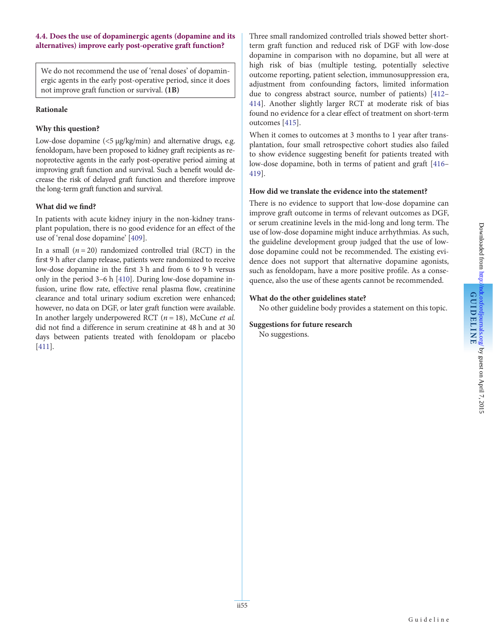### 4.4. Does the use of dopaminergic agents (dopamine and its alternatives) improve early post-operative graft function?

We do not recommend the use of 'renal doses' of dopaminergic agents in the early post-operative period, since it does not improve graft function or survival. (1B)

### Rationale

### Why this question?

Low-dose dopamine (<5 µg/kg/min) and alternative drugs, e.g. fenoldopam, have been proposed to kidney graft recipients as renoprotective agents in the early post-operative period aiming at improving graft function and survival. Such a benefit would decrease the risk of delayed graft function and therefore improve the long-term graft function and survival.

### What did we find?

In patients with acute kidney injury in the non-kidney transplant population, there is no good evidence for an effect of the use of 'renal dose dopamine' [[409](#page-69-0)].

In a small  $(n = 20)$  randomized controlled trial (RCT) in the first 9 h after clamp release, patients were randomized to receive low-dose dopamine in the first 3 h and from 6 to 9 h versus only in the period 3–6h[\[410](#page-69-0)]. During low-dose dopamine infusion, urine flow rate, effective renal plasma flow, creatinine clearance and total urinary sodium excretion were enhanced; however, no data on DGF, or later graft function were available. In another largely underpowered RCT  $(n = 18)$ , McCune *et al.* did not find a difference in serum creatinine at 48 h and at 30 days between patients treated with fenoldopam or placebo [[411\]](#page-69-0).

Three small randomized controlled trials showed better shortterm graft function and reduced risk of DGF with low-dose dopamine in comparison with no dopamine, but all were at high risk of bias (multiple testing, potentially selective outcome reporting, patient selection, immunosuppression era, adjustment from confounding factors, limited information due to congress abstract source, number of patients) [\[412](#page-69-0)– [414](#page-69-0)]. Another slightly larger RCT at moderate risk of bias found no evidence for a clear effect of treatment on short-term outcomes [[415](#page-69-0)].

When it comes to outcomes at 3 months to 1 year after transplantation, four small retrospective cohort studies also failed to show evidence suggesting benefit for patients treated with low-dose dopamine, both in terms of patient and graft [\[416](#page-69-0)– [419](#page-70-0)].

### How did we translate the evidence into the statement?

There is no evidence to support that low-dose dopamine can improve graft outcome in terms of relevant outcomes as DGF, or serum creatinine levels in the mid-long and long term. The use of low-dose dopamine might induce arrhythmias. As such, the guideline development group judged that the use of lowdose dopamine could not be recommended. The existing evidence does not support that alternative dopamine agonists, such as fenoldopam, have a more positive profile. As a consequence, also the use of these agents cannot be recommended.

### What do the other guidelines state?

No other guideline body provides a statement on this topic.

### Suggestions for future research

No suggestions.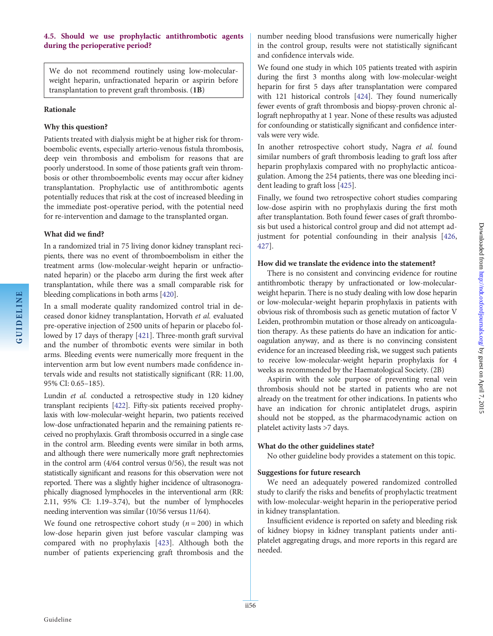### 4.5. Should we use prophylactic antithrombotic agents during the perioperative period?

We do not recommend routinely using low-molecularweight heparin, unfractionated heparin or aspirin before transplantation to prevent graft thrombosis. (1B)

#### Rationale

#### Why this question?

Patients treated with dialysis might be at higher risk for thromboembolic events, especially arterio-venous fistula thrombosis, deep vein thrombosis and embolism for reasons that are poorly understood. In some of those patients graft vein thrombosis or other thromboembolic events may occur after kidney transplantation. Prophylactic use of antithrombotic agents potentially reduces that risk at the cost of increased bleeding in the immediate post-operative period, with the potential need for re-intervention and damage to the transplanted organ.

#### What did we find?

GUIDELINE

**GUIDELINE** 

In a randomized trial in 75 living donor kidney transplant recipients, there was no event of thromboembolism in either the treatment arms (low-molecular-weight heparin or unfractionated heparin) or the placebo arm during the first week after transplantation, while there was a small comparable risk for bleeding complications in both arms [[420\]](#page-70-0).

In a small moderate quality randomized control trial in deceased donor kidney transplantation, Horvath et al. evaluated pre-operative injection of 2500 units of heparin or placebo followed by 17 days of therapy [[421\]](#page-70-0). Three-month graft survival and the number of thrombotic events were similar in both arms. Bleeding events were numerically more frequent in the intervention arm but low event numbers made confidence intervals wide and results not statistically significant (RR: 11.00, 95% CI: 0.65–185).

Lundin et al. conducted a retrospective study in 120 kidney transplant recipients [\[422](#page-70-0)]. Fifty-six patients received prophylaxis with low-molecular-weight heparin, two patients received low-dose unfractionated heparin and the remaining patients received no prophylaxis. Graft thrombosis occurred in a single case in the control arm. Bleeding events were similar in both arms, and although there were numerically more graft nephrectomies in the control arm (4/64 control versus 0/56), the result was not statistically significant and reasons for this observation were not reported. There was a slightly higher incidence of ultrasonographically diagnosed lymphoceles in the interventional arm (RR: 2.11, 95% CI: 1.19–3.74), but the number of lymphoceles needing intervention was similar (10/56 versus 11/64).

We found one retrospective cohort study  $(n = 200)$  in which low-dose heparin given just before vascular clamping was compared with no prophylaxis [\[423](#page-70-0)]. Although both the number of patients experiencing graft thrombosis and the

number needing blood transfusions were numerically higher in the control group, results were not statistically significant and confidence intervals wide.

We found one study in which 105 patients treated with aspirin during the first 3 months along with low-molecular-weight heparin for first 5 days after transplantation were compared with 121 historical controls [\[424](#page-70-0)]. They found numerically fewer events of graft thrombosis and biopsy-proven chronic allograft nephropathy at 1 year. None of these results was adjusted for confounding or statistically significant and confidence intervals were very wide.

In another retrospective cohort study, Nagra et al. found similar numbers of graft thrombosis leading to graft loss after heparin prophylaxis compared with no prophylactic anticoagulation. Among the 254 patients, there was one bleeding incident leading to graft loss [[425\]](#page-70-0).

Finally, we found two retrospective cohort studies comparing low-dose aspirin with no prophylaxis during the first moth after transplantation. Both found fewer cases of graft thrombosis but used a historical control group and did not attempt adjustment for potential confounding in their analysis [\[426,](#page-70-0) [427](#page-70-0)].

### How did we translate the evidence into the statement?

There is no consistent and convincing evidence for routine antithrombotic therapy by unfractionated or low-molecularweight heparin. There is no study dealing with low dose heparin or low-molecular-weight heparin prophylaxis in patients with obvious risk of thrombosis such as genetic mutation of factor V Leiden, prothrombin mutation or those already on anticoagulation therapy. As these patients do have an indication for anticoagulation anyway, and as there is no convincing consistent evidence for an increased bleeding risk, we suggest such patients to receive low-molecular-weight heparin prophylaxis for 4 weeks as recommended by the Haematological Society. (2B)

Aspirin with the sole purpose of preventing renal vein thrombosis should not be started in patients who are not already on the treatment for other indications. In patients who have an indication for chronic antiplatelet drugs, aspirin should not be stopped, as the pharmacodynamic action on platelet activity lasts >7 days.

#### What do the other guidelines state?

No other guideline body provides a statement on this topic.

#### Suggestions for future research

We need an adequately powered randomized controlled study to clarify the risks and benefits of prophylactic treatment with low-molecular-weight heparin in the perioperative period in kidney transplantation.

Insufficient evidence is reported on safety and bleeding risk of kidney biopsy in kidney transplant patients under antiplatelet aggregating drugs, and more reports in this regard are needed.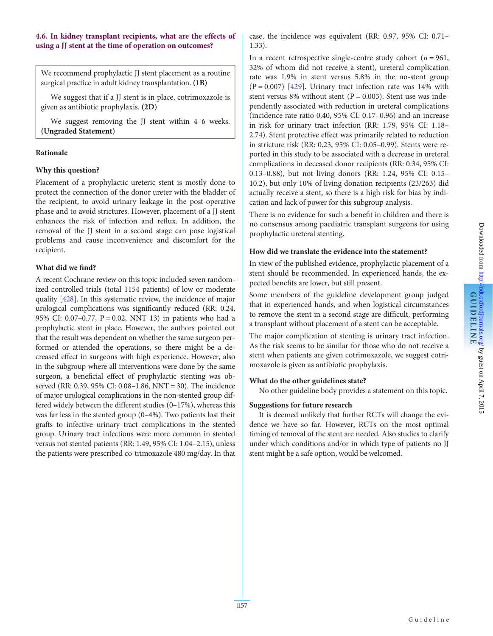### 4.6. In kidney transplant recipients, what are the effects of using a JJ stent at the time of operation on outcomes?

We recommend prophylactic JJ stent placement as a routine surgical practice in adult kidney transplantation. (1B)

We suggest that if a JJ stent is in place, cotrimoxazole is given as antibiotic prophylaxis. (2D)

We suggest removing the JJ stent within 4–6 weeks. (Ungraded Statement)

#### Rationale

### Why this question?

Placement of a prophylactic ureteric stent is mostly done to protect the connection of the donor ureter with the bladder of the recipient, to avoid urinary leakage in the post-operative phase and to avoid strictures. However, placement of a JJ stent enhances the risk of infection and reflux. In addition, the removal of the JJ stent in a second stage can pose logistical problems and cause inconvenience and discomfort for the recipient.

### What did we find?

A recent Cochrane review on this topic included seven randomized controlled trials (total 1154 patients) of low or moderate quality [[428\]](#page-70-0). In this systematic review, the incidence of major urological complications was significantly reduced (RR: 0.24, 95% CI: 0.07–0.77, P = 0.02, NNT 13) in patients who had a prophylactic stent in place. However, the authors pointed out that the result was dependent on whether the same surgeon performed or attended the operations, so there might be a decreased effect in surgeons with high experience. However, also in the subgroup where all interventions were done by the same surgeon, a beneficial effect of prophylactic stenting was observed (RR: 0.39, 95% CI: 0.08–1.86, NNT = 30). The incidence of major urological complications in the non-stented group differed widely between the different studies (0–17%), whereas this was far less in the stented group (0–4%). Two patients lost their grafts to infective urinary tract complications in the stented group. Urinary tract infections were more common in stented versus not stented patients (RR: 1.49, 95% CI: 1.04–2.15), unless the patients were prescribed co-trimoxazole 480 mg/day. In that case, the incidence was equivalent (RR: 0.97, 95% CI: 0.71– 1.33).

In a recent retrospective single-centre study cohort ( $n = 961$ , 32% of whom did not receive a stent), ureteral complication rate was 1.9% in stent versus 5.8% in the no-stent group  $(P = 0.007)$  [[429](#page-70-0)]. Urinary tract infection rate was 14% with stent versus 8% without stent ( $P = 0.003$ ). Stent use was independently associated with reduction in ureteral complications (incidence rate ratio 0.40, 95% CI: 0.17–0.96) and an increase in risk for urinary tract infection (RR: 1.79, 95% CI: 1.18– 2.74). Stent protective effect was primarily related to reduction in stricture risk (RR: 0.23, 95% CI: 0.05–0.99). Stents were reported in this study to be associated with a decrease in ureteral complications in deceased donor recipients (RR: 0.34, 95% CI: 0.13–0.88), but not living donors (RR: 1.24, 95% CI: 0.15– 10.2), but only 10% of living donation recipients (23/263) did actually receive a stent, so there is a high risk for bias by indication and lack of power for this subgroup analysis.

There is no evidence for such a benefit in children and there is no consensus among paediatric transplant surgeons for using prophylactic ureteral stenting.

### How did we translate the evidence into the statement?

In view of the published evidence, prophylactic placement of a stent should be recommended. In experienced hands, the expected benefits are lower, but still present.

Some members of the guideline development group judged that in experienced hands, and when logistical circumstances to remove the stent in a second stage are difficult, performing a transplant without placement of a stent can be acceptable.

The major complication of stenting is urinary tract infection. As the risk seems to be similar for those who do not receive a stent when patients are given cotrimoxazole, we suggest cotrimoxazole is given as antibiotic prophylaxis.

### What do the other guidelines state?

No other guideline body provides a statement on this topic.

#### Suggestions for future research

It is deemed unlikely that further RCTs will change the evidence we have so far. However, RCTs on the most optimal timing of removal of the stent are needed. Also studies to clarify under which conditions and/or in which type of patients no JJ stent might be a safe option, would be welcomed.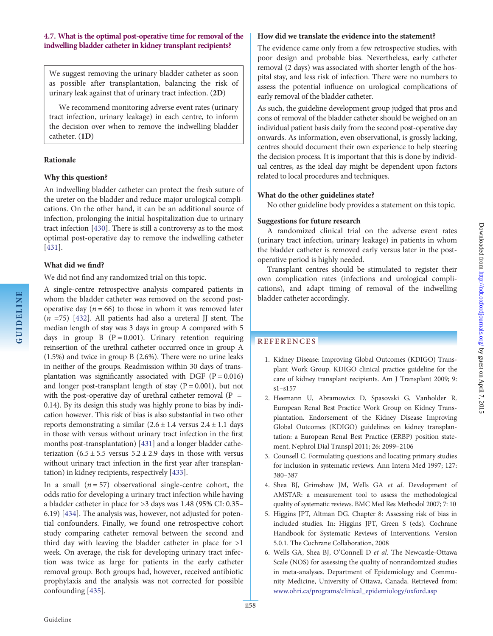### <span id="page-57-0"></span>4.7. What is the optimal post-operative time for removal of the indwelling bladder catheter in kidney transplant recipients?

We suggest removing the urinary bladder catheter as soon as possible after transplantation, balancing the risk of urinary leak against that of urinary tract infection. (2D)

We recommend monitoring adverse event rates (urinary tract infection, urinary leakage) in each centre, to inform the decision over when to remove the indwelling bladder catheter. (1D)

#### Rationale

#### Why this question?

An indwelling bladder catheter can protect the fresh suture of the ureter on the bladder and reduce major urological complications. On the other hand, it can be an additional source of infection, prolonging the initial hospitalization due to urinary tract infection [[430\]](#page-70-0). There is still a controversy as to the most optimal post-operative day to remove the indwelling catheter [[431](#page-70-0)].

### What did we find?

GUIDELINE

**GUIDELINE** 

We did not find any randomized trial on this topic.

A single-centre retrospective analysis compared patients in whom the bladder catheter was removed on the second postoperative day ( $n = 66$ ) to those in whom it was removed later  $(n = 75)$  [[432](#page-70-0)]. All patients had also a ureteral JJ stent. The median length of stay was 3 days in group A compared with 5 days in group B  $(P = 0.001)$ . Urinary retention requiring reinsertion of the urethral catheter occurred once in group A (1.5%) and twice in group B (2.6%). There were no urine leaks in neither of the groups. Readmission within 30 days of transplantation was significantly associated with DGF ( $P = 0.016$ ) and longer post-transplant length of stay  $(P = 0.001)$ , but not with the post-operative day of urethral catheter removal  $(P =$ 0.14). By its design this study was highly prone to bias by indication however. This risk of bias is also substantial in two other reports demonstrating a similar  $(2.6 \pm 1.4 \text{ versus } 2.4 \pm 1.1 \text{ days})$ in those with versus without urinary tract infection in the first months post-transplantation) [\[431](#page-70-0)] and a longer bladder catheterization  $(6.5 \pm 5.5$  versus  $5.2 \pm 2.9$  days in those with versus without urinary tract infection in the first year after transplantation) in kidney recipients, respectively [[433\]](#page-70-0).

In a small  $(n = 57)$  observational single-centre cohort, the odds ratio for developing a urinary tract infection while having a bladder catheter in place for >3 days was 1.48 (95% CI: 0.35– 6.19) [\[434\]](#page-70-0). The analysis was, however, not adjusted for potential confounders. Finally, we found one retrospective cohort study comparing catheter removal between the second and third day with leaving the bladder catheter in place for >1 week. On average, the risk for developing urinary tract infection was twice as large for patients in the early catheter removal group. Both groups had, however, received antibiotic prophylaxis and the analysis was not corrected for possible confounding [\[435\]](#page-70-0).

### How did we translate the evidence into the statement?

The evidence came only from a few retrospective studies, with poor design and probable bias. Nevertheless, early catheter removal (2 days) was associated with shorter length of the hospital stay, and less risk of infection. There were no numbers to assess the potential influence on urological complications of early removal of the bladder catheter.

As such, the guideline development group judged that pros and cons of removal of the bladder catheter should be weighed on an individual patient basis daily from the second post-operative day onwards. As information, even observational, is grossly lacking, centres should document their own experience to help steering the decision process. It is important that this is done by individual centres, as the ideal day might be dependent upon factors related to local procedures and techniques.

### What do the other guidelines state?

No other guideline body provides a statement on this topic.

#### Suggestions for future research

A randomized clinical trial on the adverse event rates (urinary tract infection, urinary leakage) in patients in whom the bladder catheter is removed early versus later in the postoperative period is highly needed.

Transplant centres should be stimulated to register their own complication rates (infections and urological complications), and adapt timing of removal of the indwelling bladder catheter accordingly.

### REFERENCES

- 1. Kidney Disease: Improving Global Outcomes (KDIGO) Transplant Work Group. KDIGO clinical practice guideline for the care of kidney transplant recipients. Am J Transplant 2009; 9: s1–s157
- 2. Heemann U, Abramowicz D, Spasovski G, Vanholder R. European Renal Best Practice Work Group on Kidney Transplantation. Endorsement of the Kidney Disease Improving Global Outcomes (KDIGO) guidelines on kidney transplantation: a European Renal Best Practice (ERBP) position statement. Nephrol Dial Transpl 2011; 26: 2099–2106
- 3. Counsell C. Formulating questions and locating primary studies for inclusion in systematic reviews. Ann Intern Med 1997; 127: 380–387
- 4. Shea BJ, Grimshaw JM, Wells GA et al. Development of AMSTAR: a measurement tool to assess the methodological quality of systematic reviews. BMC Med Res Methodol 2007; 7: 10
- 5. Higgins JPT, Altman DG. Chapter 8: Assessing risk of bias in included studies. In: Higgins JPT, Green S (eds). Cochrane Handbook for Systematic Reviews of Interventions. Version 5.0.1. The Cochrane Collaboration, 2008
- 6. Wells GA, Shea BJ, O'Connell D et al. The Newcastle-Ottawa Scale (NOS) for assessing the quality of nonrandomized studies in meta-analyses. Department of Epidemiology and Community Medicine, University of Ottawa, Canada. Retrieved from: [www.ohri.ca/programs/clinical\\_epidemiology/oxford.asp](www.ohri.ca/programs/clinical_epidemiology/oxford.asp)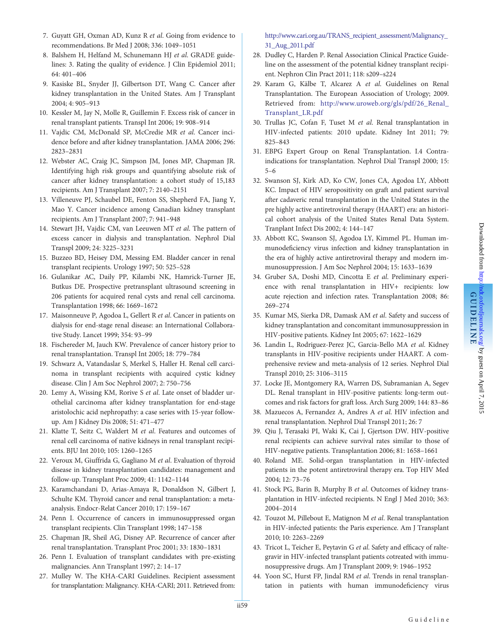- <span id="page-58-0"></span>7. Guyatt GH, Oxman AD, Kunz R et al. Going from evidence to recommendations. Br Med J 2008; 336: 1049–1051
- 8. Balshem H, Helfand M, Schunemann HJ et al. GRADE guidelines: 3. Rating the quality of evidence. J Clin Epidemiol 2011; 64: 401–406
- 9. Kasiske BL, Snyder JJ, Gilbertson DT, Wang C. Cancer after kidney transplantation in the United States. Am J Transplant 2004; 4: 905–913
- 10. Kessler M, Jay N, Molle R, Guillemin F. Excess risk of cancer in renal transplant patients. Transpl Int 2006; 19: 908–914
- 11. Vajdic CM, McDonald SP, McCredie MR et al. Cancer incidence before and after kidney transplantation. JAMA 2006; 296: 2823–2831
- 12. Webster AC, Craig JC, Simpson JM, Jones MP, Chapman JR. Identifying high risk groups and quantifying absolute risk of cancer after kidney transplantation: a cohort study of 15,183 recipients. Am J Transplant 2007; 7: 2140–2151
- 13. Villeneuve PJ, Schaubel DE, Fenton SS, Shepherd FA, Jiang Y, Mao Y. Cancer incidence among Canadian kidney transplant recipients. Am J Transplant 2007; 7: 941–948
- 14. Stewart JH, Vajdic CM, van Leeuwen MT et al. The pattern of excess cancer in dialysis and transplantation. Nephrol Dial Transpl 2009; 24: 3225–3231
- 15. Buzzeo BD, Heisey DM, Messing EM. Bladder cancer in renal transplant recipients. Urology 1997; 50: 525–528
- 16. Gulanikar AC, Daily PP, Kilambi NK, Hamrick-Turner JE, Butkus DE. Prospective pretransplant ultrasound screening in 206 patients for acquired renal cysts and renal cell carcinoma. Transplantation 1998; 66: 1669–1672
- 17. Maisonneuve P, Agodoa L, Gellert R et al. Cancer in patients on dialysis for end-stage renal disease: an International Collaborative Study. Lancet 1999; 354: 93–99
- 18. Fischereder M, Jauch KW. Prevalence of cancer history prior to renal transplantation. Transpl Int 2005; 18: 779–784
- 19. Schwarz A, Vatandaslar S, Merkel S, Haller H. Renal cell carcinoma in transplant recipients with acquired cystic kidney disease. Clin J Am Soc Nephrol 2007; 2: 750–756
- 20. Lemy A, Wissing KM, Rorive S et al. Late onset of bladder urothelial carcinoma after kidney transplantation for end-stage aristolochic acid nephropathy: a case series with 15-year followup. Am J Kidney Dis 2008; 51: 471–477
- 21. Klatte T, Seitz C, Waldert M et al. Features and outcomes of renal cell carcinoma of native kidneys in renal transplant recipients. BJU Int 2010; 105: 1260–1265
- 22. Veroux M, Giuffrida G, Gagliano M et al. Evaluation of thyroid disease in kidney transplantation candidates: management and follow-up. Transplant Proc 2009; 41: 1142–1144
- 23. Karamchandani D, Arias-Amaya R, Donaldson N, Gilbert J, Schulte KM. Thyroid cancer and renal transplantation: a metaanalysis. Endocr-Relat Cancer 2010; 17: 159–167
- 24. Penn I. Occurrence of cancers in immunosuppressed organ transplant recipients. Clin Transplant 1998; 147–158
- 25. Chapman JR, Sheil AG, Disney AP. Recurrence of cancer after renal transplantation. Transplant Proc 2001; 33: 1830–1831
- 26. Penn I. Evaluation of transplant candidates with pre-existing malignancies. Ann Transplant 1997; 2: 14–17
- 27. Mulley W. The KHA-CARI Guidelines. Recipient assessment for transplantation: Malignancy. KHA-CARI; 2011. Retrieved from:

[http://www.cari.org.au/TRANS\\_recipient\\_assessment/Malignancy\\_](http://www.cari.org.au/TRANS_recipient_assessment/Malignancy_31_Aug_2011.pdf) [31\\_Aug\\_2011.pdf](http://www.cari.org.au/TRANS_recipient_assessment/Malignancy_31_Aug_2011.pdf)

- 28. Dudley C, Harden P. Renal Association Clinical Practice Guideline on the assessment of the potential kidney transplant recipient. Nephron Clin Pract 2011; 118: s209–s224
- 29. Karam G, Kälbe T, Alcarez A et al. Guidelines on Renal Transplantation. The European Association of Urology; 2009. Retrieved from: [http://www.uroweb.org/gls/pdf/26\\_Renal\\_](http://www.uroweb.org/gls/pdf/26_Renal_Transplant_LR.pdf) [Transplant\\_LR.pdf](http://www.uroweb.org/gls/pdf/26_Renal_Transplant_LR.pdf)
- 30. Trullas JC, Cofan F, Tuset M et al. Renal transplantation in HIV-infected patients: 2010 update. Kidney Int 2011; 79: 825–843
- 31. EBPG Expert Group on Renal Transplantation. I.4 Contraindications for transplantation. Nephrol Dial Transpl 2000; 15: 5–6
- 32. Swanson SJ, Kirk AD, Ko CW, Jones CA, Agodoa LY, Abbott KC. Impact of HIV seropositivity on graft and patient survival after cadaveric renal transplantation in the United States in the pre highly active antiretroviral therapy (HAART) era: an historical cohort analysis of the United States Renal Data System. Tranplant Infect Dis 2002; 4: 144–147
- 33. Abbott KC, Swanson SJ, Agodoa LY, Kimmel PL. Human immunodeficiency virus infection and kidney transplantation in the era of highly active antiretroviral therapy and modern immunosuppression. J Am Soc Nephrol 2004; 15: 1633–1639
- 34. Gruber SA, Doshi MD, Cincotta E et al. Preliminary experience with renal transplantation in HIV+ recipients: low acute rejection and infection rates. Transplantation 2008; 86: 269–274
- 35. Kumar MS, Sierka DR, Damask AM et al. Safety and success of kidney transplantation and concomitant immunosuppression in HIV-positive patients. Kidney Int 2005; 67: 1622–1629
- 36. Landin L, Rodriguez-Perez JC, Garcia-Bello MA et al. Kidney transplants in HIV-positive recipients under HAART. A comprehensive review and meta-analysis of 12 series. Nephrol Dial Transpl 2010; 25: 3106–3115
- 37. Locke JE, Montgomery RA, Warren DS, Subramanian A, Segev DL. Renal transplant in HIV-positive patients: long-term outcomes and risk factors for graft loss. Arch Surg 2009; 144: 83–86
- 38. Mazuecos A, Fernandez A, Andres A et al. HIV infection and renal transplantation. Nephrol Dial Transpl 2011; 26: 7
- 39. Qiu J, Terasaki PI, Waki K, Cai J, Gjertson DW. HIV-positive renal recipients can achieve survival rates similar to those of HIV-negative patients. Transplantation 2006; 81: 1658–1661
- 40. Roland ME. Solid-organ transplantation in HIV-infected patients in the potent antiretroviral therapy era. Top HIV Med 2004; 12: 73–76
- 41. Stock PG, Barin B, Murphy B et al. Outcomes of kidney transplantation in HIV-infected recipients. N Engl J Med 2010; 363: 2004–2014
- 42. Touzot M, Pillebout E, Matignon M et al. Renal transplantation in HIV-infected patients: the Paris experience. Am J Transplant 2010; 10: 2263–2269
- 43. Tricot L, Teicher E, Peytavin G et al. Safety and efficacy of raltegravir in HIV-infected transplant patients cotreated with immunosuppressive drugs. Am J Transplant 2009; 9: 1946–1952
- 44. Yoon SC, Hurst FP, Jindal RM et al. Trends in renal transplantation in patients with human immunodeficiency virus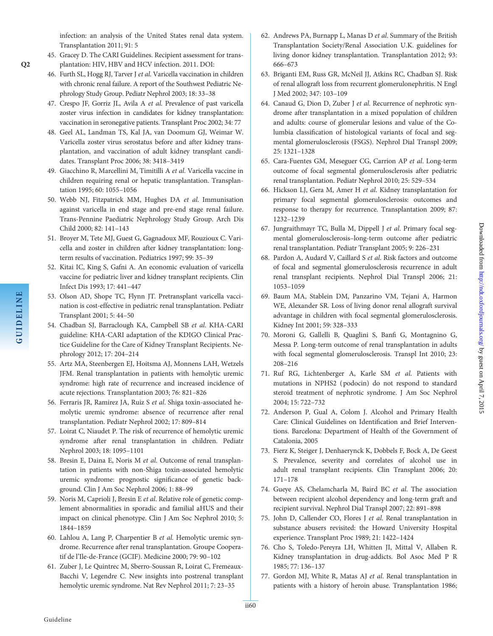infection: an analysis of the United States renal data system. Transplantation 2011; 91: 5

- <span id="page-59-0"></span>45. Gracey D. The CARI Guidelines. Recipient assessment for trans-Q2 plantation: HIV, HBV and HCV infection. 2011. DOI:
	- 46. Furth SL, Hogg RJ, Tarver J et al. Varicella vaccination in children with chronic renal failure. A report of the Southwest Pediatric Nephrology Study Group. Pediatr Nephrol 2003; 18: 33–38
	- 47. Crespo JF, Gorriz JL, Avila A et al. Prevalence of past varicella zoster virus infection in candidates for kidney transplantation: vaccination in seronegative patients. Transplant Proc 2002; 34: 77
	- 48. Geel AL, Landman TS, Kal JA, van Doomum GJ, Weimar W. Varicella zoster virus serostatus before and after kidney transplantation, and vaccination of adult kidney transplant candidates. Transplant Proc 2006; 38: 3418–3419
	- 49. Giacchino R, Marcellini M, Timitilli A et al. Varicella vaccine in children requiring renal or hepatic transplantation. Transplantation 1995; 60: 1055–1056
	- 50. Webb NJ, Fitzpatrick MM, Hughes DA et al. Immunisation against varicella in end stage and pre-end stage renal failure. Trans-Pennine Paediatric Nephrology Study Group. Arch Dis Child 2000; 82: 141–143
	- 51. Broyer M, Tete MJ, Guest G, Gagnadoux MF, Rouzioux C. Varicella and zoster in children after kidney transplantation: longterm results of vaccination. Pediatrics 1997; 99: 35–39
	- 52. Kitai IC, King S, Gafni A. An economic evaluation of varicella vaccine for pediatric liver and kidney transplant recipients. Clin Infect Dis 1993; 17: 441–447
	- 53. Olson AD, Shope TC, Flynn JT. Pretransplant varicella vaccination is cost-effective in pediatric renal transplantation. Pediatr Transplant 2001; 5: 44–50
	- 54. Chadban SJ, Barraclough KA, Campbell SB et al. KHA-CARI guideline: KHA-CARI adaptation of the KDIGO Clinical Practice Guideline for the Care of Kidney Transplant Recipients. Nephrology 2012; 17: 204–214
	- 55. Artz MA, Steenbergen EJ, Hoitsma AJ, Monnens LAH, Wetzels JFM. Renal transplantation in patients with hemolytic uremic syndrome: high rate of recurrence and increased incidence of acute rejections. Transplantation 2003; 76: 821–826
	- 56. Ferraris JR, Ramirez JA, Ruiz S et al. Shiga toxin-associated hemolytic uremic syndrome: absence of recurrence after renal transplantation. Pediatr Nephrol 2002; 17: 809–814
	- 57. Loirat C, Niaudet P. The risk of recurrence of hemolytic uremic syndrome after renal transplantation in children. Pediatr Nephrol 2003; 18: 1095–1101
	- 58. Bresin E, Daina E, Noris M et al. Outcome of renal transplantation in patients with non-Shiga toxin-associated hemolytic uremic syndrome: prognostic significance of genetic background. Clin J Am Soc Nephrol 2006; 1: 88–99
	- 59. Noris M, Caprioli J, Bresin E et al. Relative role of genetic complement abnormalities in sporadic and familial aHUS and their impact on clinical phenotype. Clin J Am Soc Nephrol 2010; 5: 1844–1859
	- 60. Lahlou A, Lang P, Charpentier B et al. Hemolytic uremic syndrome. Recurrence after renal transplantation. Groupe Cooperatif de l'Ile-de-France (GCIF). Medicine 2000; 79: 90–102
	- 61. Zuber J, Le Quintrec M, Sberro-Soussan R, Loirat C, Fremeaux-Bacchi V, Legendre C. New insights into postrenal transplant hemolytic uremic syndrome. Nat Rev Nephrol 2011; 7: 23–35
- 62. Andrews PA, Burnapp L, Manas D et al. Summary of the British Transplantation Society/Renal Association U.K. guidelines for living donor kidney transplantation. Transplantation 2012; 93: 666–673
- 63. Briganti EM, Russ GR, McNeil JJ, Atkins RC, Chadban SJ. Risk of renal allograft loss from recurrent glomerulonephritis. N Engl J Med 2002; 347: 103–109
- 64. Canaud G, Dion D, Zuber J et al. Recurrence of nephrotic syndrome after transplantation in a mixed population of children and adults: course of glomerular lesions and value of the Columbia classification of histological variants of focal and segmental glomerulosclerosis (FSGS). Nephrol Dial Transpl 2009; 25: 1321–1328
- 65. Cara-Fuentes GM, Meseguer CG, Carrion AP et al. Long-term outcome of focal segmental glomerulosclerosis after pediatric renal transplantation. Pediatr Nephrol 2010; 25: 529–534
- 66. Hickson LJ, Gera M, Amer H et al. Kidney transplantation for primary focal segmental glomerulosclerosis: outcomes and response to therapy for recurrence. Transplantation 2009; 87: 1232–1239
- 67. Jungraithmayr TC, Bulla M, Dippell J et al. Primary focal segmental glomerulosclerosis–long-term outcome after pediatric renal transplantation. Pediatr Transplant 2005; 9: 226–231
- 68. Pardon A, Audard V, Caillard S et al. Risk factors and outcome of focal and segmental glomerulosclerosis recurrence in adult renal transplant recipients. Nephrol Dial Transpl 2006; 21: 1053–1059
- 69. Baum MA, Stablein DM, Panzarino VM, Tejani A, Harmon WE, Alexander SR. Loss of living donor renal allograft survival advantage in children with focal segmental glomerulosclerosis. Kidney Int 2001; 59: 328–333
- 70. Moroni G, Gallelli B, Quaglini S, Banfi G, Montagnino G, Messa P. Long-term outcome of renal transplantation in adults with focal segmental glomerulosclerosis. Transpl Int 2010; 23: 208–216
- 71. Ruf RG, Lichtenberger A, Karle SM et al. Patients with mutations in NPHS2 ( podocin) do not respond to standard steroid treatment of nephrotic syndrome. J Am Soc Nephrol 2004; 15: 722–732
- 72. Anderson P, Gual A, Colom J. Alcohol and Primary Health Care: Clinical Guidelines on Identification and Brief Interventions. Barcelona: Department of Health of the Government of Catalonia, 2005
- 73. Fierz K, Steiger J, Denhaerynck K, Dobbels F, Bock A, De Geest S. Prevalence, severity and correlates of alcohol use in adult renal transplant recipients. Clin Transplant 2006; 20: 171–178
- 74. Gueye AS, Chelamcharla M, Baird BC et al. The association between recipient alcohol dependency and long-term graft and recipient survival. Nephrol Dial Transpl 2007; 22: 891–898
- 75. John D, Callender CO, Flores J et al. Renal transplantation in substance abusers revisited: the Howard University Hospital experience. Transplant Proc 1989; 21: 1422–1424
- 76. Cho S, Toledo-Pereyra LH, Whitten JI, Mittal V, Allaben R. Kidney transplantation in drug-addicts. Bol Asoc Med P R 1985; 77: 136–137
- 77. Gordon MJ, White R, Matas AJ et al. Renal transplantation in patients with a history of heroin abuse. Transplantation 1986;

GUIDELINE

**GUIDELINE**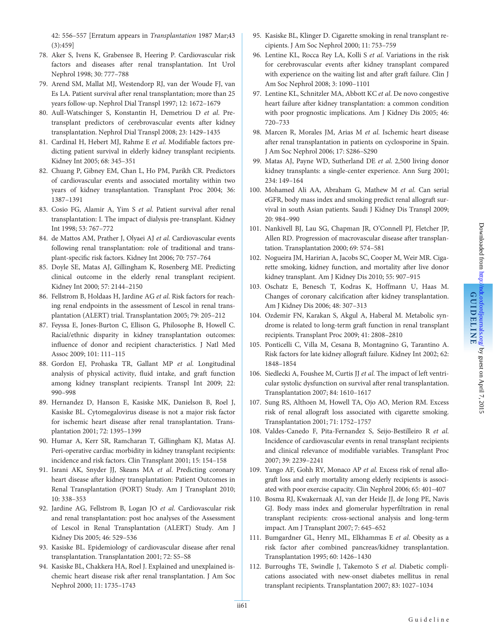<span id="page-60-0"></span>42: 556–557 [Erratum appears in Transplantation 1987 Mar;43 (3):459]

- 78. Aker S, Ivens K, Grabensee B, Heering P. Cardiovascular risk factors and diseases after renal transplantation. Int Urol Nephrol 1998; 30: 777–788
- 79. Arend SM, Mallat MJ, Westendorp RJ, van der Woude FJ, van Es LA. Patient survival after renal transplantation; more than 25 years follow-up. Nephrol Dial Transpl 1997; 12: 1672–1679
- 80. Aull-Watschinger S, Konstantin H, Demetriou D et al. Pretransplant predictors of cerebrovascular events after kidney transplantation. Nephrol Dial Transpl 2008; 23: 1429–1435
- 81. Cardinal H, Hebert MJ, Rahme E et al. Modifiable factors predicting patient survival in elderly kidney transplant recipients. Kidney Int 2005; 68: 345–351
- 82. Chuang P, Gibney EM, Chan L, Ho PM, Parikh CR. Predictors of cardiovascular events and associated mortality within two years of kidney transplantation. Transplant Proc 2004; 36: 1387–1391
- 83. Cosio FG, Alamir A, Yim S et al. Patient survival after renal transplantation: I. The impact of dialysis pre-transplant. Kidney Int 1998; 53: 767–772
- 84. de Mattos AM, Prather J, Olyaei AJ et al. Cardiovascular events following renal transplantation: role of traditional and transplant-specific risk factors. Kidney Int 2006; 70: 757–764
- 85. Doyle SE, Matas AJ, Gillingham K, Rosenberg ME. Predicting clinical outcome in the elderly renal transplant recipient. Kidney Int 2000; 57: 2144–2150
- 86. Fellstrom B, Holdaas H, Jardine AG et al. Risk factors for reaching renal endpoints in the assessment of Lescol in renal transplantation (ALERT) trial. Transplantation 2005; 79: 205–212
- 87. Feyssa E, Jones-Burton C, Ellison G, Philosophe B, Howell C. Racial/ethnic disparity in kidney transplantation outcomes: influence of donor and recipient characteristics. J Natl Med Assoc 2009; 101: 111–115
- 88. Gordon EJ, Prohaska TR, Gallant MP et al. Longitudinal analysis of physical activity, fluid intake, and graft function among kidney transplant recipients. Transpl Int 2009; 22: 990–998
- 89. Hernandez D, Hanson E, Kasiske MK, Danielson B, Roel J, Kasiske BL. Cytomegalovirus disease is not a major risk factor for ischemic heart disease after renal transplantation. Transplantation 2001; 72: 1395–1399
- 90. Humar A, Kerr SR, Ramcharan T, Gillingham KJ, Matas AJ. Peri-operative cardiac morbidity in kidney transplant recipients: incidence and risk factors. Clin Transplant 2001; 15: 154–158
- 91. Israni AK, Snyder JJ, Skeans MA et al. Predicting coronary heart disease after kidney transplantation: Patient Outcomes in Renal Transplantation (PORT) Study. Am J Transplant 2010; 10: 338–353
- 92. Jardine AG, Fellstrom B, Logan JO et al. Cardiovascular risk and renal transplantation: post hoc analyses of the Assessment of Lescol in Renal Transplantation (ALERT) Study. Am J Kidney Dis 2005; 46: 529–536
- 93. Kasiske BL. Epidemiology of cardiovascular disease after renal transplantation. Transplantation 2001; 72: S5–S8
- 94. Kasiske BL, Chakkera HA, Roel J. Explained and unexplained ischemic heart disease risk after renal transplantation. J Am Soc Nephrol 2000; 11: 1735–1743
- 95. Kasiske BL, Klinger D. Cigarette smoking in renal transplant recipients. J Am Soc Nephrol 2000; 11: 753–759
- 96. Lentine KL, Rocca Rey LA, Kolli S et al. Variations in the risk for cerebrovascular events after kidney transplant compared with experience on the waiting list and after graft failure. Clin J Am Soc Nephrol 2008; 3: 1090–1101
- 97. Lentine KL, Schnitzler MA, Abbott KC et al. De novo congestive heart failure after kidney transplantation: a common condition with poor prognostic implications. Am J Kidney Dis 2005; 46: 720–733
- 98. Marcen R, Morales JM, Arias M et al. Ischemic heart disease after renal transplantation in patients on cyclosporine in Spain. J Am Soc Nephrol 2006; 17: S286–S290
- 99. Matas AJ, Payne WD, Sutherland DE et al. 2,500 living donor kidney transplants: a single-center experience. Ann Surg 2001; 234: 149–164
- 100. Mohamed Ali AA, Abraham G, Mathew M et al. Can serial eGFR, body mass index and smoking predict renal allograft survival in south Asian patients. Saudi J Kidney Dis Transpl 2009; 20: 984–990
- 101. Nankivell BJ, Lau SG, Chapman JR, O'Connell PJ, Fletcher JP, Allen RD. Progression of macrovascular disease after transplantation. Transplantation 2000; 69: 574–581
- 102. Nogueira JM, Haririan A, Jacobs SC, Cooper M, Weir MR. Cigarette smoking, kidney function, and mortality after live donor kidney transplant. Am J Kidney Dis 2010; 55: 907–915
- 103. Oschatz E, Benesch T, Kodras K, Hoffmann U, Haas M. Changes of coronary calcification after kidney transplantation. Am J Kidney Dis 2006; 48: 307–313
- 104. Ozdemir FN, Karakan S, Akgul A, Haberal M. Metabolic syndrome is related to long-term graft function in renal transplant recipients. Transplant Proc 2009; 41: 2808–2810
- 105. Ponticelli C, Villa M, Cesana B, Montagnino G, Tarantino A. Risk factors for late kidney allograft failure. Kidney Int 2002; 62: 1848–1854
- 106. Siedlecki A, Foushee M, Curtis JJ et al. The impact of left ventricular systolic dysfunction on survival after renal transplantation. Transplantation 2007; 84: 1610–1617
- 107. Sung RS, Althoen M, Howell TA, Ojo AO, Merion RM. Excess risk of renal allograft loss associated with cigarette smoking. Transplantation 2001; 71: 1752–1757
- 108. Valdes-Canedo F, Pita-Fernandez S, Seijo-Bestilleiro R et al. Incidence of cardiovascular events in renal transplant recipients and clinical relevance of modifiable variables. Transplant Proc 2007; 39: 2239–2241
- 109. Yango AF, Gohh RY, Monaco AP et al. Excess risk of renal allograft loss and early mortality among elderly recipients is associated with poor exercise capacity. Clin Nephrol 2006; 65: 401–407
- 110. Bosma RJ, Kwakernaak AJ, van der Heide JJ, de Jong PE, Navis GJ. Body mass index and glomerular hyperfiltration in renal transplant recipients: cross-sectional analysis and long-term impact. Am J Transplant 2007; 7: 645–652
- 111. Bumgardner GL, Henry ML, Elkhammas E et al. Obesity as a risk factor after combined pancreas/kidney transplantation. Transplantation 1995; 60: 1426–1430
- 112. Burroughs TE, Swindle J, Takemoto S et al. Diabetic complications associated with new-onset diabetes mellitus in renal transplant recipients. Transplantation 2007; 83: 1027–1034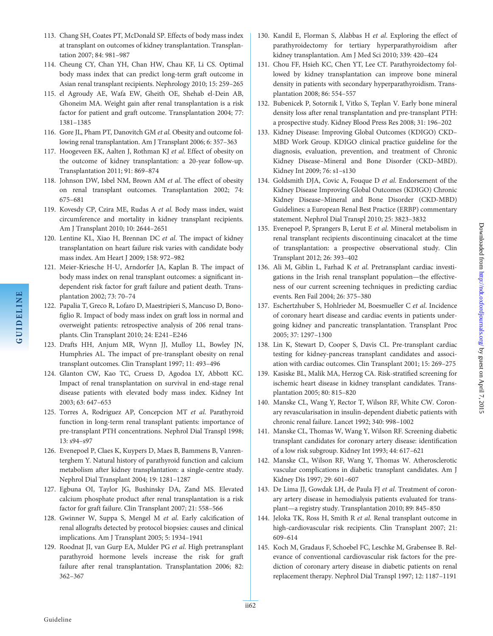- <span id="page-61-0"></span>113. Chang SH, Coates PT, McDonald SP. Effects of body mass index at transplant on outcomes of kidney transplantation. Transplantation 2007; 84: 981–987
- 114. Cheung CY, Chan YH, Chan HW, Chau KF, Li CS. Optimal body mass index that can predict long-term graft outcome in Asian renal transplant recipients. Nephrology 2010; 15: 259–265
- 115. el Agroudy AE, Wafa EW, Gheith OE, Shehab el-Dein AB, Ghoneim MA. Weight gain after renal transplantation is a risk factor for patient and graft outcome. Transplantation 2004; 77: 1381–1385
- 116. Gore JL, Pham PT, Danovitch GM et al. Obesity and outcome following renal transplantation. Am J Transplant 2006; 6: 357–363
- 117. Hoogeveen EK, Aalten J, Rothman KJ et al. Effect of obesity on the outcome of kidney transplantation: a 20-year follow-up. Transplantation 2011; 91: 869–874
- 118. Johnson DW, Isbel NM, Brown AM et al. The effect of obesity on renal transplant outcomes. Transplantation 2002; 74: 675–681
- 119. Kovesdy CP, Czira ME, Rudas A et al. Body mass index, waist circumference and mortality in kidney transplant recipients. Am J Transplant 2010; 10: 2644–2651
- 120. Lentine KL, Xiao H, Brennan DC et al. The impact of kidney transplantation on heart failure risk varies with candidate body mass index. Am Heart J 2009; 158: 972–982
- 121. Meier-Kriesche H-U, Arndorfer JA, Kaplan B. The impact of body mass index on renal transplant outcomes: a significant independent risk factor for graft failure and patient death. Transplantation 2002; 73: 70–74
- 122. Papalia T, Greco R, Lofaro D, Maestripieri S, Mancuso D, Bonofiglio R. Impact of body mass index on graft loss in normal and overweight patients: retrospective analysis of 206 renal transplants. Clin Transplant 2010; 24: E241–E246
- 123. Drafts HH, Anjum MR, Wynn JJ, Mulloy LL, Bowley JN, Humphries AL. The impact of pre-transplant obesity on renal transplant outcomes. Clin Transplant 1997; 11: 493–496
- 124. Glanton CW, Kao TC, Cruess D, Agodoa LY, Abbott KC. Impact of renal transplantation on survival in end-stage renal disease patients with elevated body mass index. Kidney Int 2003; 63: 647–653
- 125. Torres A, Rodriguez AP, Concepcion MT et al. Parathyroid function in long-term renal transplant patients: importance of pre-transplant PTH concentrations. Nephrol Dial Transpl 1998; 13: s94–s97
- 126. Evenepoel P, Claes K, Kuypers D, Maes B, Bammens B, Vanrenterghem Y. Natural history of parathyroid function and calcium metabolism after kidney transplantation: a single-centre study. Nephrol Dial Transplant 2004; 19: 1281–1287
- 127. Egbuna OI, Taylor JG, Bushinsky DA, Zand MS. Elevated calcium phosphate product after renal transplantation is a risk factor for graft failure. Clin Transplant 2007; 21: 558–566
- 128. Gwinner W, Suppa S, Mengel M et al. Early calcification of renal allografts detected by protocol biopsies: causes and clinical implications. Am J Transplant 2005; 5: 1934–1941
- 129. Roodnat JI, van Gurp EA, Mulder PG et al. High pretransplant parathyroid hormone levels increase the risk for graft failure after renal transplantation. Transplantation 2006; 82: 362–367
- 130. Kandil E, Florman S, Alabbas H et al. Exploring the effect of parathyroidectomy for tertiary hyperparathyroidism after kidney transplantation. Am J Med Sci 2010; 339: 420–424
- 131. Chou FF, Hsieh KC, Chen YT, Lee CT. Parathyroidectomy followed by kidney transplantation can improve bone mineral density in patients with secondary hyperparathyroidism. Transplantation 2008; 86: 554–557
- 132. Bubenicek P, Sotornik I, Vitko S, Teplan V. Early bone mineral density loss after renal transplantation and pre-transplant PTH: a prospective study. Kidney Blood Press Res 2008; 31: 196–202
- 133. Kidney Disease: Improving Global Outcomes (KDIGO) CKD– MBD Work Group. KDIGO clinical practice guideline for the diagnosis, evaluation, prevention, and treatment of Chronic Kidney Disease–Mineral and Bone Disorder (CKD–MBD). Kidney Int 2009; 76: s1–s130
- 134. Goldsmith DJA, Covic A, Fouque D et al. Endorsement of the Kidney Disease Improving Global Outcomes (KDIGO) Chronic Kidney Disease–Mineral and Bone Disorder (CKD-MBD) Guidelines: a European Renal Best Practice (ERBP) commentary statement. Nephrol Dial Transpl 2010; 25: 3823–3832
- 135. Evenepoel P, Sprangers B, Lerut E et al. Mineral metabolism in renal transplant recipients discontinuing cinacalcet at the time of transplantation: a prospective observational study. Clin Transplant 2012; 26: 393–402
- 136. Ali M, Giblin L, Farhad K et al. Pretransplant cardiac investigations in the Irish renal transplant population—the effectiveness of our current screening techniques in predicting cardiac events. Ren Fail 2004; 26: 375–380
- 137. Eschertzhuber S, Hohlrieder M, Boesmueller C et al. Incidence of coronary heart disease and cardiac events in patients undergoing kidney and pancreatic transplantation. Transplant Proc 2005; 37: 1297–1300
- 138. Lin K, Stewart D, Cooper S, Davis CL. Pre-transplant cardiac testing for kidney-pancreas transplant candidates and association with cardiac outcomes. Clin Transplant 2001; 15: 269–275
- 139. Kasiske BL, Malik MA, Herzog CA. Risk-stratified screening for ischemic heart disease in kidney transplant candidates. Transplantation 2005; 80: 815–820
- 140. Manske CL, Wang Y, Rector T, Wilson RF, White CW. Coronary revascularisation in insulin-dependent diabetic patients with chronic renal failure. Lancet 1992; 340: 998–1002
- 141. Manske CL, Thomas W, Wang Y, Wilson RF. Screening diabetic transplant candidates for coronary artery disease: identification of a low risk subgroup. Kidney Int 1993; 44: 617–621
- 142. Manske CL, Wilson RF, Wang Y, Thomas W. Atherosclerotic vascular complications in diabetic transplant candidates. Am J Kidney Dis 1997; 29: 601–607
- 143. De Lima JJ, Gowdak LH, de Paula FJ et al. Treatment of coronary artery disease in hemodialysis patients evaluated for transplant—a registry study. Transplantation 2010; 89: 845–850
- 144. Jeloka TK, Ross H, Smith R et al. Renal transplant outcome in high-cardiovascular risk recipients. Clin Transplant 2007; 21: 609–614
- 145. Koch M, Gradaus F, Schoebel FC, Leschke M, Grabensee B. Relevance of conventional cardiovascular risk factors for the prediction of coronary artery disease in diabetic patients on renal replacement therapy. Nephrol Dial Transpl 1997; 12: 1187–1191

GUIDELINE

**GUIDELINE**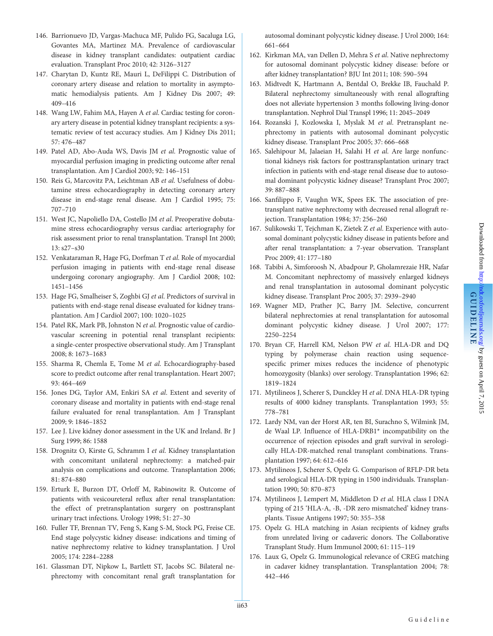- <span id="page-62-0"></span>146. Barrionuevo JD, Vargas-Machuca MF, Pulido FG, Sacaluga LG, Govantes MA, Martinez MA. Prevalence of cardiovascular disease in kidney transplant candidates: outpatient cardiac evaluation. Transplant Proc 2010; 42: 3126–3127
- 147. Charytan D, Kuntz RE, Mauri L, DeFilippi C. Distribution of coronary artery disease and relation to mortality in asymptomatic hemodialysis patients. Am J Kidney Dis 2007; 49: 409–416
- 148. Wang LW, Fahim MA, Hayen A et al. Cardiac testing for coronary artery disease in potential kidney transplant recipients: a systematic review of test accuracy studies. Am J Kidney Dis 2011; 57: 476–487
- 149. Patel AD, Abo-Auda WS, Davis JM et al. Prognostic value of myocardial perfusion imaging in predicting outcome after renal transplantation. Am J Cardiol 2003; 92: 146–151
- 150. Reis G, Marcovitz PA, Leichtman AB et al. Usefulness of dobutamine stress echocardiography in detecting coronary artery disease in end-stage renal disease. Am J Cardiol 1995; 75: 707–710
- 151. West JC, Napoliello DA, Costello JM et al. Preoperative dobutamine stress echocardiography versus cardiac arteriography for risk assessment prior to renal transplantation. Transpl Int 2000; 13: s27–s30
- 152. Venkataraman R, Hage FG, Dorfman T et al. Role of myocardial perfusion imaging in patients with end-stage renal disease undergoing coronary angiography. Am J Cardiol 2008; 102: 1451–1456
- 153. Hage FG, Smalheiser S, Zoghbi GJ et al. Predictors of survival in patients with end-stage renal disease evaluated for kidney transplantation. Am J Cardiol 2007; 100: 1020–1025
- 154. Patel RK, Mark PB, Johnston N et al. Prognostic value of cardiovascular screening in potential renal transplant recipients: a single-center prospective observational study. Am J Transplant 2008; 8: 1673–1683
- 155. Sharma R, Chemla E, Tome M et al. Echocardiography-based score to predict outcome after renal transplantation. Heart 2007; 93: 464–469
- 156. Jones DG, Taylor AM, Enkiri SA et al. Extent and severity of coronary disease and mortality in patients with end-stage renal failure evaluated for renal transplantation. Am J Transplant 2009; 9: 1846–1852
- 157. Lee J. Live kidney donor assessment in the UK and Ireland. Br J Surg 1999; 86: 1588
- 158. Drognitz O, Kirste G, Schramm I et al. Kidney transplantation with concomitant unilateral nephrectomy: a matched-pair analysis on complications and outcome. Transplantation 2006; 81: 874–880
- 159. Erturk E, Burzon DT, Orloff M, Rabinowitz R. Outcome of patients with vesicoureteral reflux after renal transplantation: the effect of pretransplantation surgery on posttransplant urinary tract infections. Urology 1998; 51: 27–30
- 160. Fuller TF, Brennan TV, Feng S, Kang S-M, Stock PG, Freise CE. End stage polycystic kidney disease: indications and timing of native nephrectomy relative to kidney transplantation. J Urol 2005; 174: 2284–2288
- 161. Glassman DT, Nipkow L, Bartlett ST, Jacobs SC. Bilateral nephrectomy with concomitant renal graft transplantation for

autosomal dominant polycystic kidney disease. J Urol 2000; 164: 661–664

- 162. Kirkman MA, van Dellen D, Mehra S et al. Native nephrectomy for autosomal dominant polycystic kidney disease: before or after kidney transplantation? BJU Int 2011; 108: 590–594
- 163. Midtvedt K, Hartmann A, Bentdal O, Brekke IB, Fauchald P. Bilateral nephrectomy simultaneously with renal allografting does not alleviate hypertension 3 months following living-donor transplantation. Nephrol Dial Transpl 1996; 11: 2045–2049
- 164. Rozanski J, Kozlowska I, Myslak M et al. Pretransplant nephrectomy in patients with autosomal dominant polycystic kidney disease. Transplant Proc 2005; 37: 666–668
- 165. Salehipour M, Jalaeian H, Salahi H et al. Are large nonfunctional kidneys risk factors for posttransplantation urinary tract infection in patients with end-stage renal disease due to autosomal dominant polycystic kidney disease? Transplant Proc 2007; 39: 887–888
- 166. Sanfilippo F, Vaughn WK, Spees EK. The association of pretransplant native nephrectomy with decreased renal allograft rejection. Transplantation 1984; 37: 256–260
- 167. Sulikowski T, Tejchman K, Zietek Z et al. Experience with autosomal dominant polycystic kidney disease in patients before and after renal transplantation: a 7-year observation. Transplant Proc 2009; 41: 177–180
- 168. Tabibi A, Simforoosh N, Abadpour P, Gholamrezaie HR, Nafar M. Concomitant nephrectomy of massively enlarged kidneys and renal transplantation in autosomal dominant polycystic kidney disease. Transplant Proc 2005; 37: 2939–2940
- 169. Wagner MD, Prather JC, Barry JM. Selective, concurrent bilateral nephrectomies at renal transplantation for autosomal dominant polycystic kidney disease. J Urol 2007; 177: 2250–2254
- 170. Bryan CF, Harrell KM, Nelson PW et al. HLA-DR and DQ typing by polymerase chain reaction using sequencespecific primer mixes reduces the incidence of phenotypic homozygosity (blanks) over serology. Transplantation 1996; 62: 1819–1824
- 171. Mytilineos J, Scherer S, Dunckley H et al. DNA HLA-DR typing results of 4000 kidney transplants. Transplantation 1993; 55: 778–781
- 172. Lardy NM, van der Horst AR, ten BI, Surachno S, Wilmink JM, de Waal LP. Influence of HLA-DRB1\* incompatibility on the occurrence of rejection episodes and graft survival in serologically HLA-DR-matched renal transplant combinations. Transplantation 1997; 64: 612–616
- 173. Mytilineos J, Scherer S, Opelz G. Comparison of RFLP-DR beta and serological HLA-DR typing in 1500 individuals. Transplantation 1990; 50: 870–873
- 174. Mytilineos J, Lempert M, Middleton D et al. HLA class I DNA typing of 215 'HLA-A, -B, -DR zero mismatched' kidney transplants. Tissue Antigens 1997; 50: 355–358
- 175. Opelz G. HLA matching in Asian recipients of kidney grafts from unrelated living or cadaveric donors. The Collaborative Transplant Study. Hum Immunol 2000; 61: 115–119
- 176. Laux G, Opelz G. Immunological relevance of CREG matching in cadaver kidney transplantation. Transplantation 2004; 78: 442–446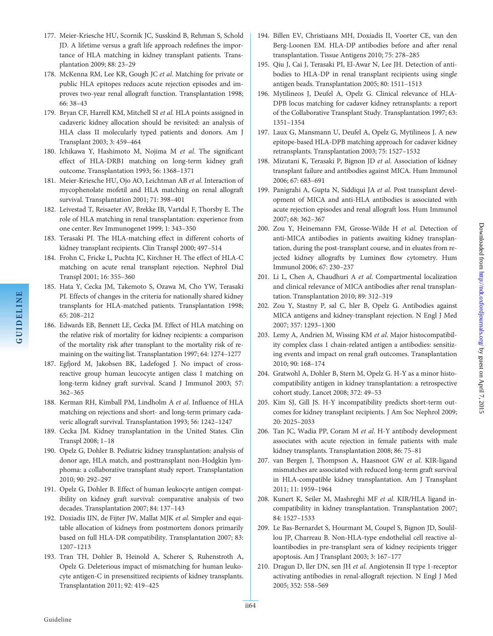- <span id="page-63-0"></span>177. Meier-Kriesche HU, Scornik JC, Susskind B, Rehman S, Schold JD. A lifetime versus a graft life approach redefines the importance of HLA matching in kidney transplant patients. Transplantation 2009; 88: 23–29
- 178. McKenna RM, Lee KR, Gough JC et al. Matching for private or public HLA epitopes reduces acute rejection episodes and improves two-year renal allograft function. Transplantation 1998; 66: 38–43
- 179. Bryan CF, Harrell KM, Mitchell SI et al. HLA points assigned in cadaveric kidney allocation should be revisited: an analysis of HLA class II molecularly typed patients and donors. Am J Transplant 2003; 3: 459–464
- 180. Ichikawa Y, Hashimoto M, Nojima M et al. The significant effect of HLA-DRB1 matching on long-term kidney graft outcome. Transplantation 1993; 56: 1368–1371
- 181. Meier-Kriesche HU, Ojo AO, Leichtman AB et al. Interaction of mycophenolate mofetil and HLA matching on renal allograft survival. Transplantation 2001; 71: 398–401
- 182. Leivestad T, Reisaeter AV, Brekke IB, Vartdal F, Thorsby E. The role of HLA matching in renal transplantation: experience from one center. Rev Immunogenet 1999; 1: 343–350
- 183. Terasaki PI. The HLA-matching effect in different cohorts of kidney transplant recipients. Clin Transpl 2000; 497–514
- 184. Frohn C, Fricke L, Puchta JC, Kirchner H. The effect of HLA-C matching on acute renal transplant rejection. Nephrol Dial Transpl 2001; 16: 355–360
- 185. Hata Y, Cecka JM, Takemoto S, Ozawa M, Cho YW, Terasaki PI. Effects of changes in the criteria for nationally shared kidney transplants for HLA-matched patients. Transplantation 1998; 65: 208–212
- 186. Edwards EB, Bennett LE, Cecka JM. Effect of HLA matching on the relative risk of mortality for kidney recipients: a comparison of the mortality risk after transplant to the mortality risk of remaining on the waiting list. Transplantation 1997; 64: 1274–1277
- 187. Egfjord M, Jakobsen BK, Ladefoged J. No impact of crossreactive group human leucocyte antigen class I matching on long-term kidney graft survival. Scand J Immunol 2003; 57: 362–365
- 188. Kerman RH, Kimball PM, Lindholm A et al. Influence of HLA matching on rejections and short- and long-term primary cadaveric allograft survival. Transplantation 1993; 56: 1242–1247
- 189. Cecka JM. Kidney transplantation in the United States. Clin Transpl 2008; 1–18
- 190. Opelz G, Dohler B. Pediatric kidney transplantation: analysis of donor age, HLA match, and posttransplant non-Hodgkin lymphoma: a collaborative transplant study report. Transplantation 2010; 90: 292–297
- 191. Opelz G, Dohler B. Effect of human leukocyte antigen compatibility on kidney graft survival: comparative analysis of two decades. Transplantation 2007; 84: 137–143
- 192. Doxiadis IIN, de Fijter JW, Mallat MJK et al. Simpler and equitable allocation of kidneys from postmortem donors primarily based on full HLA-DR compatibility. Transplantation 2007; 83: 1207–1213
- 193. Tran TH, Dohler B, Heinold A, Scherer S, Ruhenstroth A, Opelz G. Deleterious impact of mismatching for human leukocyte antigen-C in presensitized recipients of kidney transplants. Transplantation 2011; 92: 419–425
- 194. Billen EV, Christiaans MH, Doxiadis II, Voorter CE, van den Berg-Loonen EM. HLA-DP antibodies before and after renal transplantation. Tissue Antigens 2010; 75: 278–285
- 195. Qiu J, Cai J, Terasaki PI, El-Awar N, Lee JH. Detection of antibodies to HLA-DP in renal transplant recipients using single antigen beads. Transplantation 2005; 80: 1511–1513
- 196. Mytilineos J, Deufel A, Opelz G. Clinical relevance of HLA-DPB locus matching for cadaver kidney retransplants: a report of the Collaborative Transplant Study. Transplantation 1997; 63: 1351–1354
- 197. Laux G, Mansmann U, Deufel A, Opelz G, Mytilineos J. A new epitope-based HLA-DPB matching approach for cadaver kidney retransplants. Transplantation 2003; 75: 1527–1532
- 198. Mizutani K, Terasaki P, Bignon JD et al. Association of kidney transplant failure and antibodies against MICA. Hum Immunol 2006; 67: 683–691
- 199. Panigrahi A, Gupta N, Siddiqui JA et al. Post transplant development of MICA and anti-HLA antibodies is associated with acute rejection episodes and renal allograft loss. Hum Immunol 2007; 68: 362–367
- 200. Zou Y, Heinemann FM, Grosse-Wilde H et al. Detection of anti-MICA antibodies in patients awaiting kidney transplantation, during the post-transplant course, and in eluates from rejected kidney allografts by Luminex flow cytometry. Hum Immunol 2006; 67: 230–237
- 201. Li L, Chen A, Chaudhuri A et al. Compartmental localization and clinical relevance of MICA antibodies after renal transplantation. Transplantation 2010; 89: 312–319
- 202. Zou Y, Stastny P, sal C, hler B, Opelz G. Antibodies against MICA antigens and kidney-transplant rejection. N Engl J Med 2007; 357: 1293–1300
- 203. Lemy A, Andrien M, Wissing KM et al. Major histocompatibility complex class 1 chain-related antigen a antibodies: sensitizing events and impact on renal graft outcomes. Transplantation 2010; 90: 168–174
- 204. Gratwohl A, Dohler B, Stern M, Opelz G. H-Y as a minor histocompatibility antigen in kidney transplantation: a retrospective cohort study. Lancet 2008; 372: 49–53
- 205. Kim SJ, Gill JS. H-Y incompatibility predicts short-term outcomes for kidney transplant recipients. J Am Soc Nephrol 2009; 20: 2025–2033
- 206. Tan JC, Wadia PP, Coram M et al. H-Y antibody development associates with acute rejection in female patients with male kidney transplants. Transplantation 2008; 86: 75–81
- 207. van Bergen J, Thompson A, Haasnoot GW et al. KIR-ligand mismatches are associated with reduced long-term graft survival in HLA-compatible kidney transplantation. Am J Transplant 2011; 11: 1959–1964
- 208. Kunert K, Seiler M, Mashreghi MF et al. KIR/HLA ligand incompatibility in kidney transplantation. Transplantation 2007; 84: 1527–1533
- 209. Le Bas-Bernardet S, Hourmant M, Coupel S, Bignon JD, Soulillou JP, Charreau B. Non-HLA-type endothelial cell reactive alloantibodies in pre-transplant sera of kidney recipients trigger apoptosis. Am J Transplant 2003; 3: 167–177
- 210. Dragun D, ller DN, sen JH et al. Angiotensin II type 1-receptor activating antibodies in renal-allograft rejection. N Engl J Med 2005; 352: 558–569

GUIDELINE

**GUIDELINE**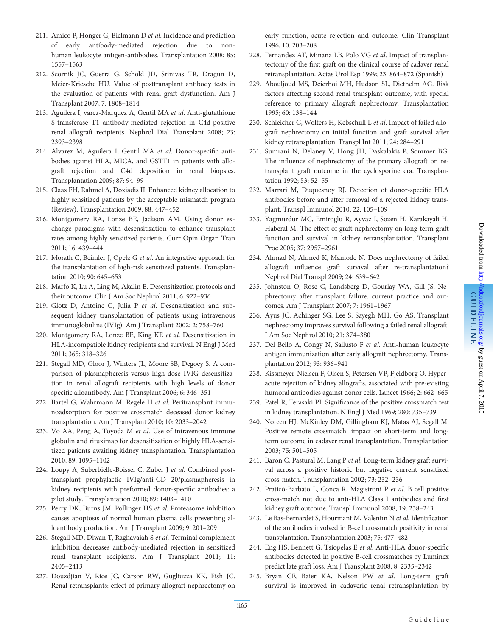- <span id="page-64-0"></span>211. Amico P, Honger G, Bielmann D et al. Incidence and prediction of early antibody-mediated rejection due to nonhuman leukocyte antigen-antibodies. Transplantation 2008; 85: 1557–1563
- 212. Scornik JC, Guerra G, Schold JD, Srinivas TR, Dragun D, Meier-Kriesche HU. Value of posttransplant antibody tests in the evaluation of patients with renal graft dysfunction. Am J Transplant 2007; 7: 1808–1814
- 213. Aguilera I, varez-Marquez A, Gentil MA et al. Anti-glutathione S-transferase T1 antibody-mediated rejection in C4d-positive renal allograft recipients. Nephrol Dial Transplant 2008; 23: 2393–2398
- 214. Alvarez M, Aguilera I, Gentil MA et al. Donor-specific antibodies against HLA, MICA, and GSTT1 in patients with allograft rejection and C4d deposition in renal biopsies. Transplantation 2009; 87: 94–99
- 215. Claas FH, Rahmel A, Doxiadis II. Enhanced kidney allocation to highly sensitized patients by the acceptable mismatch program (Review). Transplantation 2009; 88: 447–452
- 216. Montgomery RA, Lonze BE, Jackson AM. Using donor exchange paradigms with desensitization to enhance transplant rates among highly sensitized patients. Curr Opin Organ Tran 2011; 16: 439–444
- 217. Morath C, Beimler J, Opelz G et al. An integrative approach for the transplantation of high-risk sensitized patients. Transplantation 2010; 90: 645–653
- 218. Marfo K, Lu A, Ling M, Akalin E. Desensitization protocols and their outcome. Clin J Am Soc Nephrol 2011; 6: 922–936
- 219. Glotz D, Antoine C, Julia P et al. Desensitization and subsequent kidney transplantation of patients using intravenous immunoglobulins (IVIg). Am J Transplant 2002; 2: 758–760
- 220. Montgomery RA, Lonze BE, King KE et al. Desensitization in HLA-incompatible kidney recipients and survival. N Engl J Med 2011; 365: 318–326
- 221. Stegall MD, Gloor J, Winters JL, Moore SB, Degoey S. A comparison of plasmapheresis versus high-dose IVIG desensitization in renal allograft recipients with high levels of donor specific alloantibody. Am J Transplant 2006; 6: 346–351
- 222. Bartel G, Wahrmann M, Regele H et al. Peritransplant immunoadsorption for positive crossmatch deceased donor kidney transplantation. Am J Transplant 2010; 10: 2033–2042
- 223. Vo AA, Peng A, Toyoda M et al. Use of intravenous immune globulin and rituximab for desensitization of highly HLA-sensitized patients awaiting kidney transplantation. Transplantation 2010; 89: 1095–1102
- 224. Loupy A, Suberbielle-Boissel C, Zuber J et al. Combined posttransplant prophylactic IVIg/anti-CD 20/plasmapheresis in kidney recipients with preformed donor-specific antibodies: a pilot study. Transplantation 2010; 89: 1403–1410
- 225. Perry DK, Burns JM, Pollinger HS et al. Proteasome inhibition causes apoptosis of normal human plasma cells preventing alloantibody production. Am J Transplant 2009; 9: 201–209
- 226. Stegall MD, Diwan T, Raghavaiah S et al. Terminal complement inhibition decreases antibody-mediated rejection in sensitized renal transplant recipients. Am J Transplant 2011; 11: 2405–2413
- 227. Douzdjian V, Rice JC, Carson RW, Gugliuzza KK, Fish JC. Renal retransplants: effect of primary allograft nephrectomy on

early function, acute rejection and outcome. Clin Transplant 1996; 10: 203–208

- 228. Fernandez AT, Minana LB, Polo VG et al. Impact of transplantectomy of the first graft on the clinical course of cadaver renal retransplantation. Actas Urol Esp 1999; 23: 864–872 (Spanish)
- 229. Abouljoud MS, Deierhoi MH, Hudson SL, Diethelm AG. Risk factors affecting second renal transplant outcome, with special reference to primary allograft nephrectomy. Transplantation 1995; 60: 138–144
- 230. Schleicher C, Wolters H, Kebschull L et al. Impact of failed allograft nephrectomy on initial function and graft survival after kidney retransplantation. Transpl Int 2011; 24: 284–291
- 231. Sumrani N, Delaney V, Hong JH, Daskalakis P, Sommer BG. The influence of nephrectomy of the primary allograft on retransplant graft outcome in the cyclosporine era. Transplantation 1992; 53: 52–55
- 232. Marrari M, Duquesnoy RJ. Detection of donor-specific HLA antibodies before and after removal of a rejected kidney transplant. Transpl Immunol 2010; 22: 105–109
- 233. Yagmurdur MC, Emiroglu R, Ayvaz I, Sozen H, Karakayali H, Haberal M. The effect of graft nephrectomy on long-term graft function and survival in kidney retransplantation. Transplant Proc 2005; 37: 2957–2961
- 234. Ahmad N, Ahmed K, Mamode N. Does nephrectomy of failed allograft influence graft survival after re-transplantation? Nephrol Dial Transpl 2009; 24: 639–642
- 235. Johnston O, Rose C, Landsberg D, Gourlay WA, Gill JS. Nephrectomy after transplant failure: current practice and outcomes. Am J Transplant 2007; 7: 1961–1967
- 236. Ayus JC, Achinger SG, Lee S, Sayegh MH, Go AS. Transplant nephrectomy improves survival following a failed renal allograft. J Am Soc Nephrol 2010; 21: 374–380
- 237. Del Bello A, Congy N, Sallusto F et al. Anti-human leukocyte antigen immunization after early allograft nephrectomy. Transplantation 2012; 93: 936–941
- 238. Kissmeyer-Nielsen F, Olsen S, Petersen VP, Fjeldborg O. Hyperacute rejection of kidney allografts, associated with pre-existing humoral antibodies against donor cells. Lancet 1966; 2: 662–665
- 239. Patel R, Terasaki PI. Significance of the positive crossmatch test in kidney transplantation. N Engl J Med 1969; 280: 735–739
- 240. Noreen HJ, McKinley DM, Gillingham KJ, Matas AJ, Segall M. Positive remote crossmatch: impact on short-term and longterm outcome in cadaver renal transplantation. Transplantation 2003; 75: 501–505
- 241. Baron C, Pastural M, Lang P et al. Long-term kidney graft survival across a positive historic but negative current sensitized cross-match. Transplantation 2002; 73: 232–236
- 242. Praticò-Barbato L, Conca R, Magistroni P et al. B cell positive cross-match not due to anti-HLA Class I antibodies and first kidney graft outcome. Transpl Immunol 2008; 19: 238–243
- 243. Le Bas-Bernardet S, Hourmant M, Valentin N et al. Identification of the antibodies involved in B-cell crossmatch positivity in renal transplantation. Transplantation 2003; 75: 477–482
- 244. Eng HS, Bennett G, Tsiopelas E et al. Anti-HLA donor-specific antibodies detected in positive B-cell crossmatches by Luminex predict late graft loss. Am J Transplant 2008; 8: 2335–2342
- 245. Bryan CF, Baier KA, Nelson PW et al. Long-term graft survival is improved in cadaveric renal retransplantation by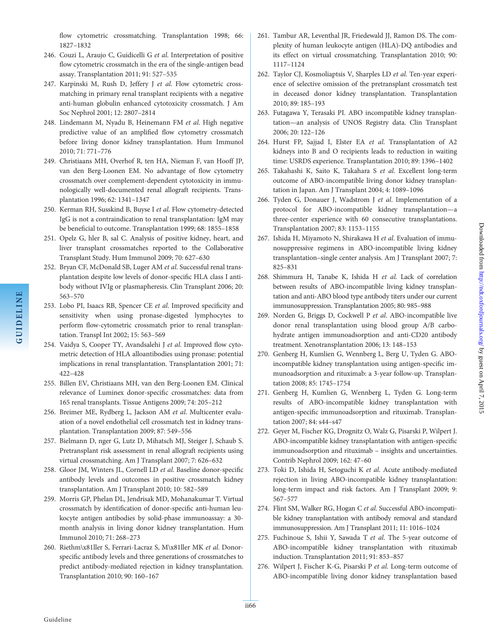<span id="page-65-0"></span>flow cytometric crossmatching. Transplantation 1998; 66: 1827–1832

- 246. Couzi L, Araujo C, Guidicelli G et al. Interpretation of positive flow cytometric crossmatch in the era of the single-antigen bead assay. Transplantation 2011; 91: 527–535
- 247. Karpinski M, Rush D, Jeffery J et al. Flow cytometric crossmatching in primary renal transplant recipients with a negative anti-human globulin enhanced cytotoxicity crossmatch. J Am Soc Nephrol 2001; 12: 2807–2814
- 248. Lindemann M, Nyadu B, Heinemann FM et al. High negative predictive value of an amplified flow cytometry crossmatch before living donor kidney transplantation. Hum Immunol 2010; 71: 771–776
- 249. Christiaans MH, Overhof R, ten HA, Nieman F, van Hooff JP, van den Berg-Loonen EM. No advantage of flow cytometry crossmatch over complement-dependent cytotoxicity in immunologically well-documented renal allograft recipients. Transplantation 1996; 62: 1341–1347
- 250. Kerman RH, Susskind B, Buyse I et al. Flow cytometry-detected IgG is not a contraindication to renal transplantation: IgM may be beneficial to outcome. Transplantation 1999; 68: 1855–1858
- 251. Opelz G, hler B, sal C. Analysis of positive kidney, heart, and liver transplant crossmatches reported to the Collaborative Transplant Study. Hum Immunol 2009; 70: 627–630
- 252. Bryan CF, McDonald SB, Luger AM et al. Successful renal transplantation despite low levels of donor-specific HLA class I antibody without IVIg or plasmapheresis. Clin Transplant 2006; 20: 563–570
- 253. Lobo PI, Isaacs RB, Spencer CE et al. Improved specificity and sensitivity when using pronase-digested lymphocytes to perform flow-cytometric crossmatch prior to renal transplantation. Transpl Int 2002; 15: 563–569
- 254. Vaidya S, Cooper TY, Avandsalehi J et al. Improved flow cytometric detection of HLA alloantibodies using pronase: potential implications in renal transplantation. Transplantation 2001; 71: 422–428
- 255. Billen EV, Christiaans MH, van den Berg-Loonen EM. Clinical relevance of Luminex donor-specific crossmatches: data from 165 renal transplants. Tissue Antigens 2009; 74: 205–212
- 256. Breimer ME, Rydberg L, Jackson AM et al. Multicenter evaluation of a novel endothelial cell crossmatch test in kidney transplantation. Transplantation 2009; 87: 549–556
- 257. Bielmann D, nger G, Lutz D, Mihatsch MJ, Steiger J, Schaub S. Pretransplant risk assessment in renal allograft recipients using virtual crossmatching. Am J Transplant 2007; 7: 626–632
- 258. Gloor JM, Winters JL, Cornell LD et al. Baseline donor-specific antibody levels and outcomes in positive crossmatch kidney transplantation. Am J Transplant 2010; 10: 582–589
- 259. Morris GP, Phelan DL, Jendrisak MD, Mohanakumar T. Virtual crossmatch by identification of donor-specific anti-human leukocyte antigen antibodies by solid-phase immunoassay: a 30 month analysis in living donor kidney transplantation. Hum Immunol 2010; 71: 268–273
- 260. Riethm\x81ller S, Ferrari-Lacraz S, M\x81ller MK et al. Donorspecific antibody levels and three generations of crossmatches to predict antibody-mediated rejection in kidney transplantation. Transplantation 2010; 90: 160–167
- 261. Tambur AR, Leventhal JR, Friedewald JJ, Ramon DS. The complexity of human leukocyte antigen (HLA)-DQ antibodies and its effect on virtual crossmatching. Transplantation 2010; 90: 1117–1124
- 262. Taylor CJ, Kosmoliaptsis V, Sharples LD et al. Ten-year experience of selective omission of the pretransplant crossmatch test in deceased donor kidney transplantation. Transplantation 2010; 89: 185–193
- 263. Futagawa Y, Terasaki PI. ABO incompatible kidney transplantation—an analysis of UNOS Registry data. Clin Transplant 2006; 20: 122–126
- 264. Hurst FP, Sajjad I, Elster EA et al. Transplantation of A2 kidneys into B and O recipients leads to reduction in waiting time: USRDS experience. Transplantation 2010; 89: 1396–1402
- 265. Takahashi K, Saito K, Takahara S et al. Excellent long-term outcome of ABO-incompatible living donor kidney transplantation in Japan. Am J Transplant 2004; 4: 1089–1096
- 266. Tyden G, Donauer J, Wadstrom J et al. Implementation of a protocol for ABO-incompatible kidney transplantation—a three-center experience with 60 consecutive transplantations. Transplantation 2007; 83: 1153–1155
- 267. Ishida H, Miyamoto N, Shirakawa H et al. Evaluation of immunosuppressive regimens in ABO-incompatible living kidney transplantation–single center analysis. Am J Transplant 2007; 7: 825–831
- 268. Shimmura H, Tanabe K, Ishida H et al. Lack of correlation between results of ABO-incompatible living kidney transplantation and anti-ABO blood type antibody titers under our current immunosuppression. Transplantation 2005; 80: 985–988
- 269. Norden G, Briggs D, Cockwell P et al. ABO-incompatible live donor renal transplantation using blood group A/B carbohydrate antigen immunoadsorption and anti-CD20 antibody treatment. Xenotransplantation 2006; 13: 148–153
- 270. Genberg H, Kumlien G, Wennberg L, Berg U, Tyden G. ABOincompatible kidney transplantation using antigen-specific immunoadsorption and rituximab: a 3-year follow-up. Transplantation 2008; 85: 1745–1754
- 271. Genberg H, Kumlien G, Wennberg L, Tyden G. Long-term results of ABO-incompatible kidney transplantation with antigen-specific immunoadsorption and rituximab. Transplantation 2007; 84: s44–s47
- 272. Geyer M, Fischer KG, Drognitz O, Walz G, Pisarski P, Wilpert J. ABO-incompatible kidney transplantation with antigen-specific immunoadsorption and rituximab – insights and uncertainties. Contrib Nephrol 2009; 162: 47–60
- 273. Toki D, Ishida H, Setoguchi K et al. Acute antibody-mediated rejection in living ABO-incompatible kidney transplantation: long-term impact and risk factors. Am J Transplant 2009; 9: 567–577
- 274. Flint SM, Walker RG, Hogan C et al. Successful ABO-incompatible kidney transplantation with antibody removal and standard immunosuppression. Am J Transplant 2011; 11: 1016–1024
- 275. Fuchinoue S, Ishii Y, Sawada T et al. The 5-year outcome of ABO-incompatible kidney transplantation with rituximab induction. Transplantation 2011; 91: 853–857
- 276. Wilpert J, Fischer K-G, Pisarski P et al. Long-term outcome of ABO-incompatible living donor kidney transplantation based

GUIDELINE

**GUIDELINE**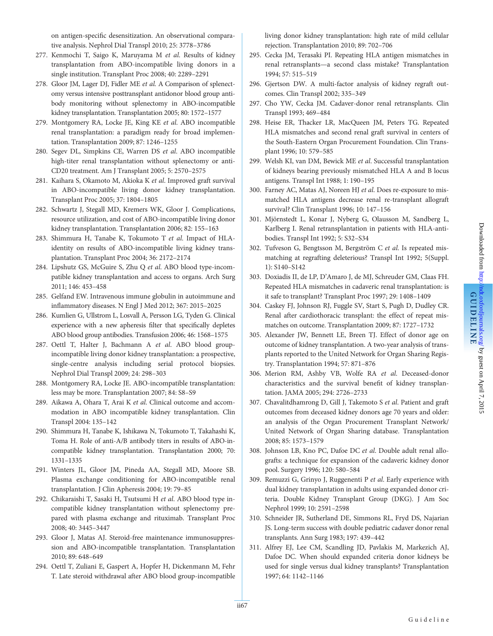<span id="page-66-0"></span>on antigen-specific desensitization. An observational comparative analysis. Nephrol Dial Transpl 2010; 25: 3778–3786

- 277. Kenmochi T, Saigo K, Maruyama M et al. Results of kidney transplantation from ABO-incompatible living donors in a single institution. Transplant Proc 2008; 40: 2289–2291
- 278. Gloor JM, Lager DJ, Fidler ME et al. A Comparison of splenectomy versus intensive posttransplant antidonor blood group antibody monitoring without splenectomy in ABO-incompatible kidney transplantation. Transplantation 2005; 80: 1572–1577
- 279. Montgomery RA, Locke JE, King KE et al. ABO incompatible renal transplantation: a paradigm ready for broad implementation. Transplantation 2009; 87: 1246–1255
- 280. Segev DL, Simpkins CE, Warren DS et al. ABO incompatible high-titer renal transplantation without splenectomy or anti-CD20 treatment. Am J Transplant 2005; 5: 2570–2575
- 281. Kaihara S, Okamoto M, Akioka K et al. Improved graft survival in ABO-incompatible living donor kidney transplantation. Transplant Proc 2005; 37: 1804–1805
- 282. Schwartz J, Stegall MD, Kremers WK, Gloor J. Complications, resource utilization, and cost of ABO-incompatible living donor kidney transplantation. Transplantation 2006; 82: 155–163
- 283. Shimmura H, Tanabe K, Tokumoto T et al. Impact of HLAidentity on results of ABO-incompatible living kidney transplantation. Transplant Proc 2004; 36: 2172–2174
- 284. Lipshutz GS, McGuire S, Zhu Q et al. ABO blood type-incompatible kidney transplantation and access to organs. Arch Surg 2011; 146: 453–458
- 285. Gelfand EW. Intravenous immune globulin in autoimmune and inflammatory diseases. N Engl J Med 2012; 367: 2015–2025
- 286. Kumlien G, Ullstrom L, Losvall A, Persson LG, Tyden G. Clinical experience with a new apheresis filter that specifically depletes ABO blood group antibodies. Transfusion 2006; 46: 1568–1575
- 287. Oettl T, Halter J, Bachmann A et al. ABO blood groupincompatible living donor kidney transplantation: a prospective, single-centre analysis including serial protocol biopsies. Nephrol Dial Transpl 2009; 24: 298–303
- 288. Montgomery RA, Locke JE. ABO-incompatible transplantation: less may be more. Transplantation 2007; 84: S8–S9
- 289. Aikawa A, Ohara T, Arai K et al. Clinical outcome and accommodation in ABO incompatible kidney transplantation. Clin Transpl 2004: 135–142
- 290. Shimmura H, Tanabe K, Ishikawa N, Tokumoto T, Takahashi K, Toma H. Role of anti-A/B antibody titers in results of ABO-incompatible kidney transplantation. Transplantation 2000; 70: 1331–1335
- 291. Winters JL, Gloor JM, Pineda AA, Stegall MD, Moore SB. Plasma exchange conditioning for ABO-incompatible renal transplantation. J Clin Apheresis 2004; 19: 79–85
- 292. Chikaraishi T, Sasaki H, Tsutsumi H et al. ABO blood type incompatible kidney transplantation without splenectomy prepared with plasma exchange and rituximab. Transplant Proc 2008; 40: 3445–3447
- 293. Gloor J, Matas AJ. Steroid-free maintenance immunosuppression and ABO-incompatible transplantation. Transplantation 2010; 89: 648–649
- 294. Oettl T, Zuliani E, Gaspert A, Hopfer H, Dickenmann M, Fehr T. Late steroid withdrawal after ABO blood group-incompatible

living donor kidney transplantation: high rate of mild cellular rejection. Transplantation 2010; 89: 702–706

- 295. Cecka JM, Terasaki PI. Repeating HLA antigen mismatches in renal retransplants—a second class mistake? Transplantation 1994; 57: 515–519
- 296. Gjertson DW. A multi-factor analysis of kidney regraft outcomes. Clin Transpl 2002; 335–349
- 297. Cho YW, Cecka JM. Cadaver-donor renal retransplants. Clin Transpl 1993; 469–484
- 298. Heise ER, Thacker LR, MacQueen JM, Peters TG. Repeated HLA mismatches and second renal graft survival in centers of the South-Eastern Organ Procurement Foundation. Clin Transplant 1996; 10: 579–585
- 299. Welsh KI, van DM, Bewick ME et al. Successful transplantation of kidneys bearing previously mismatched HLA A and B locus antigens. Transpl Int 1988; 1: 190–195
- 300. Farney AC, Matas AJ, Noreen HJ et al. Does re-exposure to mismatched HLA antigens decrease renal re-transplant allograft survival? Clin Transplant 1996; 10: 147–156
- 301. Mjörnstedt L, Konar J, Nyberg G, Olausson M, Sandberg L, Karlberg I. Renal retransplantation in patients with HLA-antibodies. Transpl Int 1992; 5: S32–S34
- 302. Tufveson G, Bengtsson M, Bergström C et al. Is repeated mismatching at regrafting deleterious? Transpl Int 1992; 5(Suppl. 1): S140–S142
- 303. Doxiadis II, de LP, D'Amaro J, de MJ, Schreuder GM, Claas FH. Repeated HLA mismatches in cadaveric renal transplantation: is it safe to transplant? Transplant Proc 1997; 29: 1408–1409
- 304. Caskey FJ, Johnson RJ, Fuggle SV, Start S, Pugh D, Dudley CR. Renal after cardiothoracic transplant: the effect of repeat mismatches on outcome. Transplantation 2009; 87: 1727–1732
- 305. Alexander JW, Bennett LE, Breen TJ. Effect of donor age on outcome of kidney transplantation. A two-year analysis of transplants reported to the United Network for Organ Sharing Registry. Transplantation 1994; 57: 871–876
- 306. Merion RM, Ashby VB, Wolfe RA et al. Deceased-donor characteristics and the survival benefit of kidney transplantation. JAMA 2005; 294: 2726–2733
- 307. Chavalitdhamrong D, Gill J, Takemoto S et al. Patient and graft outcomes from deceased kidney donors age 70 years and older: an analysis of the Organ Procurement Transplant Network/ United Network of Organ Sharing database. Transplantation 2008; 85: 1573–1579
- 308. Johnson LB, Kno PC, Dafoe DC et al. Double adult renal allografts: a technique for expansion of the cadaveric kidney donor pool. Surgery 1996; 120: 580–584
- 309. Remuzzi G, Grinyo J, Ruggenenti P et al. Early experience with dual kidney transplantation in adults using expanded donor criteria. Double Kidney Transplant Group (DKG). J Am Soc Nephrol 1999; 10: 2591–2598
- 310. Schneider JR, Sutherland DE, Simmons RL, Fryd DS, Najarian JS. Long-term success with double pediatric cadaver donor renal transplants. Ann Surg 1983; 197: 439–442
- 311. Alfrey EJ, Lee CM, Scandling JD, Pavlakis M, Markezich AJ, Dafoe DC. When should expanded criteria donor kidneys be used for single versus dual kidney transplants? Transplantation 1997; 64: 1142–1146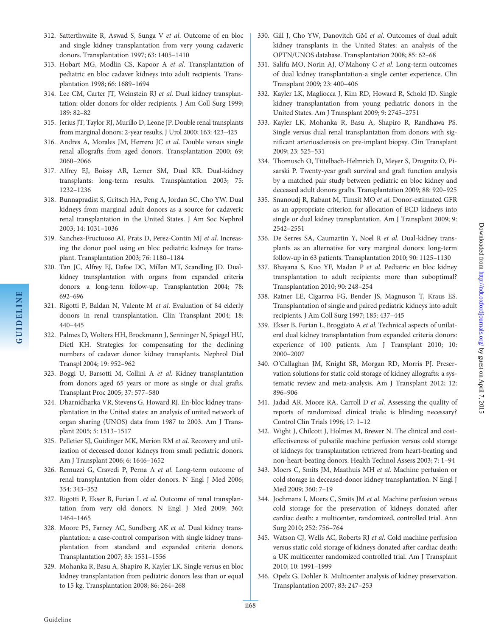- <span id="page-67-0"></span>312. Satterthwaite R, Aswad S, Sunga V et al. Outcome of en bloc and single kidney transplantation from very young cadaveric donors. Transplantation 1997; 63: 1405–1410
- 313. Hobart MG, Modlin CS, Kapoor A et al. Transplantation of pediatric en bloc cadaver kidneys into adult recipients. Transplantation 1998; 66: 1689–1694
- 314. Lee CM, Carter JT, Weinstein RJ et al. Dual kidney transplantation: older donors for older recipients. J Am Coll Surg 1999; 189: 82–82
- 315. Jerius JT, Taylor RJ, Murillo D, Leone JP. Double renal transplants from marginal donors: 2-year results. J Urol 2000; 163: 423–425
- 316. Andres A, Morales JM, Herrero JC et al. Double versus single renal allografts from aged donors. Transplantation 2000; 69: 2060–2066
- 317. Alfrey EJ, Boissy AR, Lerner SM, Dual KR. Dual-kidney transplants: long-term results. Transplantation 2003; 75: 1232–1236
- 318. Bunnapradist S, Gritsch HA, Peng A, Jordan SC, Cho YW. Dual kidneys from marginal adult donors as a source for cadaveric renal transplantation in the United States. J Am Soc Nephrol 2003; 14: 1031–1036
- 319. Sanchez-Fructuoso AI, Prats D, Perez-Contin MJ et al. Increasing the donor pool using en bloc pediatric kidneys for transplant. Transplantation 2003; 76: 1180–1184
- 320. Tan JC, Alfrey EJ, Dafoe DC, Millan MT, Scandling JD. Dualkidney transplantation with organs from expanded criteria donors: a long-term follow-up. Transplantation 2004; 78: 692–696
- 321. Rigotti P, Baldan N, Valente M et al. Evaluation of 84 elderly donors in renal transplantation. Clin Transplant 2004; 18: 440–445
- 322. Palmes D, Wolters HH, Brockmann J, Senninger N, Spiegel HU, Dietl KH. Strategies for compensating for the declining numbers of cadaver donor kidney transplants. Nephrol Dial Transpl 2004; 19: 952–962
- 323. Boggi U, Barsotti M, Collini A et al. Kidney transplantation from donors aged 65 years or more as single or dual grafts. Transplant Proc 2005; 37: 577–580
- 324. Dharnidharka VR, Stevens G, Howard RJ. En-bloc kidney transplantation in the United states: an analysis of united network of organ sharing (UNOS) data from 1987 to 2003. Am J Transplant 2005; 5: 1513–1517
- 325. Pelletier SJ, Guidinger MK, Merion RM et al. Recovery and utilization of deceased donor kidneys from small pediatric donors. Am J Transplant 2006; 6: 1646–1652
- 326. Remuzzi G, Cravedi P, Perna A et al. Long-term outcome of renal transplantation from older donors. N Engl J Med 2006; 354: 343–352
- 327. Rigotti P, Ekser B, Furian L et al. Outcome of renal transplantation from very old donors. N Engl J Med 2009; 360: 1464–1465
- 328. Moore PS, Farney AC, Sundberg AK et al. Dual kidney transplantation: a case-control comparison with single kidney transplantation from standard and expanded criteria donors. Transplantation 2007; 83: 1551–1556
- 329. Mohanka R, Basu A, Shapiro R, Kayler LK. Single versus en bloc kidney transplantation from pediatric donors less than or equal to 15 kg. Transplantation 2008; 86: 264–268
- 330. Gill J, Cho YW, Danovitch GM et al. Outcomes of dual adult kidney transplants in the United States: an analysis of the OPTN/UNOS database. Transplantation 2008; 85: 62–68
- 331. Salifu MO, Norin AJ, O'Mahony C et al. Long-term outcomes of dual kidney transplantation-a single center experience. Clin Transplant 2009; 23: 400–406
- 332. Kayler LK, Magliocca J, Kim RD, Howard R, Schold JD. Single kidney transplantation from young pediatric donors in the United States. Am J Transplant 2009; 9: 2745–2751
- 333. Kayler LK, Mohanka R, Basu A, Shapiro R, Randhawa PS. Single versus dual renal transplantation from donors with significant arteriosclerosis on pre-implant biopsy. Clin Transplant 2009; 23: 525–531
- 334. Thomusch O, Tittelbach-Helmrich D, Meyer S, Drognitz O, Pisarski P. Twenty-year graft survival and graft function analysis by a matched pair study between pediatric en bloc kidney and deceased adult donors grafts. Transplantation 2009; 88: 920–925
- 335. Snanoudj R, Rabant M, Timsit MO et al. Donor-estimated GFR as an appropriate criterion for allocation of ECD kidneys into single or dual kidney transplantation. Am J Transplant 2009; 9: 2542–2551
- 336. De Serres SA, Caumartin Y, Noel R et al. Dual-kidney transplants as an alternative for very marginal donors: long-term follow-up in 63 patients. Transplantation 2010; 90: 1125–1130
- 337. Bhayana S, Kuo YF, Madan P et al. Pediatric en bloc kidney transplantation to adult recipients: more than suboptimal? Transplantation 2010; 90: 248–254
- 338. Ratner LE, Cigarroa FG, Bender JS, Magnuson T, Kraus ES. Transplantation of single and paired pediatric kidneys into adult recipients. J Am Coll Surg 1997; 185: 437–445
- 339. Ekser B, Furian L, Broggiato A et al. Technical aspects of unilateral dual kidney transplantation from expanded criteria donors: experience of 100 patients. Am J Transplant 2010; 10: 2000–2007
- 340. O'Callaghan JM, Knight SR, Morgan RD, Morris PJ. Preservation solutions for static cold storage of kidney allografts: a systematic review and meta-analysis. Am J Transplant 2012; 12: 896–906
- 341. Jadad AR, Moore RA, Carroll D et al. Assessing the quality of reports of randomized clinical trials: is blinding necessary? Control Clin Trials 1996; 17: 1–12
- 342. Wight J, Chilcott J, Holmes M, Brewer N. The clinical and costeffectiveness of pulsatile machine perfusion versus cold storage of kidneys for transplantation retrieved from heart-beating and non-heart-beating donors. Health Technol Assess 2003; 7: 1–94
- 343. Moers C, Smits JM, Maathuis MH et al. Machine perfusion or cold storage in deceased-donor kidney transplantation. N Engl J Med 2009; 360: 7–19
- 344. Jochmans I, Moers C, Smits JM et al. Machine perfusion versus cold storage for the preservation of kidneys donated after cardiac death: a multicenter, randomized, controlled trial. Ann Surg 2010; 252: 756–764
- 345. Watson CJ, Wells AC, Roberts RJ et al. Cold machine perfusion versus static cold storage of kidneys donated after cardiac death: a UK multicenter randomized controlled trial. Am J Transplant 2010; 10: 1991–1999
- 346. Opelz G, Dohler B. Multicenter analysis of kidney preservation. Transplantation 2007; 83: 247–253

GUIDELINE

**GUIDELINE**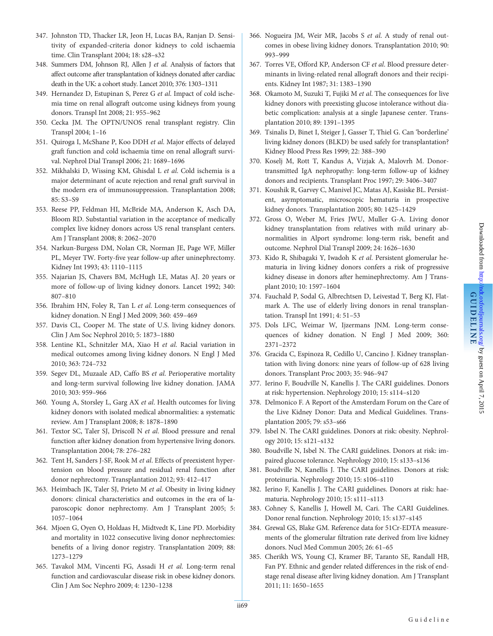- <span id="page-68-0"></span>347. Johnston TD, Thacker LR, Jeon H, Lucas BA, Ranjan D. Sensitivity of expanded-criteria donor kidneys to cold ischaemia time. Clin Transplant 2004; 18: s28–s32
- 348. Summers DM, Johnson RJ, Allen J et al. Analysis of factors that affect outcome after transplantation of kidneys donated after cardiac death in the UK: a cohort study. Lancet 2010; 376: 1303–1311
- 349. Hernandez D, Estupinan S, Perez G et al. Impact of cold ischemia time on renal allograft outcome using kidneys from young donors. Transpl Int 2008; 21: 955–962
- 350. Cecka JM. The OPTN/UNOS renal transplant registry. Clin Transpl 2004; 1–16
- 351. Quiroga I, McShane P, Koo DDH et al. Major effects of delayed graft function and cold ischaemia time on renal allograft survival. Nephrol Dial Transpl 2006; 21: 1689–1696
- 352. Mikhalski D, Wissing KM, Ghisdal L et al. Cold ischemia is a major determinant of acute rejection and renal graft survival in the modern era of immunosuppression. Transplantation 2008; 85: S3–S9
- 353. Reese PP, Feldman HI, McBride MA, Anderson K, Asch DA, Bloom RD. Substantial variation in the acceptance of medically complex live kidney donors across US renal transplant centers. Am J Transplant 2008; 8: 2062–2070
- 354. Narkun-Burgess DM, Nolan CR, Norman JE, Page WF, Miller PL, Meyer TW. Forty-five year follow-up after uninephrectomy. Kidney Int 1993; 43: 1110–1115
- 355. Najarian JS, Chavers BM, McHugh LE, Matas AJ. 20 years or more of follow-up of living kidney donors. Lancet 1992; 340: 807–810
- 356. Ibrahim HN, Foley R, Tan L et al. Long-term consequences of kidney donation. N Engl J Med 2009; 360: 459–469
- 357. Davis CL, Cooper M. The state of U.S. living kidney donors. Clin J Am Soc Nephrol 2010; 5: 1873–1880
- 358. Lentine KL, Schnitzler MA, Xiao H et al. Racial variation in medical outcomes among living kidney donors. N Engl J Med 2010; 363: 724–732
- 359. Segev DL, Muzaale AD, Caffo BS et al. Perioperative mortality and long-term survival following live kidney donation. JAMA 2010; 303: 959–966
- 360. Young A, Storsley L, Garg AX et al. Health outcomes for living kidney donors with isolated medical abnormalities: a systematic review. Am J Transplant 2008; 8: 1878–1890
- 361. Textor SC, Taler SJ, Driscoll N et al. Blood pressure and renal function after kidney donation from hypertensive living donors. Transplantation 2004; 78: 276–282
- 362. Tent H, Sanders J-SF, Rook M et al. Effects of preexistent hypertension on blood pressure and residual renal function after donor nephrectomy. Transplantation 2012; 93: 412–417
- 363. Heimbach JK, Taler SJ, Prieto M et al. Obesity in living kidney donors: clinical characteristics and outcomes in the era of laparoscopic donor nephrectomy. Am J Transplant 2005; 5: 1057–1064
- 364. Mjoen G, Oyen O, Holdaas H, Midtvedt K, Line PD. Morbidity and mortality in 1022 consecutive living donor nephrectomies: benefits of a living donor registry. Transplantation 2009; 88: 1273–1279
- 365. Tavakol MM, Vincenti FG, Assadi H et al. Long-term renal function and cardiovascular disease risk in obese kidney donors. Clin J Am Soc Nephro 2009; 4: 1230–1238
- 366. Nogueira JM, Weir MR, Jacobs S et al. A study of renal outcomes in obese living kidney donors. Transplantation 2010; 90: 993–999
- 367. Torres VE, Offord KP, Anderson CF et al. Blood pressure determinants in living-related renal allograft donors and their recipients. Kidney Int 1987; 31: 1383–1390
- 368. Okamoto M, Suzuki T, Fujiki M et al. The consequences for live kidney donors with preexisting glucose intolerance without diabetic complication: analysis at a single Japanese center. Transplantation 2010; 89: 1391–1395
- 369. Tsinalis D, Binet I, Steiger J, Gasser T, Thiel G. Can 'borderline' living kidney donors (BLKD) be used safely for transplantation? Kidney Blood Press Res 1999; 22: 388–390
- 370. Koselj M, Rott T, Kandus A, Vizjak A, Malovrh M. Donortransmitted IgA nephropathy: long-term follow-up of kidney donors and recipients. Transplant Proc 1997; 29: 3406–3407
- 371. Koushik R, Garvey C, Manivel JC, Matas AJ, Kasiske BL. Persistent, asymptomatic, microscopic hematuria in prospective kidney donors. Transplantation 2005; 80: 1425–1429
- 372. Gross O, Weber M, Fries JWU, Muller G-A. Living donor kidney transplantation from relatives with mild urinary abnormalities in Alport syndrome: long-term risk, benefit and outcome. Nephrol Dial Transpl 2009; 24: 1626–1630
- 373. Kido R, Shibagaki Y, Iwadoh K et al. Persistent glomerular hematuria in living kidney donors confers a risk of progressive kidney disease in donors after heminephrectomy. Am J Transplant 2010; 10: 1597–1604
- 374. Fauchald P, Sodal G, Albrechtsen D, Leivestad T, Berg KJ, Flatmark A. The use of elderly living donors in renal transplantation. Transpl Int 1991; 4: 51–53
- 375. Dols LFC, Weimar W, Ijzermans JNM. Long-term consequences of kidney donation. N Engl J Med 2009; 360: 2371–2372
- 376. Gracida C, Espinoza R, Cedillo U, Cancino J. Kidney transplantation with living donors: nine years of follow-up of 628 living donors. Transplant Proc 2003; 35: 946–947
- 377. Ierino F, Boudville N, Kanellis J. The CARI guidelines. Donors at risk: hypertension. Nephrology 2010; 15: s114–s120
- 378. Delmonico F. A Report of the Amsterdam Forum on the Care of the Live Kidney Donor: Data and Medical Guidelines. Transplantation 2005; 79: s53–s66
- 379. Isbel N. The CARI guidelines. Donors at risk: obesity. Nephrology 2010; 15: s121–s132
- 380. Boudville N, Isbel N. The CARI guidelines. Donors at risk: impaired glucose tolerance. Nephrology 2010; 15: s133–s136
- 381. Boudville N, Kanellis J. The CARI guidelines. Donors at risk: proteinuria. Nephrology 2010; 15: s106–s110
- 382. Ierino F, Kanellis J. The CARI guidelines. Donors at risk: haematuria. Nephrology 2010; 15: s111–s113
- 383. Cohney S, Kanellis J, Howell M, Cari. The CARI Guidelines. Donor renal function. Nephrology 2010; 15: s137–s145
- 384. Grewal GS, Blake GM. Reference data for 51Cr-EDTA measurements of the glomerular filtration rate derived from live kidney donors. Nucl Med Commun 2005; 26: 61–65
- 385. Cherikh WS, Young CJ, Kramer BF, Taranto SE, Randall HB, Fan PY. Ethnic and gender related differences in the risk of endstage renal disease after living kidney donation. Am J Transplant 2011; 11: 1650–1655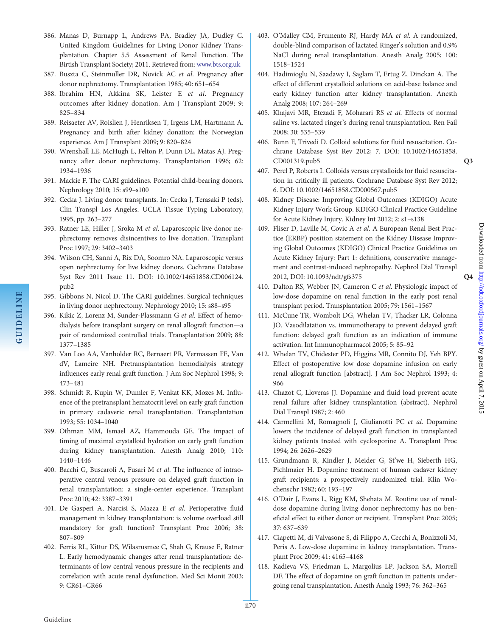Downloaded from http://ndt.oxfordjournals.org/ by guest on April 7, 2015 Downloaded from <http://ndt.oxfordjournals.org/> by guest on April 7, 2015

- <span id="page-69-0"></span>386. Manas D, Burnapp L, Andrews PA, Bradley JA, Dudley C. United Kingdom Guidelines for Living Donor Kidney Transplantation. Chapter 5.5 Assessment of Renal Function. The Birtish Transplant Society; 2011. Retrieved from: <www.bts.org.uk>
- 387. Buszta C, Steinmuller DR, Novick AC et al. Pregnancy after donor nephrectomy. Transplantation 1985; 40: 651–654
- 388. Ibrahim HN, Akkina SK, Leister E et al. Pregnancy outcomes after kidney donation. Am J Transplant 2009; 9: 825–834
- 389. Reisaeter AV, Roislien J, Henriksen T, Irgens LM, Hartmann A. Pregnancy and birth after kidney donation: the Norwegian experience. Am J Transplant 2009; 9: 820–824
- 390. Wrenshall LE, McHugh L, Felton P, Dunn DL, Matas AJ. Pregnancy after donor nephrectomy. Transplantation 1996; 62: 1934–1936
- 391. Mackie F. The CARI guidelines. Potential child-bearing donors. Nephrology 2010; 15: s99–s100
- 392. Cecka J. Living donor transplants. In: Cecka J, Terasaki P (eds). Clin Transpl Los Angeles. UCLA Tissue Typing Laboratory, 1995, pp. 263–277
- 393. Ratner LE, Hiller J, Sroka M et al. Laparoscopic live donor nephrectomy removes disincentives to live donation. Transplant Proc 1997; 29: 3402–3403
- 394. Wilson CH, Sanni A, Rix DA, Soomro NA. Laparoscopic versus open nephrectomy for live kidney donors. Cochrane Database Syst Rev 2011 Issue 11. DOI: 10.1002/14651858.CD006124. pub2
- 395. Gibbons N, Nicol D. The CARI guidelines. Surgical techniques in living donor nephrectomy. Nephrology 2010; 15: s88–s95
- 396. Kikic Z, Lorenz M, Sunder-Plassmann G et al. Effect of hemodialysis before transplant surgery on renal allograft function—a pair of randomized controlled trials. Transplantation 2009; 88: 1377–1385
- 397. Van Loo AA, Vanholder RC, Bernaert PR, Vermassen FE, Van dV, Lameire NH. Pretransplantation hemodialysis strategy influences early renal graft function. J Am Soc Nephrol 1998; 9: 473–481
- 398. Schmidt R, Kupin W, Dumler F, Venkat KK, Mozes M. Influence of the pretransplant hematocrit level on early graft function in primary cadaveric renal transplantation. Transplantation 1993; 55: 1034–1040
- 399. Othman MM, Ismael AZ, Hammouda GE. The impact of timing of maximal crystalloid hydration on early graft function during kidney transplantation. Anesth Analg 2010; 110: 1440–1446
- 400. Bacchi G, Buscaroli A, Fusari M et al. The influence of intraoperative central venous pressure on delayed graft function in renal transplantation: a single-center experience. Transplant Proc 2010; 42: 3387–3391
- 401. De Gasperi A, Narcisi S, Mazza E et al. Perioperative fluid management in kidney transplantation: is volume overload still mandatory for graft function? Transplant Proc 2006; 38: 807–809
- 402. Ferris RL, Kittur DS, Wilasrusmee C, Shah G, Krause E, Ratner L. Early hemodynamic changes after renal transplantation: determinants of low central venous pressure in the recipients and correlation with acute renal dysfunction. Med Sci Monit 2003; 9: CR61–CR66
- 403. O'Malley CM, Frumento RJ, Hardy MA et al. A randomized, double-blind comparison of lactated Ringer's solution and 0.9% NaCl during renal transplantation. Anesth Analg 2005; 100: 1518–1524
- 404. Hadimioglu N, Saadawy I, Saglam T, Ertug Z, Dinckan A. The effect of different crystalloid solutions on acid-base balance and early kidney function after kidney transplantation. Anesth Analg 2008; 107: 264–269
- 405. Khajavi MR, Etezadi F, Moharari RS et al. Effects of normal saline vs. lactated ringer's during renal transplantation. Ren Fail 2008; 30: 535–539
- 406. Bunn F, Trivedi D. Colloid solutions for fluid resuscitation. Cochrane Database Syst Rev 2012; 7. DOI: 10.1002/14651858. CD001319.pub5 Q3
- 407. Perel P, Roberts I. Colloids versus crystalloids for fluid resuscitation in critically ill patients. Cochrane Database Syst Rev 2012; 6. DOI: 10.1002/14651858.CD000567.pub5
- 408. Kidney Disease: Improving Global Outcomes (KDIGO) Acute Kidney Injury Work Group. KDIGO Clinical Practice Guideline for Acute Kidney Injury. Kidney Int 2012; 2: s1–s138
- 409. Fliser D, Laville M, Covic A et al. A European Renal Best Practice (ERBP) position statement on the Kidney Disease Improving Global Outcomes (KDIGO) Clinical Practice Guidelines on Acute Kidney Injury: Part 1: definitions, conservative management and contrast-induced nephropathy. Nephrol Dial Transpl 2012, DOI: 10.1093/ndt/gfs375 Q4
- 410. Dalton RS, Webber JN, Cameron C et al. Physiologic impact of low-dose dopamine on renal function in the early post renal transplant period. Transplantation 2005; 79: 1561–1567
- 411. McCune TR, Wombolt DG, Whelan TV, Thacker LR, Colonna JO. Vasodilatation vs. immunotherapy to prevent delayed graft function: delayed graft function as an indication of immune activation. Int Immunopharmacol 2005; 5: 85–92
- 412. Whelan TV, Chidester PD, Higgins MR, Connito DJ, Yeh BPY. Effect of postoperative low dose dopamine infusion on early renal allograft function [abstract]. J Am Soc Nephrol 1993; 4: 966
- 413. Chazot C, Lloveras JJ. Dopamine and fluid load prevent acute renal failure after kidney transplantation (abstract). Nephrol Dial Transpl 1987; 2: 460
- 414. Carmellini M, Romagnoli J, Giulianotti PC et al. Dopamine lowers the incidence of delayed graft function in transplanted kidney patients treated with cyclosporine A. Transplant Proc 1994; 26: 2626–2629
- 415. Grundmann R, Kindler J, Meider G, St'we H, Sieberth HG, Pichlmaier H. Dopamine treatment of human cadaver kidney graft recipients: a prospectively randomized trial. Klin Wochenschr 1982; 60: 193–197
- 416. O'Dair J, Evans L, Rigg KM, Shehata M. Routine use of renaldose dopamine during living donor nephrectomy has no beneficial effect to either donor or recipient. Transplant Proc 2005; 37: 637–639
- 417. Ciapetti M, di Valvasone S, di Filippo A, Cecchi A, Bonizzoli M, Peris A. Low-dose dopamine in kidney transplantation. Transplant Proc 2009; 41: 4165–4168
- 418. Kadieva VS, Friedman L, Margolius LP, Jackson SA, Morrell DF. The effect of dopamine on graft function in patients undergoing renal transplantation. Anesth Analg 1993; 76: 362–365

GUIDELINE

**GUIDELINE**